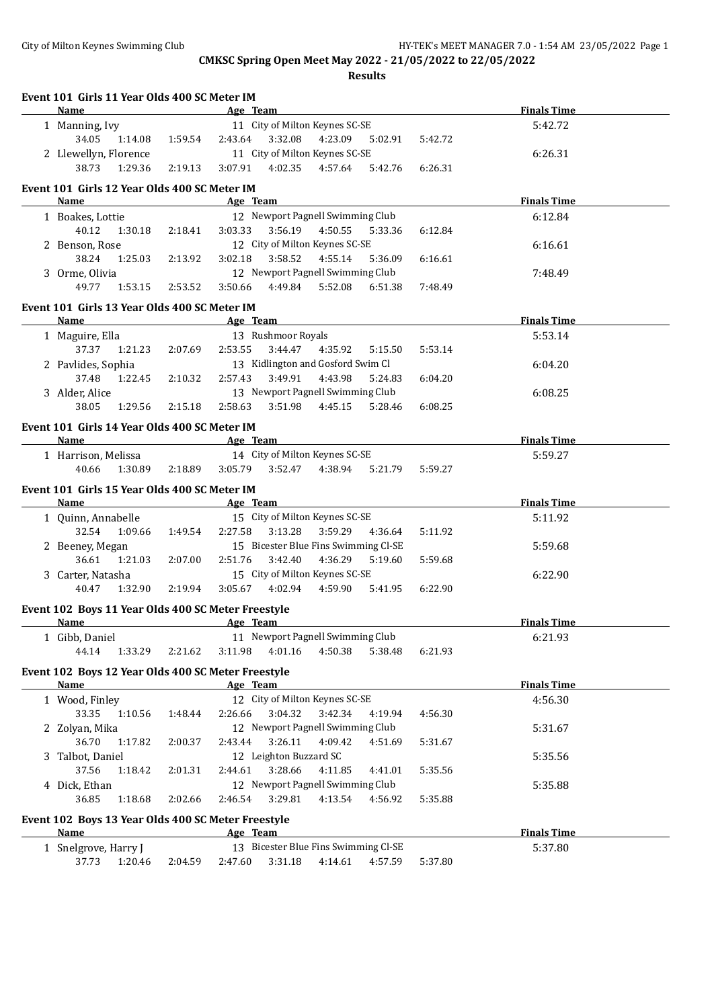| Event 101 Girls 11 Year Olds 400 SC Meter IM<br>Name       |         | Age Team                                 | <b>Finals Time</b> |
|------------------------------------------------------------|---------|------------------------------------------|--------------------|
| 1 Manning, Ivy                                             |         | 11 City of Milton Keynes SC-SE           | 5:42.72            |
| 34.05<br>1:14.08                                           | 1:59.54 | 2:43.64<br>3:32.08<br>4:23.09<br>5:02.91 | 5:42.72            |
| 2 Llewellyn, Florence                                      |         | 11 City of Milton Keynes SC-SE           | 6:26.31            |
| 38.73<br>1:29.36                                           | 2:19.13 | 3:07.91<br>4:02.35<br>4:57.64<br>5:42.76 | 6:26.31            |
|                                                            |         |                                          |                    |
| Event 101 Girls 12 Year Olds 400 SC Meter IM<br>Name       |         | Age Team                                 | <b>Finals Time</b> |
| 1 Boakes, Lottie                                           |         | 12 Newport Pagnell Swimming Club         | 6:12.84            |
| 40.12<br>1:30.18                                           | 2:18.41 | 3:56.19  4:50.55<br>3:03.33<br>5:33.36   | 6:12.84            |
| 2 Benson, Rose                                             |         | 12 City of Milton Keynes SC-SE           | 6:16.61            |
| 38.24<br>1:25.03                                           | 2:13.92 | 3:02.18<br>3:58.52<br>4:55.14<br>5:36.09 | 6:16.61            |
| 3 Orme, Olivia                                             |         | 12 Newport Pagnell Swimming Club         | 7:48.49            |
| 49.77<br>1:53.15                                           | 2:53.52 | 3:50.66<br>4:49.84 5:52.08<br>6:51.38    | 7:48.49            |
|                                                            |         |                                          |                    |
| Event 101 Girls 13 Year Olds 400 SC Meter IM               |         |                                          |                    |
| <b>Name</b>                                                |         | Age Team                                 | <b>Finals Time</b> |
| 1 Maguire, Ella                                            |         | 13 Rushmoor Royals                       | 5:53.14            |
| 37.37<br>1:21.23                                           | 2:07.69 | 2:53.55<br>3:44.47<br>4:35.92<br>5:15.50 | 5:53.14            |
| 2 Pavlides, Sophia                                         |         | 13 Kidlington and Gosford Swim Cl        | 6:04.20            |
| 37.48<br>1:22.45                                           | 2:10.32 | 3:49.91<br>4:43.98<br>2:57.43<br>5:24.83 | 6:04.20            |
| 3 Alder, Alice                                             |         | 13 Newport Pagnell Swimming Club         | 6:08.25            |
| 38.05<br>1:29.56                                           | 2:15.18 | 3:51.98<br>4:45.15<br>2:58.63<br>5:28.46 | 6:08.25            |
| Event 101 Girls 14 Year Olds 400 SC Meter IM               |         |                                          |                    |
| Name                                                       |         | Age Team                                 | <b>Finals Time</b> |
| 1 Harrison, Melissa                                        |         | 14 City of Milton Keynes SC-SE           | 5:59.27            |
| 40.66<br>1:30.89                                           | 2:18.89 | 3:05.79<br>3:52.47<br>4:38.94<br>5:21.79 | 5:59.27            |
| Event 101 Girls 15 Year Olds 400 SC Meter IM               |         |                                          |                    |
| <b>Name</b>                                                |         | Age Team                                 | <b>Finals Time</b> |
| 1 Quinn, Annabelle                                         |         | 15 City of Milton Keynes SC-SE           | 5:11.92            |
| 32.54<br>1:09.66                                           | 1:49.54 | 2:27.58<br>3:13.28<br>3:59.29<br>4:36.64 | 5:11.92            |
| 2 Beeney, Megan                                            |         | 15 Bicester Blue Fins Swimming Cl-SE     | 5:59.68            |
| 36.61<br>1:21.03                                           | 2:07.00 | 2:51.76<br>3:42.40<br>4:36.29<br>5:19.60 | 5:59.68            |
| 3 Carter, Natasha                                          |         | 15 City of Milton Keynes SC-SE           | 6:22.90            |
| 40.47<br>1:32.90                                           | 2:19.94 | 3:05.67<br>4:02.94<br>4:59.90<br>5:41.95 | 6:22.90            |
|                                                            |         |                                          |                    |
| Event 102 Boys 11 Year Olds 400 SC Meter Freestyle<br>Name |         | Age Team                                 | <b>Finals Time</b> |
| 1 Gibb, Daniel                                             |         | 11 Newport Pagnell Swimming Club         | 6:21.93            |
| 44.14<br>1:33.29                                           | 2:21.62 | 3:11.98<br>4:01.16<br>4:50.38<br>5:38.48 | 6:21.93            |
|                                                            |         |                                          |                    |
| Event 102 Boys 12 Year Olds 400 SC Meter Freestyle         |         |                                          |                    |
| <b>Name</b>                                                |         | Age Team                                 | <b>Finals Time</b> |
| 1 Wood, Finley                                             |         | 12 City of Milton Keynes SC-SE           | 4:56.30            |
| 33.35<br>1:10.56                                           | 1:48.44 | 2:26.66<br>3:04.32<br>3:42.34<br>4:19.94 | 4:56.30            |
| 2 Zolyan, Mika                                             |         | 12 Newport Pagnell Swimming Club         | 5:31.67            |
|                                                            | 2:00.37 | 3:26.11<br>4:09.42<br>2:43.44<br>4:51.69 | 5:31.67            |
| 36.70<br>1:17.82                                           |         |                                          |                    |
| 3 Talbot, Daniel                                           |         | 12 Leighton Buzzard SC                   | 5:35.56            |
| 37.56<br>1:18.42                                           | 2:01.31 | 2:44.61<br>3:28.66<br>4:11.85<br>4:41.01 | 5:35.56            |
| 4 Dick, Ethan                                              |         | 12 Newport Pagnell Swimming Club         | 5:35.88            |
| 36.85<br>1:18.68                                           | 2:02.66 | 2:46.54<br>3:29.81<br>4:13.54<br>4:56.92 | 5:35.88            |
|                                                            |         |                                          |                    |
| Event 102 Boys 13 Year Olds 400 SC Meter Freestyle<br>Name |         | Age Team                                 | <b>Finals Time</b> |
| 1 Snelgrove, Harry J                                       |         | 13 Bicester Blue Fins Swimming Cl-SE     | 5:37.80            |
| 37.73<br>1:20.46                                           | 2:04.59 | 3:31.18<br>4:14.61<br>2:47.60<br>4:57.59 | 5:37.80            |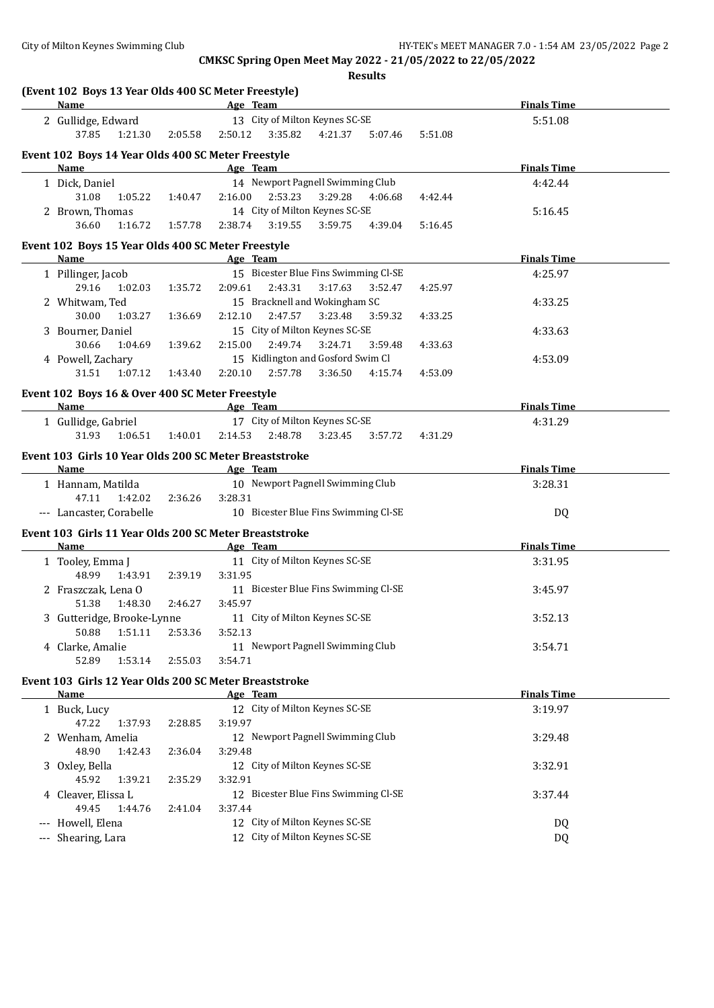| (Event 102 Boys 13 Year Olds 400 SC Meter Freestyle)<br>Name   |         | and the same state of the same state of the same state of the same state of the same state of the same state o | <b>Finals Time</b> |
|----------------------------------------------------------------|---------|----------------------------------------------------------------------------------------------------------------|--------------------|
| 2 Gullidge, Edward                                             |         | 13 City of Milton Keynes SC-SE                                                                                 | 5:51.08            |
| 37.85<br>1:21.30                                               | 2:05.58 | 2:50.12<br>3:35.82<br>4:21.37 5:07.46<br>5:51.08                                                               |                    |
| Event 102 Boys 14 Year Olds 400 SC Meter Freestyle             |         |                                                                                                                |                    |
| Name                                                           |         | Age Team                                                                                                       | <b>Finals Time</b> |
| 1 Dick, Daniel                                                 |         | 14 Newport Pagnell Swimming Club                                                                               | 4:42.44            |
| 31.08<br>1:05.22                                               | 1:40.47 | 2:16.00<br>2:53.23<br>3:29.28<br>4:06.68<br>4:42.44                                                            |                    |
| 2 Brown, Thomas                                                |         | 14 City of Milton Keynes SC-SE                                                                                 | 5:16.45            |
| 36.60<br>1:16.72                                               | 1:57.78 | 2:38.74<br>3:19.55<br>3:59.75<br>4:39.04<br>5:16.45                                                            |                    |
|                                                                |         |                                                                                                                |                    |
| Event 102 Boys 15 Year Olds 400 SC Meter Freestyle             |         |                                                                                                                |                    |
| Name                                                           |         | Age Team                                                                                                       | <b>Finals Time</b> |
| 1 Pillinger, Jacob<br>29.16                                    | 1:35.72 | 15 Bicester Blue Fins Swimming Cl-SE<br>2:09.61<br>2:43.31<br>3:17.63<br>4:25.97                               | 4:25.97            |
| 1:02.03                                                        |         | 3:52.47                                                                                                        |                    |
| 2 Whitwam, Ted<br>30.00                                        |         | 15 Bracknell and Wokingham SC<br>3:23.48<br>2:12.10<br>2:47.57<br>4:33.25                                      | 4:33.25            |
| 1:03.27                                                        | 1:36.69 | 3:59.32<br>15 City of Milton Keynes SC-SE                                                                      |                    |
| 3 Bourner, Daniel<br>30.66                                     | 1:39.62 | 2:49.74<br>2:15.00<br>3:24.71<br>4:33.63<br>3:59.48                                                            | 4:33.63            |
| 1:04.69<br>4 Powell, Zachary                                   |         | 15 Kidlington and Gosford Swim Cl                                                                              | 4:53.09            |
| 31.51<br>1:07.12                                               |         | 2:57.78<br>3:36.50<br>4:15.74                                                                                  |                    |
|                                                                | 1:43.40 | 2:20.10<br>4:53.09                                                                                             |                    |
| Event 102 Boys 16 & Over 400 SC Meter Freestyle                |         |                                                                                                                |                    |
| Name                                                           |         | <b>Example 2018 Age Team</b>                                                                                   | <b>Finals Time</b> |
| 1 Gullidge, Gabriel                                            |         | 17 City of Milton Keynes SC-SE                                                                                 | 4:31.29            |
| 31.93<br>1:06.51                                               | 1:40.01 | 2:14.53 2:48.78 3:23.45<br>3:57.72<br>4:31.29                                                                  |                    |
| Event 103 Girls 10 Year Olds 200 SC Meter Breaststroke         |         |                                                                                                                |                    |
| Name                                                           |         | <b>Example 2</b> Age Team                                                                                      | <b>Finals Time</b> |
| 1 Hannam, Matilda                                              |         | 10 Newport Pagnell Swimming Club                                                                               | 3:28.31            |
| 47.11<br>1:42.02                                               | 2:36.26 | 3:28.31                                                                                                        |                    |
| --- Lancaster, Corabelle                                       |         | 10 Bicester Blue Fins Swimming Cl-SE                                                                           | DQ                 |
| Event 103 Girls 11 Year Olds 200 SC Meter Breaststroke         |         |                                                                                                                |                    |
| Name                                                           |         | Age Team                                                                                                       | <b>Finals Time</b> |
| 1 Tooley, Emma J                                               |         | 11 City of Milton Keynes SC-SE                                                                                 | 3:31.95            |
| 48.99<br>1:43.91                                               | 2:39.19 | 3:31.95                                                                                                        |                    |
| 2 Fraszczak, Lena O                                            |         | 11 Bicester Blue Fins Swimming Cl-SE                                                                           |                    |
|                                                                |         |                                                                                                                | 3:45.97            |
| 51.38<br>1:48.30                                               | 2:46.27 | 3:45.97                                                                                                        |                    |
|                                                                |         | 11 City of Milton Keynes SC-SE                                                                                 | 3:52.13            |
| 3 Gutteridge, Brooke-Lynne<br>50.88<br>1:51.11                 | 2:53.36 | 3:52.13                                                                                                        |                    |
| 4 Clarke, Amalie                                               |         | 11 Newport Pagnell Swimming Club                                                                               | 3:54.71            |
| 52.89<br>1:53.14                                               | 2:55.03 | 3:54.71                                                                                                        |                    |
|                                                                |         |                                                                                                                |                    |
| Event 103 Girls 12 Year Olds 200 SC Meter Breaststroke<br>Name |         | Age Team                                                                                                       | <b>Finals Time</b> |
|                                                                |         |                                                                                                                |                    |
| 1 Buck, Lucy<br>47.22<br>1:37.93                               | 2:28.85 | 12 City of Milton Keynes SC-SE<br>3:19.97                                                                      | 3:19.97            |
|                                                                |         |                                                                                                                |                    |
| 2 Wenham, Amelia<br>48.90<br>1:42.43                           | 2:36.04 | 12 Newport Pagnell Swimming Club                                                                               | 3:29.48            |
|                                                                |         | 3:29.48                                                                                                        |                    |
| 3 Oxley, Bella<br>45.92<br>1:39.21                             | 2:35.29 | 12 City of Milton Keynes SC-SE<br>3:32.91                                                                      | 3:32.91            |
|                                                                |         |                                                                                                                |                    |
| 4 Cleaver, Elissa L<br>49.45<br>1:44.76                        | 2:41.04 | 12 Bicester Blue Fins Swimming Cl-SE<br>3:37.44                                                                | 3:37.44            |
|                                                                |         |                                                                                                                |                    |
| --- Howell, Elena<br>--- Shearing, Lara                        |         | 12 City of Milton Keynes SC-SE<br>12 City of Milton Keynes SC-SE                                               | DQ<br>DQ           |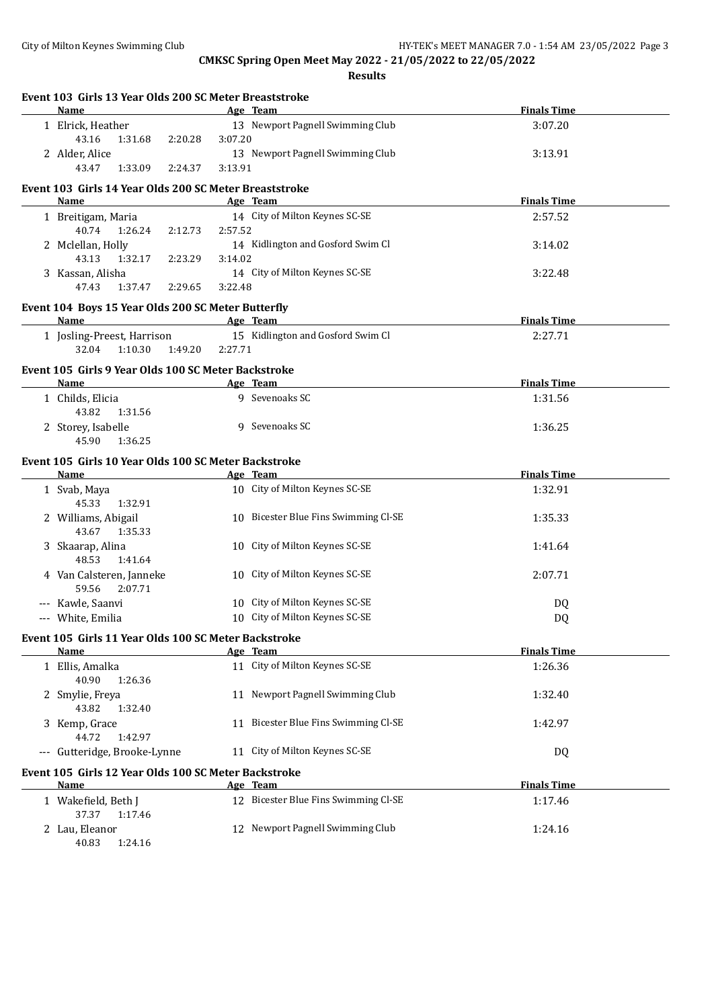| Event 103 Girls 13 Year Olds 200 SC Meter Breaststroke       |                                                  |                    |
|--------------------------------------------------------------|--------------------------------------------------|--------------------|
| Name                                                         | Age Team                                         | <b>Finals Time</b> |
| 1 Elrick, Heather                                            | 13 Newport Pagnell Swimming Club                 | 3:07.20            |
| 43.16<br>1:31.68<br>2:20.28                                  | 3:07.20                                          |                    |
| 2 Alder, Alice                                               | 13 Newport Pagnell Swimming Club                 | 3:13.91            |
| 43.47<br>1:33.09<br>2:24.37                                  | 3:13.91                                          |                    |
| Event 103 Girls 14 Year Olds 200 SC Meter Breaststroke       |                                                  |                    |
| Name                                                         | Age Team                                         | <b>Finals Time</b> |
| 1 Breitigam, Maria                                           | 14 City of Milton Keynes SC-SE                   | 2:57.52            |
| 40.74<br>1:26.24<br>2:12.73                                  | 2:57.52                                          |                    |
| 2 Mclellan, Holly                                            | 14 Kidlington and Gosford Swim Cl                | 3:14.02            |
| 43.13<br>1:32.17<br>2:23.29                                  | 3:14.02                                          |                    |
| 3 Kassan, Alisha                                             | 14 City of Milton Keynes SC-SE                   | 3:22.48            |
| 47.43<br>1:37.47<br>2:29.65                                  | 3:22.48                                          |                    |
| Event 104 Boys 15 Year Olds 200 SC Meter Butterfly           |                                                  |                    |
| Name                                                         | Age Team                                         | <b>Finals Time</b> |
| 1 Josling-Preest, Harrison                                   | 15 Kidlington and Gosford Swim Cl                | 2:27.71            |
| 1:10.30<br>32.04<br>1:49.20                                  | 2:27.71                                          |                    |
| Event 105 Girls 9 Year Olds 100 SC Meter Backstroke          |                                                  |                    |
| Name                                                         | Age Team                                         | <b>Finals Time</b> |
| 1 Childs, Elicia                                             | 9 Sevenoaks SC                                   | 1:31.56            |
| 43.82<br>1:31.56                                             |                                                  |                    |
| 2 Storey, Isabelle                                           | 9 Sevenoaks SC                                   | 1:36.25            |
| 45.90<br>1:36.25                                             |                                                  |                    |
|                                                              |                                                  |                    |
| Event 105 Girls 10 Year Olds 100 SC Meter Backstroke<br>Name | Age Team                                         | <b>Finals Time</b> |
| 1 Svab, Maya                                                 | 10 City of Milton Keynes SC-SE                   | 1:32.91            |
| 45.33<br>1:32.91                                             |                                                  |                    |
| 2 Williams, Abigail                                          | 10 Bicester Blue Fins Swimming Cl-SE             | 1:35.33            |
| 43.67<br>1:35.33                                             |                                                  |                    |
| 3 Skaarap, Alina                                             | 10 City of Milton Keynes SC-SE                   | 1:41.64            |
| 48.53<br>1:41.64                                             |                                                  |                    |
| 4 Van Calsteren, Janneke                                     | 10 City of Milton Keynes SC-SE                   | 2:07.71            |
| 59.56<br>2:07.71                                             |                                                  |                    |
| --- Kawle, Saanvi                                            | 10 City of Milton Keynes SC-SE                   | DQ                 |
| --- White, Emilia                                            | 10 City of Milton Keynes SC-SE                   | DQ                 |
|                                                              |                                                  |                    |
| Event 105 Girls 11 Year Olds 100 SC Meter Backstroke<br>Name | Age Team                                         | <b>Finals Time</b> |
| 1 Ellis, Amalka                                              | 11 City of Milton Keynes SC-SE                   | 1:26.36            |
| 40.90<br>1:26.36                                             |                                                  |                    |
| 2 Smylie, Freya                                              | 11 Newport Pagnell Swimming Club                 | 1:32.40            |
| 43.82<br>1:32.40                                             |                                                  |                    |
| 3 Kemp, Grace                                                | 11 Bicester Blue Fins Swimming Cl-SE             | 1:42.97            |
| 44.72<br>1:42.97                                             |                                                  |                    |
| --- Gutteridge, Brooke-Lynne                                 | 11 City of Milton Keynes SC-SE                   | DQ                 |
|                                                              |                                                  |                    |
| Event 105 Girls 12 Year Olds 100 SC Meter Backstroke         |                                                  | <b>Finals Time</b> |
| <u>Name</u>                                                  | Age Team<br>12 Bicester Blue Fins Swimming Cl-SE |                    |
| 1 Wakefield, Beth J<br>37.37<br>1:17.46                      |                                                  | 1:17.46            |
| 2 Lau, Eleanor                                               | 12 Newport Pagnell Swimming Club                 | 1:24.16            |
| 40.83<br>1:24.16                                             |                                                  |                    |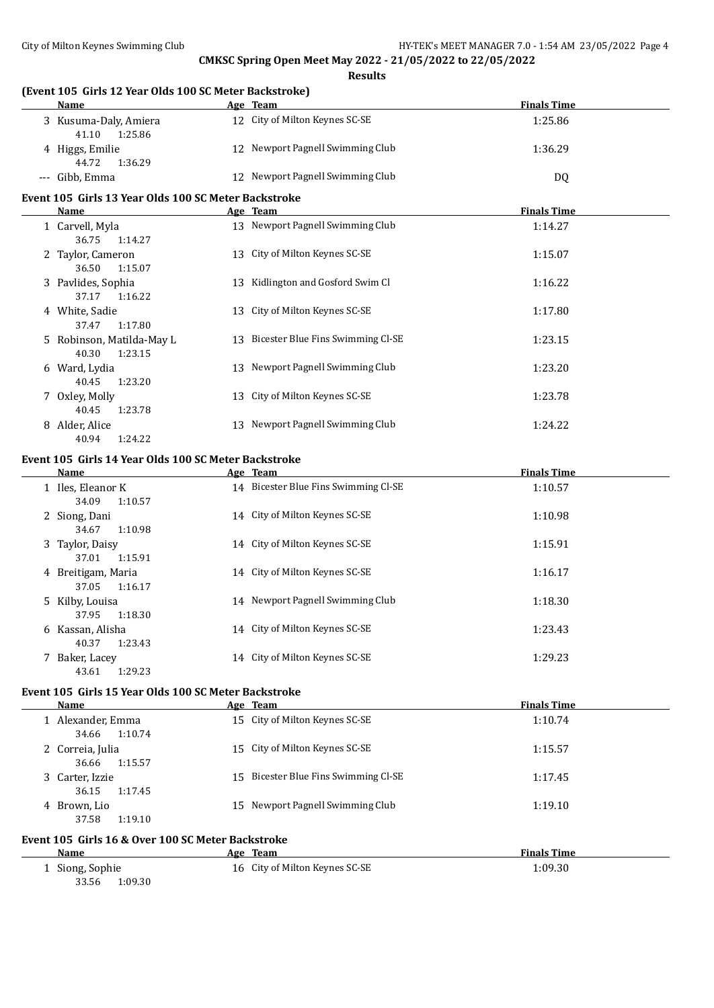**Results**

| (Event 105 Girls 12 Year Olds 100 SC Meter Backstroke)<br>Name | Age Team                             | <b>Finals Time</b> |
|----------------------------------------------------------------|--------------------------------------|--------------------|
| 3 Kusuma-Daly, Amiera<br>41.10<br>1:25.86                      | 12 City of Milton Keynes SC-SE       | 1:25.86            |
| 4 Higgs, Emilie<br>44.72<br>1:36.29                            | 12 Newport Pagnell Swimming Club     | 1:36.29            |
| --- Gibb, Emma                                                 | 12 Newport Pagnell Swimming Club     | DQ                 |
| Event 105 Girls 13 Year Olds 100 SC Meter Backstroke           |                                      |                    |
| <b>Name</b>                                                    | Age Team                             | <b>Finals Time</b> |
| 1 Carvell, Myla<br>36.75<br>1:14.27                            | 13 Newport Pagnell Swimming Club     | 1:14.27            |
| 2 Taylor, Cameron<br>36.50<br>1:15.07                          | 13 City of Milton Keynes SC-SE       | 1:15.07            |
| 3 Pavlides, Sophia<br>37.17<br>1:16.22                         | 13 Kidlington and Gosford Swim Cl    | 1:16.22            |
| 4 White, Sadie<br>37.47<br>1:17.80                             | 13 City of Milton Keynes SC-SE       | 1:17.80            |
| 5 Robinson, Matilda-May L<br>40.30<br>1:23.15                  | 13 Bicester Blue Fins Swimming Cl-SE | 1:23.15            |
| 6 Ward, Lydia<br>40.45<br>1:23.20                              | 13 Newport Pagnell Swimming Club     | 1:23.20            |
| 7 Oxley, Molly<br>40.45<br>1:23.78                             | 13 City of Milton Keynes SC-SE       | 1:23.78            |
| 8 Alder, Alice<br>40.94<br>1:24.22                             | 13 Newport Pagnell Swimming Club     | 1:24.22            |
| Event 105 Girls 14 Year Olds 100 SC Meter Backstroke           |                                      |                    |
| Name                                                           | Age Team                             | <b>Finals Time</b> |
| 1 Iles, Eleanor K<br>34.09<br>1:10.57                          | 14 Bicester Blue Fins Swimming Cl-SE | 1:10.57            |
| 2 Siong, Dani<br>34.67<br>1:10.98                              | 14 City of Milton Keynes SC-SE       | 1:10.98            |
| 3 Taylor, Daisy<br>37.01<br>1:15.91                            | 14 City of Milton Keynes SC-SE       | 1:15.91            |
| 4 Breitigam, Maria<br>37.05<br>1:16.17                         | 14 City of Milton Keynes SC-SE       | 1:16.17            |
| 5 Kilby, Louisa<br>37.95<br>1:18.30                            | 14 Newport Pagnell Swimming Club     | 1:18.30            |
| 6 Kassan, Alisha<br>40.37<br>1:23.43                           | 14 City of Milton Keynes SC-SE       | 1:23.43            |
| 7 Baker, Lacey<br>43.61<br>1:29.23                             | 14 City of Milton Keynes SC-SE       | 1:29.23            |
| Event 105 Girls 15 Year Olds 100 SC Meter Backstroke           |                                      |                    |
| Name                                                           | Age Team                             | <b>Finals Time</b> |
| 1 Alexander, Emma<br>34.66<br>1:10.74                          | 15 City of Milton Keynes SC-SE       | 1:10.74            |
| 2 Correia, Julia<br>36.66<br>1:15.57                           | 15 City of Milton Keynes SC-SE       | 1:15.57            |
| 3 Carter, Izzie<br>36.15<br>1:17.45                            | 15 Bicester Blue Fins Swimming Cl-SE | 1:17.45            |
| 4 Brown, Lio<br>37.58<br>1:19.10                               | 15 Newport Pagnell Swimming Club     | 1:19.10            |
| Event 105 Girls 16 & Over 100 SC Meter Backstroke              |                                      |                    |
| Name                                                           | Age Team                             | <b>Finals Time</b> |
| 1 Siong, Sophie                                                | 16 City of Milton Keynes SC-SE       | 1:09.30            |

33.56 1:09.30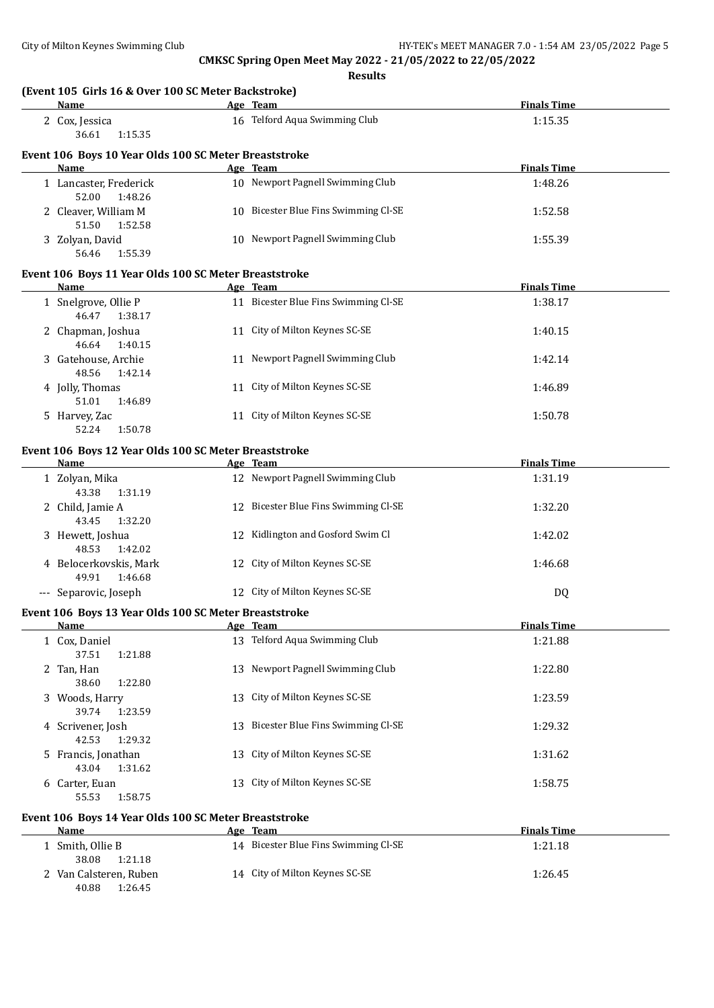| (Event 105 Girls 16 & Over 100 SC Meter Backstroke)<br>Name | Age Team                             | <b>Finals Time</b> |
|-------------------------------------------------------------|--------------------------------------|--------------------|
| 2 Cox, Jessica<br>36.61<br>1:15.35                          | 16 Telford Aqua Swimming Club        | 1:15.35            |
| Event 106 Boys 10 Year Olds 100 SC Meter Breaststroke       |                                      |                    |
| <b>Name</b>                                                 | Age Team                             | <b>Finals Time</b> |
| 1 Lancaster, Frederick<br>52.00<br>1:48.26                  | 10 Newport Pagnell Swimming Club     | 1:48.26            |
| 2 Cleaver, William M<br>51.50<br>1:52.58                    | 10 Bicester Blue Fins Swimming Cl-SE | 1:52.58            |
| 3 Zolyan, David<br>56.46<br>1:55.39                         | 10 Newport Pagnell Swimming Club     | 1:55.39            |
| Event 106 Boys 11 Year Olds 100 SC Meter Breaststroke       |                                      |                    |
| Name                                                        | Age Team                             | <b>Finals Time</b> |
| 1 Snelgrove, Ollie P<br>46.47<br>1:38.17                    | 11 Bicester Blue Fins Swimming Cl-SE | 1:38.17            |
| 2 Chapman, Joshua<br>46.64<br>1:40.15                       | 11 City of Milton Keynes SC-SE       | 1:40.15            |
| 3 Gatehouse, Archie<br>48.56<br>1:42.14                     | 11 Newport Pagnell Swimming Club     | 1:42.14            |
| 4 Jolly, Thomas<br>51.01<br>1:46.89                         | 11 City of Milton Keynes SC-SE       | 1:46.89            |
| 5 Harvey, Zac<br>1:50.78<br>52.24                           | 11 City of Milton Keynes SC-SE       | 1:50.78            |
| Event 106 Boys 12 Year Olds 100 SC Meter Breaststroke       |                                      |                    |
| Name                                                        | Age Team                             | <b>Finals Time</b> |
| 1 Zolyan, Mika<br>43.38<br>1:31.19                          | 12 Newport Pagnell Swimming Club     | 1:31.19            |
| 2 Child, Jamie A<br>43.45<br>1:32.20                        | 12 Bicester Blue Fins Swimming Cl-SE | 1:32.20            |
| 3 Hewett, Joshua<br>48.53<br>1:42.02                        | 12 Kidlington and Gosford Swim Cl    | 1:42.02            |
| 4 Belocerkovskis, Mark<br>49.91<br>1:46.68                  | 12 City of Milton Keynes SC-SE       | 1:46.68            |
| --- Separovic, Joseph                                       | 12 City of Milton Keynes SC-SE       | DQ                 |
| Event 106 Boys 13 Year Olds 100 SC Meter Breaststroke       |                                      |                    |
| Name                                                        | Age Team                             | <b>Finals Time</b> |
| 1 Cox, Daniel<br>37.51<br>1:21.88                           | 13 Telford Aqua Swimming Club        | 1:21.88            |
| 2 Tan, Han<br>38.60<br>1:22.80                              | 13 Newport Pagnell Swimming Club     | 1:22.80            |
| 3 Woods, Harry<br>39.74<br>1:23.59                          | 13 City of Milton Keynes SC-SE       | 1:23.59            |
| 4 Scrivener, Josh<br>42.53<br>1:29.32                       | 13 Bicester Blue Fins Swimming Cl-SE | 1:29.32            |
| 5 Francis, Jonathan<br>43.04<br>1:31.62                     | 13 City of Milton Keynes SC-SE       | 1:31.62            |
| 6 Carter, Euan<br>55.53<br>1:58.75                          | 13 City of Milton Keynes SC-SE       | 1:58.75            |
| Event 106 Boys 14 Year Olds 100 SC Meter Breaststroke       |                                      |                    |
| <b>Name</b>                                                 | Age Team                             | <b>Finals Time</b> |
| 1 Smith, Ollie B<br>38.08<br>1:21.18                        | 14 Bicester Blue Fins Swimming Cl-SE | 1:21.18            |
| 2 Van Calsteren, Ruben<br>40.88 1:26.45                     | 14 City of Milton Keynes SC-SE       | 1:26.45            |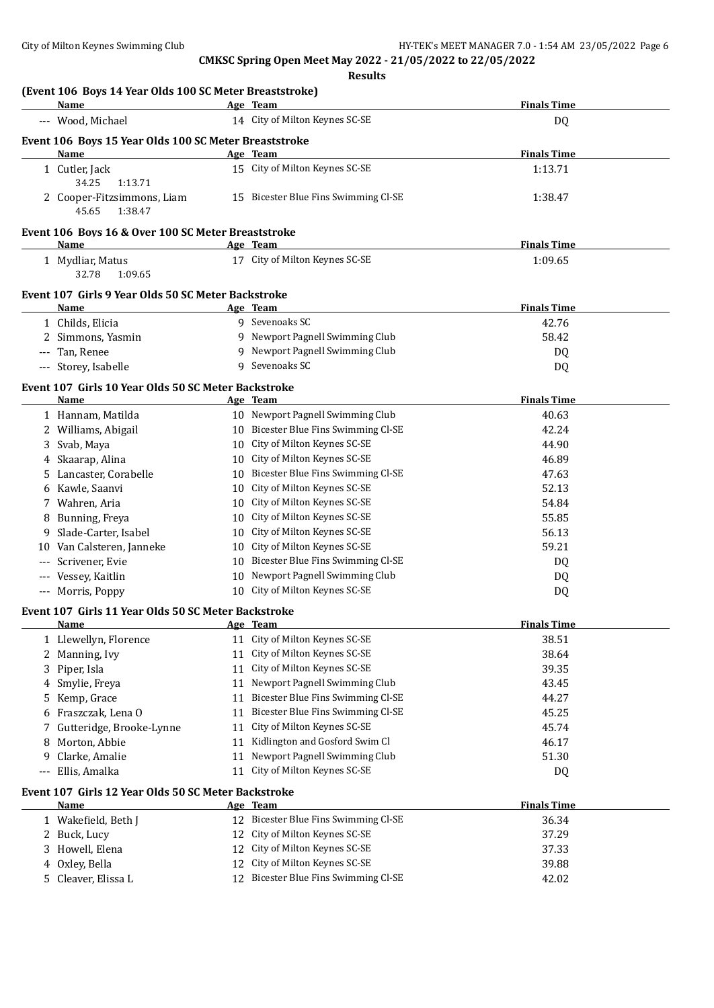| (Event 106 Boys 14 Year Olds 100 SC Meter Breaststroke)<br><b>Name</b> | Age Team                          |                                      | <b>Finals Time</b>          |
|------------------------------------------------------------------------|-----------------------------------|--------------------------------------|-----------------------------|
|                                                                        | 14 City of Milton Keynes SC-SE    |                                      |                             |
| --- Wood, Michael                                                      |                                   |                                      | DQ                          |
| Event 106 Boys 15 Year Olds 100 SC Meter Breaststroke<br><b>Name</b>   | Age Team                          |                                      | <b>Finals Time</b>          |
| 1 Cutler, Jack<br>34.25<br>1:13.71                                     | 15 City of Milton Keynes SC-SE    |                                      | 1:13.71                     |
| 2 Cooper-Fitzsimmons, Liam<br>45.65<br>1:38.47                         |                                   | 15 Bicester Blue Fins Swimming Cl-SE | 1:38.47                     |
| Event 106 Boys 16 & Over 100 SC Meter Breaststroke                     |                                   |                                      |                             |
| Name                                                                   | Age Team                          |                                      | <b>Finals Time</b>          |
| 1 Mydliar, Matus<br>32.78<br>1:09.65                                   | 17 City of Milton Keynes SC-SE    |                                      | 1:09.65                     |
| Event 107 Girls 9 Year Olds 50 SC Meter Backstroke                     |                                   |                                      |                             |
| Name                                                                   | Age Team<br>9 Sevenoaks SC        |                                      | <b>Finals Time</b>          |
| 1 Childs, Elicia                                                       |                                   | 9 Newport Pagnell Swimming Club      | 42.76<br>58.42              |
| 2 Simmons, Yasmin                                                      |                                   | 9 Newport Pagnell Swimming Club      |                             |
| --- Tan, Renee                                                         |                                   |                                      | DQ                          |
| --- Storey, Isabelle                                                   | 9 Sevenoaks SC                    |                                      | DQ                          |
| Event 107 Girls 10 Year Olds 50 SC Meter Backstroke                    |                                   |                                      |                             |
| <b>Name</b>                                                            | Age Team                          | 10 Newport Pagnell Swimming Club     | <b>Finals Time</b><br>40.63 |
| 1 Hannam, Matilda<br>2 Williams, Abigail                               |                                   | 10 Bicester Blue Fins Swimming Cl-SE | 42.24                       |
| 3 Svab, Maya                                                           | 10 City of Milton Keynes SC-SE    |                                      | 44.90                       |
| 4 Skaarap, Alina                                                       | 10 City of Milton Keynes SC-SE    |                                      | 46.89                       |
| 5 Lancaster, Corabelle                                                 |                                   | 10 Bicester Blue Fins Swimming Cl-SE | 47.63                       |
| 6 Kawle, Saanvi                                                        | 10 City of Milton Keynes SC-SE    |                                      | 52.13                       |
|                                                                        | 10 City of Milton Keynes SC-SE    |                                      | 54.84                       |
| 7 Wahren, Aria                                                         | 10 City of Milton Keynes SC-SE    |                                      |                             |
| Bunning, Freya<br>8<br>Slade-Carter, Isabel                            | 10 City of Milton Keynes SC-SE    |                                      | 55.85<br>56.13              |
| 9<br>10 Van Calsteren, Janneke                                         | 10 City of Milton Keynes SC-SE    |                                      | 59.21                       |
| Scrivener, Evie<br>---                                                 |                                   | 10 Bicester Blue Fins Swimming Cl-SE |                             |
| --- Vessey, Kaitlin                                                    |                                   | 10 Newport Pagnell Swimming Club     | DQ                          |
| --- Morris, Poppy                                                      | 10 City of Milton Keynes SC-SE    |                                      | DQ                          |
|                                                                        |                                   |                                      | DQ                          |
| Event 107 Girls 11 Year Olds 50 SC Meter Backstroke<br><u>Name</u>     | Age Team                          |                                      | <b>Finals Time</b>          |
| 1 Llewellyn, Florence                                                  | 11 City of Milton Keynes SC-SE    |                                      | 38.51                       |
| 2 Manning, Ivy                                                         | 11 City of Milton Keynes SC-SE    |                                      | 38.64                       |
| Piper, Isla<br>3                                                       | 11 City of Milton Keynes SC-SE    |                                      | 39.35                       |
| Smylie, Freya<br>4                                                     |                                   | 11 Newport Pagnell Swimming Club     | 43.45                       |
| Kemp, Grace<br>5                                                       | 11                                | Bicester Blue Fins Swimming Cl-SE    | 44.27                       |
| Fraszczak, Lena O<br>6                                                 | 11                                | Bicester Blue Fins Swimming Cl-SE    | 45.25                       |
| Gutteridge, Brooke-Lynne<br>7                                          | City of Milton Keynes SC-SE<br>11 |                                      | 45.74                       |
| Morton, Abbie<br>8                                                     | 11                                | Kidlington and Gosford Swim Cl       | 46.17                       |
| Clarke, Amalie<br>9                                                    | 11                                | Newport Pagnell Swimming Club        | 51.30                       |
| Ellis, Amalka                                                          | City of Milton Keynes SC-SE<br>11 |                                      | DQ                          |
| Event 107 Girls 12 Year Olds 50 SC Meter Backstroke                    |                                   |                                      |                             |
| Name                                                                   | Age Team                          |                                      | <b>Finals Time</b>          |
| 1 Wakefield, Beth J                                                    |                                   | 12 Bicester Blue Fins Swimming Cl-SE | 36.34                       |
| 2 Buck, Lucy                                                           | City of Milton Keynes SC-SE<br>12 |                                      | 37.29                       |
| 3 Howell, Elena                                                        | City of Milton Keynes SC-SE<br>12 |                                      | 37.33                       |
| 4 Oxley, Bella                                                         | City of Milton Keynes SC-SE<br>12 |                                      | 39.88                       |
| 5 Cleaver, Elissa L                                                    | 12                                | Bicester Blue Fins Swimming Cl-SE    | 42.02                       |
|                                                                        |                                   |                                      |                             |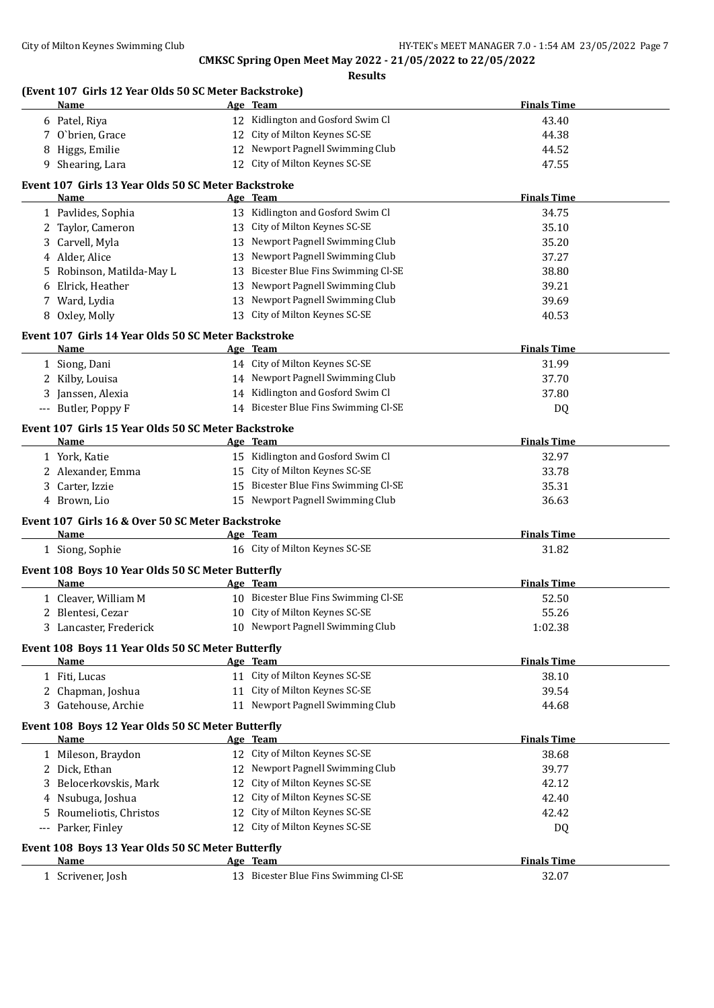**Results**

# **(Event 107 Girls 12 Year Olds 50 SC Meter Backstroke)**

|    | Name                                                | Age Team                                   | <b>Finals Time</b> |
|----|-----------------------------------------------------|--------------------------------------------|--------------------|
|    | 6 Patel, Riya                                       | 12 Kidlington and Gosford Swim Cl          | 43.40              |
|    | 7 O'brien, Grace                                    | 12 City of Milton Keynes SC-SE             | 44.38              |
| 8  | Higgs, Emilie                                       | 12 Newport Pagnell Swimming Club           | 44.52              |
| 9  | Shearing, Lara                                      | 12 City of Milton Keynes SC-SE             | 47.55              |
|    | Event 107 Girls 13 Year Olds 50 SC Meter Backstroke |                                            |                    |
|    | Name                                                | Age Team                                   | <b>Finals Time</b> |
|    | 1 Pavlides, Sophia                                  | 13 Kidlington and Gosford Swim Cl          | 34.75              |
|    | 2 Taylor, Cameron                                   | 13 City of Milton Keynes SC-SE             | 35.10              |
|    | Carvell, Myla                                       | 13 Newport Pagnell Swimming Club           | 35.20              |
| 4  | Alder, Alice                                        | 13 Newport Pagnell Swimming Club           | 37.27              |
| 5  | Robinson, Matilda-May L                             | 13 Bicester Blue Fins Swimming Cl-SE       | 38.80              |
| 6  | Elrick, Heather                                     | 13 Newport Pagnell Swimming Club           | 39.21              |
|    | 7 Ward, Lydia                                       | 13 Newport Pagnell Swimming Club           | 39.69              |
|    | 8 Oxley, Molly                                      | 13 City of Milton Keynes SC-SE             | 40.53              |
|    |                                                     |                                            |                    |
|    | Event 107 Girls 14 Year Olds 50 SC Meter Backstroke |                                            |                    |
|    | <b>Name</b>                                         | Age Team<br>14 City of Milton Keynes SC-SE | <b>Finals Time</b> |
|    | 1 Siong, Dani                                       | 14 Newport Pagnell Swimming Club           | 31.99<br>37.70     |
|    | 2 Kilby, Louisa                                     | 14 Kidlington and Gosford Swim Cl          | 37.80              |
|    | Janssen, Alexia<br>--- Butler, Poppy F              | 14 Bicester Blue Fins Swimming Cl-SE       |                    |
|    |                                                     |                                            | DQ                 |
|    | Event 107 Girls 15 Year Olds 50 SC Meter Backstroke |                                            |                    |
|    | Name                                                | Age Team                                   | <b>Finals Time</b> |
|    | 1 York, Katie                                       | 15 Kidlington and Gosford Swim Cl          | 32.97              |
|    | 2 Alexander, Emma                                   | 15 City of Milton Keynes SC-SE             | 33.78              |
| 3  | Carter, Izzie                                       | 15 Bicester Blue Fins Swimming Cl-SE       | 35.31              |
|    | 4 Brown, Lio                                        | 15 Newport Pagnell Swimming Club           | 36.63              |
|    | Event 107 Girls 16 & Over 50 SC Meter Backstroke    |                                            |                    |
|    | Name                                                | Age Team                                   | <b>Finals Time</b> |
|    | 1 Siong, Sophie                                     | 16 City of Milton Keynes SC-SE             | 31.82              |
|    | Event 108 Boys 10 Year Olds 50 SC Meter Butterfly   |                                            |                    |
|    | <u>Name</u>                                         | Age Team                                   | <b>Finals Time</b> |
|    | 1 Cleaver, William M                                | 10 Bicester Blue Fins Swimming Cl-SE       | 52.50              |
|    | 2 Blentesi, Cezar                                   | 10 City of Milton Keynes SC-SE             | 55.26              |
|    | 3 Lancaster, Frederick                              | 10 Newport Pagnell Swimming Club           | 1:02.38            |
|    | Event 108 Boys 11 Year Olds 50 SC Meter Butterfly   |                                            |                    |
|    | Name                                                | Age Team                                   | <b>Finals Time</b> |
|    | 1 Fiti, Lucas                                       | 11 City of Milton Keynes SC-SE             | 38.10              |
|    | 2 Chapman, Joshua                                   | 11 City of Milton Keynes SC-SE             | 39.54              |
|    | 3 Gatehouse, Archie                                 | 11 Newport Pagnell Swimming Club           | 44.68              |
|    |                                                     |                                            |                    |
|    | Event 108 Boys 12 Year Olds 50 SC Meter Butterfly   |                                            |                    |
|    | Name                                                | Age Team<br>12 City of Milton Keynes SC-SE | <b>Finals Time</b> |
|    | 1 Mileson, Braydon                                  | 12 Newport Pagnell Swimming Club           | 38.68              |
|    | 2 Dick, Ethan                                       | 12 City of Milton Keynes SC-SE             | 39.77              |
|    | Belocerkovskis, Mark                                |                                            | 42.12              |
|    | 4 Nsubuga, Joshua                                   | 12 City of Milton Keynes SC-SE             | 42.40              |
| 5. | Roumeliotis, Christos                               | 12 City of Milton Keynes SC-SE             | 42.42              |
|    | --- Parker, Finley                                  | 12 City of Milton Keynes SC-SE             | <b>DQ</b>          |
|    | Event 108 Boys 13 Year Olds 50 SC Meter Butterfly   |                                            |                    |
|    | Name                                                | Age Team                                   | <b>Finals Time</b> |
|    | 1 Scrivener, Josh                                   | 13 Bicester Blue Fins Swimming Cl-SE       | 32.07              |
|    |                                                     |                                            |                    |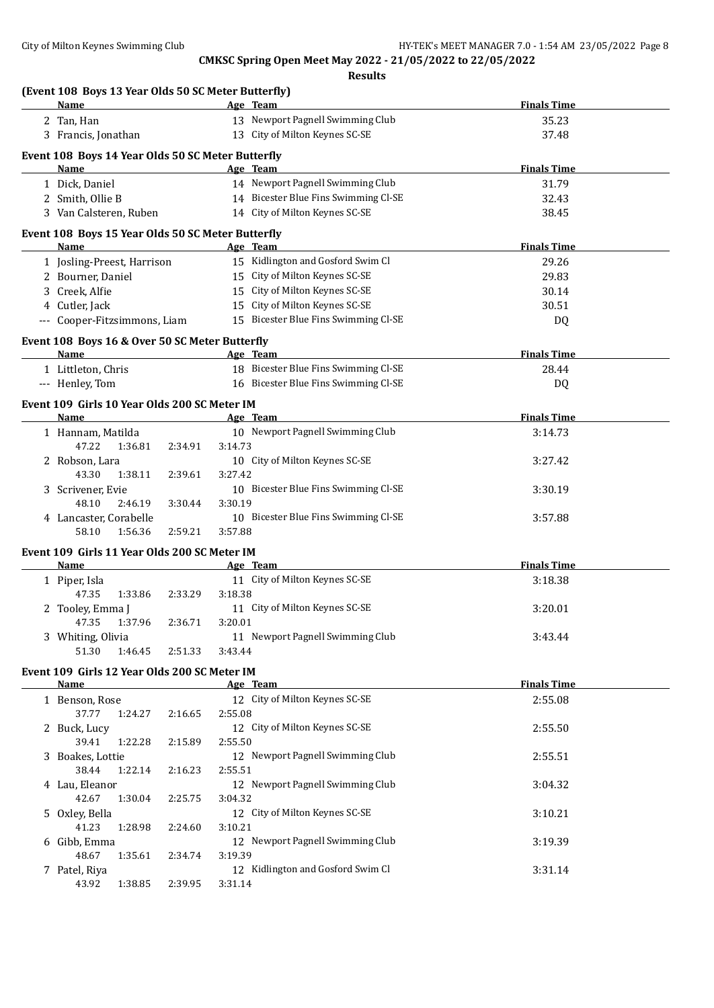| (Event 108 Boys 13 Year Olds 50 SC Meter Butterfly) |         |         |                                      |                    |
|-----------------------------------------------------|---------|---------|--------------------------------------|--------------------|
| Name                                                |         |         | Age Team                             | <b>Finals Time</b> |
| 2 Tan, Han                                          |         |         | 13 Newport Pagnell Swimming Club     | 35.23              |
| 3 Francis, Jonathan                                 |         |         | 13 City of Milton Keynes SC-SE       | 37.48              |
| Event 108 Boys 14 Year Olds 50 SC Meter Butterfly   |         |         |                                      |                    |
| Name                                                |         |         | Age Team                             | <b>Finals Time</b> |
| 1 Dick, Daniel                                      |         |         | 14 Newport Pagnell Swimming Club     | 31.79              |
| 2 Smith, Ollie B                                    |         |         | 14 Bicester Blue Fins Swimming Cl-SE | 32.43              |
| 3 Van Calsteren, Ruben                              |         |         | 14 City of Milton Keynes SC-SE       | 38.45              |
| Event 108 Boys 15 Year Olds 50 SC Meter Butterfly   |         |         |                                      |                    |
| Name                                                |         |         | Age Team                             | <b>Finals Time</b> |
| 1 Josling-Preest, Harrison                          |         |         | 15 Kidlington and Gosford Swim Cl    | 29.26              |
| 2 Bourner, Daniel                                   |         |         | 15 City of Milton Keynes SC-SE       | 29.83              |
| 3 Creek, Alfie                                      |         |         | 15 City of Milton Keynes SC-SE       | 30.14              |
| 4 Cutler, Jack                                      |         |         | 15 City of Milton Keynes SC-SE       | 30.51              |
| --- Cooper-Fitzsimmons, Liam                        |         |         | 15 Bicester Blue Fins Swimming Cl-SE | DQ                 |
|                                                     |         |         |                                      |                    |
| Event 108 Boys 16 & Over 50 SC Meter Butterfly      |         |         | Age Team                             |                    |
| Name                                                |         |         |                                      | <b>Finals Time</b> |
| 1 Littleton, Chris                                  |         |         | 18 Bicester Blue Fins Swimming Cl-SE | 28.44              |
| --- Henley, Tom                                     |         |         | 16 Bicester Blue Fins Swimming Cl-SE | DQ                 |
| Event 109 Girls 10 Year Olds 200 SC Meter IM        |         |         |                                      |                    |
| Name                                                |         |         | Age Team                             | <b>Finals Time</b> |
| 1 Hannam, Matilda                                   |         |         | 10 Newport Pagnell Swimming Club     | 3:14.73            |
| 47.22<br>1:36.81                                    | 2:34.91 | 3:14.73 |                                      |                    |
| 2 Robson, Lara                                      |         |         | 10 City of Milton Keynes SC-SE       | 3:27.42            |
| 43.30<br>1:38.11                                    | 2:39.61 | 3:27.42 |                                      |                    |
| 3 Scrivener, Evie                                   |         |         | 10 Bicester Blue Fins Swimming Cl-SE | 3:30.19            |
| 48.10<br>2:46.19                                    | 3:30.44 | 3:30.19 |                                      |                    |
| 4 Lancaster, Corabelle                              |         |         | 10 Bicester Blue Fins Swimming Cl-SE | 3:57.88            |
| 58.10<br>1:56.36                                    | 2:59.21 | 3:57.88 |                                      |                    |
| Event 109 Girls 11 Year Olds 200 SC Meter IM        |         |         |                                      |                    |
| <b>Name</b>                                         |         |         | Age Team                             | <b>Finals Time</b> |
| 1 Piper, Isla                                       |         |         | 11 City of Milton Keynes SC-SE       | 3:18.38            |
| 47.35<br>1:33.86                                    | 2:33.29 | 3:18.38 |                                      |                    |
| 2 Tooley, Emma J                                    |         |         | 11 City of Milton Keynes SC-SE       | 3:20.01            |
| 47.35 1:37.96                                       | 2:36.71 | 3:20.01 |                                      |                    |
| 3 Whiting, Olivia                                   |         |         | 11 Newport Pagnell Swimming Club     | 3:43.44            |
| 51.30<br>1:46.45                                    | 2:51.33 | 3:43.44 |                                      |                    |
| Event 109 Girls 12 Year Olds 200 SC Meter IM        |         |         |                                      |                    |
| <u>Name</u>                                         |         |         | Age Team                             | <b>Finals Time</b> |
| 1 Benson, Rose                                      |         |         | 12 City of Milton Keynes SC-SE       | 2:55.08            |
| 37.77<br>1:24.27                                    | 2:16.65 | 2:55.08 |                                      |                    |
| 2 Buck, Lucy                                        |         |         | 12 City of Milton Keynes SC-SE       | 2:55.50            |
| 39.41<br>1:22.28                                    | 2:15.89 | 2:55.50 |                                      |                    |
| 3 Boakes, Lottie                                    |         |         | 12 Newport Pagnell Swimming Club     | 2:55.51            |
| 38.44<br>1:22.14                                    | 2:16.23 | 2:55.51 |                                      |                    |
| 4 Lau, Eleanor                                      |         |         | 12 Newport Pagnell Swimming Club     | 3:04.32            |
| 42.67<br>1:30.04                                    | 2:25.75 | 3:04.32 |                                      |                    |
| 5 Oxley, Bella                                      |         |         | 12 City of Milton Keynes SC-SE       | 3:10.21            |
| 41.23<br>1:28.98                                    | 2:24.60 | 3:10.21 |                                      |                    |
| 6 Gibb, Emma                                        |         |         | 12 Newport Pagnell Swimming Club     | 3:19.39            |
| 48.67<br>1:35.61                                    | 2:34.74 | 3:19.39 |                                      |                    |
| 7 Patel, Riya                                       |         |         | 12 Kidlington and Gosford Swim Cl    | 3:31.14            |
| 43.92<br>1:38.85                                    | 2:39.95 | 3:31.14 |                                      |                    |
|                                                     |         |         |                                      |                    |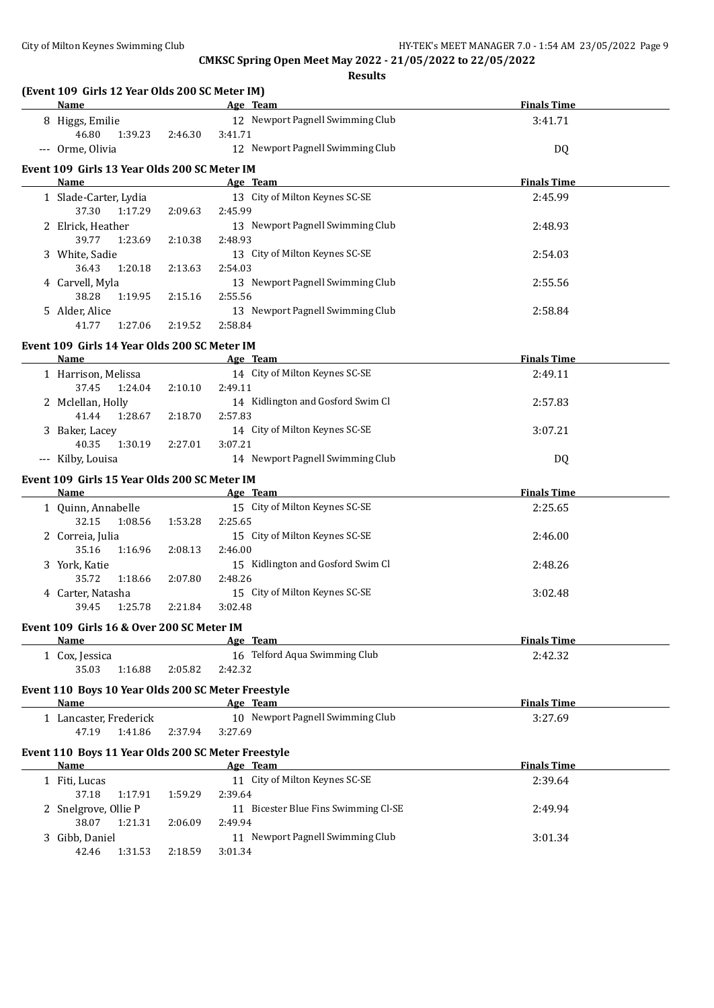| (Event 109 Girls 12 Year Olds 200 SC Meter IM)<br><b>Name</b> |         | Age Team                                    | <b>Finals Time</b> |
|---------------------------------------------------------------|---------|---------------------------------------------|--------------------|
| 8 Higgs, Emilie                                               |         | 12 Newport Pagnell Swimming Club            | 3:41.71            |
| 46.80<br>1:39.23                                              | 2:46.30 | 3:41.71                                     |                    |
| --- Orme, Olivia                                              |         | 12 Newport Pagnell Swimming Club            | DQ                 |
| Event 109 Girls 13 Year Olds 200 SC Meter IM                  |         |                                             |                    |
| Name                                                          |         | Age Team                                    | <b>Finals Time</b> |
| 1 Slade-Carter, Lydia                                         |         | 13 City of Milton Keynes SC-SE              | 2:45.99            |
| 37.30<br>1:17.29                                              | 2:09.63 | 2:45.99                                     |                    |
| 2 Elrick, Heather                                             |         | 13 Newport Pagnell Swimming Club            | 2:48.93            |
| 39.77<br>1:23.69                                              | 2:10.38 | 2:48.93                                     |                    |
| 3 White, Sadie                                                |         | 13 City of Milton Keynes SC-SE              | 2:54.03            |
| 36.43<br>1:20.18                                              | 2:13.63 | 2:54.03                                     |                    |
| 4 Carvell, Myla                                               |         | 13 Newport Pagnell Swimming Club            | 2:55.56            |
| 38.28<br>1:19.95<br>5 Alder, Alice                            | 2:15.16 | 2:55.56<br>13 Newport Pagnell Swimming Club | 2:58.84            |
| 41.77<br>1:27.06                                              | 2:19.52 | 2:58.84                                     |                    |
|                                                               |         |                                             |                    |
| Event 109 Girls 14 Year Olds 200 SC Meter IM                  |         |                                             |                    |
| Name                                                          |         | Age Team                                    | <b>Finals Time</b> |
| 1 Harrison, Melissa<br>37.45<br>1:24.04                       | 2:10.10 | 14 City of Milton Keynes SC-SE<br>2:49.11   | 2:49.11            |
| 2 Mclellan, Holly                                             |         | 14 Kidlington and Gosford Swim Cl           | 2:57.83            |
| 41.44<br>1:28.67                                              | 2:18.70 | 2:57.83                                     |                    |
| 3 Baker, Lacey                                                |         | 14 City of Milton Keynes SC-SE              | 3:07.21            |
| 40.35<br>1:30.19                                              | 2:27.01 | 3:07.21                                     |                    |
| --- Kilby, Louisa                                             |         | 14 Newport Pagnell Swimming Club            | DQ                 |
| Event 109 Girls 15 Year Olds 200 SC Meter IM                  |         |                                             |                    |
| Name                                                          |         | Age Team                                    | <b>Finals Time</b> |
| 1 Quinn, Annabelle                                            |         | 15 City of Milton Keynes SC-SE              | 2:25.65            |
| 32.15<br>1:08.56                                              | 1:53.28 | 2:25.65                                     |                    |
| 2 Correia, Julia                                              |         | 15 City of Milton Keynes SC-SE              | 2:46.00            |
| 35.16<br>1:16.96                                              | 2:08.13 | 2:46.00                                     |                    |
| 3 York, Katie                                                 |         | 15 Kidlington and Gosford Swim Cl           | 2:48.26            |
| 35.72<br>1:18.66                                              | 2:07.80 | 2:48.26                                     |                    |
| 4 Carter, Natasha                                             |         | 15 City of Milton Keynes SC-SE              | 3:02.48            |
| 1:25.78<br>39.45                                              | 2:21.84 | 3:02.48                                     |                    |
| Event 109 Girls 16 & Over 200 SC Meter IM                     |         |                                             |                    |
| Name                                                          |         | Age Team                                    | <b>Finals Time</b> |
| 1 Cox, Jessica                                                |         | 16 Telford Aqua Swimming Club               | 2:42.32            |
| 35.03<br>1:16.88                                              | 2:05.82 | 2:42.32                                     |                    |
| Event 110 Boys 10 Year Olds 200 SC Meter Freestyle            |         |                                             |                    |
| Name                                                          |         | Age Team                                    | <b>Finals Time</b> |
| 1 Lancaster, Frederick                                        |         | 10 Newport Pagnell Swimming Club            | 3:27.69            |
| 47.19<br>1:41.86                                              | 2:37.94 | 3:27.69                                     |                    |
| Event 110 Boys 11 Year Olds 200 SC Meter Freestyle            |         |                                             |                    |
| Name                                                          |         | Age Team                                    | <b>Finals Time</b> |
| 1 Fiti, Lucas                                                 |         | 11 City of Milton Keynes SC-SE              | 2:39.64            |
| 37.18<br>1:17.91                                              | 1:59.29 | 2:39.64                                     |                    |
| 2 Snelgrove, Ollie P                                          |         | 11 Bicester Blue Fins Swimming Cl-SE        | 2:49.94            |
| 38.07<br>1:21.31                                              | 2:06.09 | 2:49.94                                     |                    |
| 3 Gibb, Daniel                                                |         | 11 Newport Pagnell Swimming Club            | 3:01.34            |
| 42.46<br>1:31.53                                              | 2:18.59 | 3:01.34                                     |                    |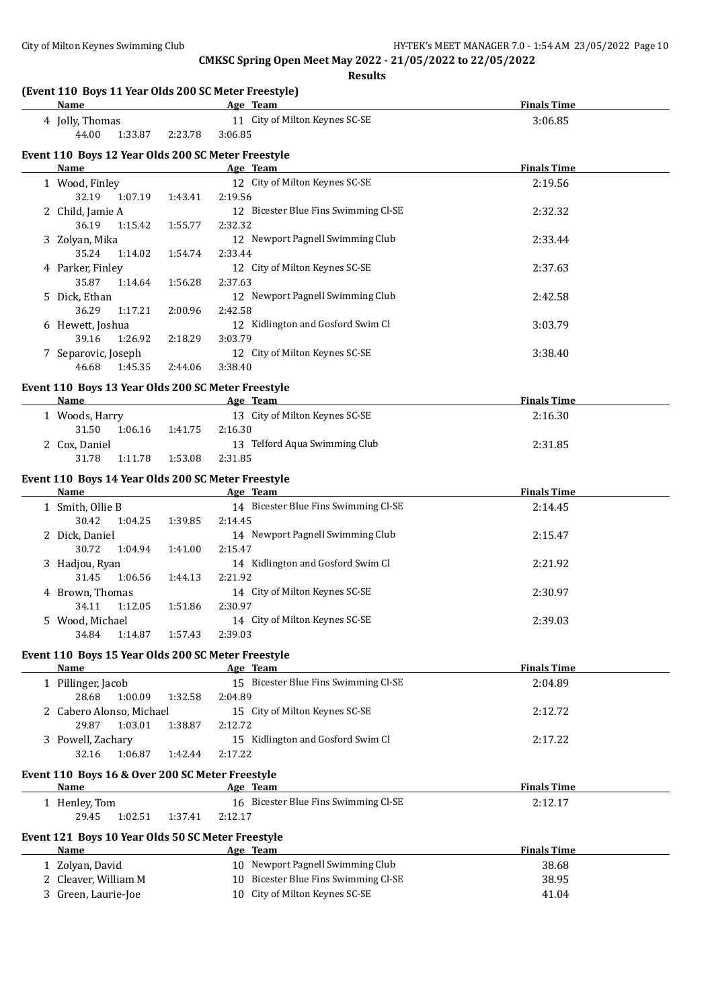| Name                                               |         | Age Team                                                               | <b>Finals Time</b> |
|----------------------------------------------------|---------|------------------------------------------------------------------------|--------------------|
| 4 Jolly, Thomas                                    |         | 11 City of Milton Keynes SC-SE                                         | 3:06.85            |
| 44.00<br>1:33.87                                   | 2:23.78 | 3:06.85                                                                |                    |
| Event 110 Boys 12 Year Olds 200 SC Meter Freestyle |         |                                                                        |                    |
| Name                                               |         | Age Team                                                               | <b>Finals Time</b> |
| 1 Wood, Finley                                     |         | 12 City of Milton Keynes SC-SE                                         | 2:19.56            |
| 32.19 1:07.19                                      | 1:43.41 | 2:19.56                                                                |                    |
| 2 Child, Jamie A                                   |         | 12 Bicester Blue Fins Swimming Cl-SE                                   | 2:32.32            |
| 36.19<br>1:15.42                                   | 1:55.77 | 2:32.32                                                                |                    |
| 3 Zolyan, Mika                                     |         | 12 Newport Pagnell Swimming Club                                       | 2:33.44            |
| 35.24<br>1:14.02                                   | 1:54.74 | 2:33.44                                                                |                    |
| 4 Parker, Finley                                   |         | 12 City of Milton Keynes SC-SE                                         | 2:37.63            |
| 35.87<br>1:14.64                                   | 1:56.28 | 2:37.63                                                                |                    |
| 5 Dick, Ethan                                      |         | 12 Newport Pagnell Swimming Club                                       | 2:42.58            |
| 36.29<br>1:17.21                                   | 2:00.96 | 2:42.58                                                                |                    |
| 6 Hewett, Joshua                                   |         | 12 Kidlington and Gosford Swim Cl                                      | 3:03.79            |
| 39.16<br>1:26.92                                   | 2:18.29 | 3:03.79                                                                |                    |
| 7 Separovic, Joseph                                |         | 12 City of Milton Keynes SC-SE                                         | 3:38.40            |
| 46.68<br>1:45.35                                   | 2:44.06 | 3:38.40                                                                |                    |
| Event 110 Boys 13 Year Olds 200 SC Meter Freestyle |         |                                                                        |                    |
| Name                                               |         | Age Team                                                               | <b>Finals Time</b> |
| 1 Woods, Harry                                     |         | 13 City of Milton Keynes SC-SE                                         | 2:16.30            |
| 31.50<br>1:06.16                                   | 1:41.75 | 2:16.30                                                                |                    |
| 2 Cox, Daniel                                      |         | 13 Telford Aqua Swimming Club                                          | 2:31.85            |
| 31.78<br>1:11.78                                   | 1:53.08 | 2:31.85                                                                |                    |
| Event 110 Boys 14 Year Olds 200 SC Meter Freestyle |         |                                                                        |                    |
| Name                                               |         | Age Team                                                               | <b>Finals Time</b> |
| 1 Smith, Ollie B                                   |         | 14 Bicester Blue Fins Swimming Cl-SE                                   | 2:14.45            |
| 30.42<br>1:04.25                                   | 1:39.85 | 2:14.45                                                                |                    |
| 2 Dick, Daniel                                     |         | 14 Newport Pagnell Swimming Club                                       | 2:15.47            |
| 30.72<br>1:04.94                                   | 1:41.00 | 2:15.47                                                                |                    |
| 3 Hadjou, Ryan                                     |         | 14 Kidlington and Gosford Swim Cl                                      | 2:21.92            |
| 31.45<br>1:06.56                                   | 1:44.13 | 2:21.92                                                                |                    |
| 4 Brown, Thomas                                    |         | 14 City of Milton Keynes SC-SE                                         | 2:30.97            |
| 34.11<br>1:12.05                                   | 1:51.86 | 2:30.97                                                                |                    |
| 5 Wood, Michael                                    |         | 14 City of Milton Keynes SC-SE                                         | 2:39.03            |
| 34.84<br>1:14.87                                   | 1:57.43 | 2:39.03                                                                |                    |
| Event 110 Boys 15 Year Olds 200 SC Meter Freestyle |         |                                                                        |                    |
| Name                                               |         | Age Team                                                               | <b>Finals Time</b> |
| 1 Pillinger, Jacob                                 |         | 15 Bicester Blue Fins Swimming Cl-SE                                   | 2:04.89            |
| 28.68<br>1:00.09                                   | 1:32.58 | 2:04.89                                                                |                    |
| 2 Cabero Alonso, Michael                           |         | 15 City of Milton Keynes SC-SE                                         | 2:12.72            |
| 29.87<br>1:03.01                                   | 1:38.87 | 2:12.72                                                                |                    |
| 3 Powell, Zachary                                  |         | 15 Kidlington and Gosford Swim Cl                                      | 2:17.22            |
| 1:06.87<br>32.16                                   | 1:42.44 | 2:17.22                                                                |                    |
| Event 110 Boys 16 & Over 200 SC Meter Freestyle    |         |                                                                        |                    |
| Name                                               |         | Age Team                                                               | <b>Finals Time</b> |
| 1 Henley, Tom                                      |         | 16 Bicester Blue Fins Swimming Cl-SE                                   | 2:12.17            |
| 29.45<br>1:02.51                                   | 1:37.41 | 2:12.17                                                                |                    |
|                                                    |         |                                                                        |                    |
| Event 121 Boys 10 Year Olds 50 SC Meter Freestyle  |         |                                                                        |                    |
| <b>Name</b>                                        |         | Age Team                                                               | <b>Finals Time</b> |
|                                                    |         | 10 Newport Pagnell Swimming Club                                       | 38.68              |
| 1 Zolyan, David                                    |         |                                                                        |                    |
| 2 Cleaver, William M<br>3 Green, Laurie-Joe        |         | 10 Bicester Blue Fins Swimming Cl-SE<br>10 City of Milton Keynes SC-SE | 38.95<br>41.04     |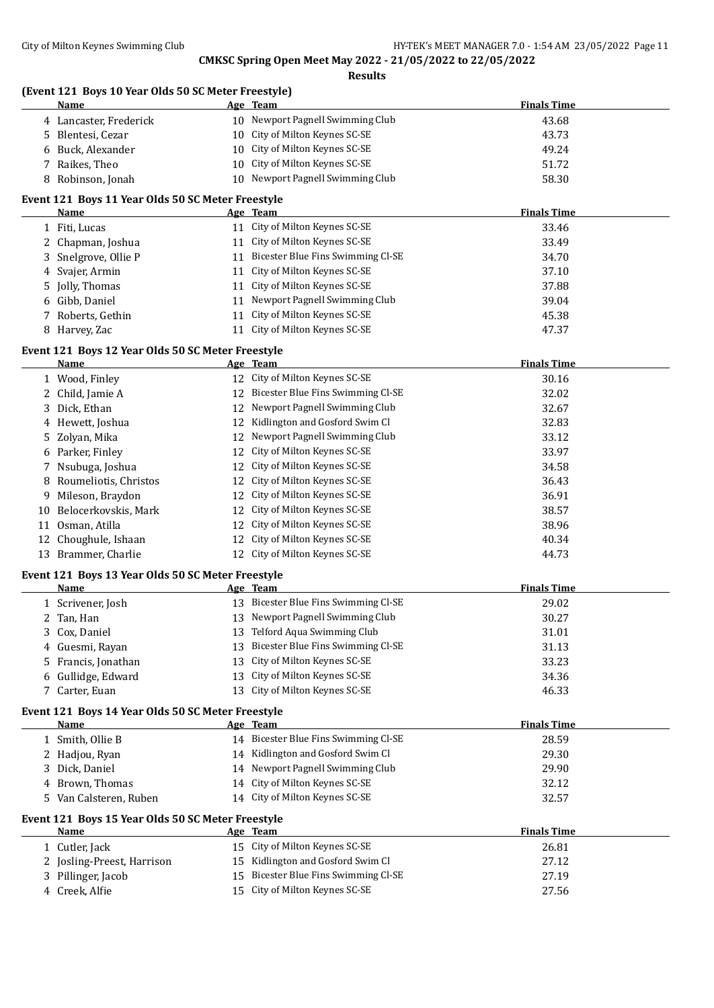| Name                                                      |          | Age Team                                         | <b>Finals Time</b> |
|-----------------------------------------------------------|----------|--------------------------------------------------|--------------------|
| 4 Lancaster, Frederick                                    |          | 10 Newport Pagnell Swimming Club                 | 43.68              |
| 5 Blentesi, Cezar                                         |          | 10 City of Milton Keynes SC-SE                   | 43.73              |
| 6 Buck, Alexander                                         | 10       | City of Milton Keynes SC-SE                      | 49.24              |
| Raikes, Theo<br>7                                         | 10       | City of Milton Keynes SC-SE                      | 51.72              |
| 8 Robinson, Jonah                                         |          | 10 Newport Pagnell Swimming Club                 | 58.30              |
| Event 121 Boys 11 Year Olds 50 SC Meter Freestyle         |          |                                                  |                    |
| Name                                                      |          | Age Team                                         | <b>Finals Time</b> |
| 1 Fiti, Lucas                                             |          | 11 City of Milton Keynes SC-SE                   | 33.46              |
| 2 Chapman, Joshua                                         |          | 11 City of Milton Keynes SC-SE                   | 33.49              |
| Snelgrove, Ollie P<br>3                                   |          | 11 Bicester Blue Fins Swimming Cl-SE             | 34.70              |
| Svajer, Armin<br>4                                        |          | 11 City of Milton Keynes SC-SE                   | 37.10              |
| Jolly, Thomas<br>5                                        |          | 11 City of Milton Keynes SC-SE                   | 37.88              |
| 6 Gibb, Daniel                                            |          | 11 Newport Pagnell Swimming Club                 | 39.04              |
| 7 Roberts, Gethin                                         |          | 11 City of Milton Keynes SC-SE                   | 45.38              |
| 8 Harvey, Zac                                             |          | 11 City of Milton Keynes SC-SE                   | 47.37              |
|                                                           |          |                                                  |                    |
| Event 121 Boys 12 Year Olds 50 SC Meter Freestyle<br>Name |          | Age Team                                         | <b>Finals Time</b> |
| 1 Wood, Finley                                            |          | 12 City of Milton Keynes SC-SE                   | 30.16              |
| 2 Child, Jamie A                                          |          | 12 Bicester Blue Fins Swimming Cl-SE             | 32.02              |
| Dick, Ethan<br>3                                          |          | 12 Newport Pagnell Swimming Club                 | 32.67              |
| 4 Hewett, Joshua                                          | 12       | Kidlington and Gosford Swim Cl                   | 32.83              |
| Zolyan, Mika<br>5                                         | 12       | Newport Pagnell Swimming Club                    | 33.12              |
| 6 Parker, Finley                                          | 12       | City of Milton Keynes SC-SE                      | 33.97              |
| Nsubuga, Joshua<br>7                                      | 12       | City of Milton Keynes SC-SE                      | 34.58              |
| Roumeliotis, Christos<br>8                                | 12       | City of Milton Keynes SC-SE                      | 36.43              |
| Mileson, Braydon<br>9                                     | 12       | City of Milton Keynes SC-SE                      | 36.91              |
| Belocerkovskis, Mark<br>10                                | 12       | City of Milton Keynes SC-SE                      | 38.57              |
| Osman, Atilla                                             | 12       | City of Milton Keynes SC-SE                      | 38.96              |
| 11                                                        | 12       | City of Milton Keynes SC-SE                      |                    |
| Choughule, Ishaan<br>12                                   |          | 12 City of Milton Keynes SC-SE                   | 40.34              |
| 13 Brammer, Charlie                                       |          |                                                  | 44.73              |
| Event 121 Boys 13 Year Olds 50 SC Meter Freestyle         |          |                                                  |                    |
| <u>Name</u>                                               |          | Age Team<br>13 Bicester Blue Fins Swimming Cl-SE | <b>Finals Time</b> |
| 1 Scrivener, Josh                                         |          | 13 Newport Pagnell Swimming Club                 | 29.02              |
| 2 Tan, Han                                                |          | Telford Aqua Swimming Club                       | 30.27              |
| Cox, Daniel<br>3.                                         | 13       | Bicester Blue Fins Swimming Cl-SE                | 31.01              |
| Guesmi, Rayan<br>4<br>Francis, Jonathan                   | 13       | City of Milton Keynes SC-SE                      | 31.13              |
| 5.                                                        | 13       | City of Milton Keynes SC-SE                      | 33.23              |
| 6 Gullidge, Edward                                        | 13<br>13 | City of Milton Keynes SC-SE                      | 34.36              |
| 7 Carter, Euan                                            |          |                                                  | 46.33              |
| Event 121 Boys 14 Year Olds 50 SC Meter Freestyle         |          |                                                  |                    |
| Name                                                      |          | Age Team<br>14 Bicester Blue Fins Swimming Cl-SE | <b>Finals Time</b> |
| 1 Smith, Ollie B<br>2 Hadjou, Ryan                        |          | 14 Kidlington and Gosford Swim Cl                | 28.59              |
| 3 Dick, Daniel                                            |          | 14 Newport Pagnell Swimming Club                 | 29.30<br>29.90     |
| 4 Brown, Thomas                                           |          | 14 City of Milton Keynes SC-SE                   | 32.12              |
| 5 Van Calsteren, Ruben                                    |          | 14 City of Milton Keynes SC-SE                   |                    |
|                                                           |          |                                                  | 32.57              |
| Event 121 Boys 15 Year Olds 50 SC Meter Freestyle         |          |                                                  |                    |
| <b>Name</b>                                               |          | Age Team                                         | <b>Finals Time</b> |
| 1 Cutler, Jack                                            |          | 15 City of Milton Keynes SC-SE                   | 26.81              |
| 2 Josling-Preest, Harrison                                | 15       | Kidlington and Gosford Swim Cl                   | 27.12              |
| 3 Pillinger, Jacob                                        | 15       | Bicester Blue Fins Swimming Cl-SE                | 27.19              |
| 4 Creek, Alfie                                            |          | 15 City of Milton Keynes SC-SE                   | 27.56              |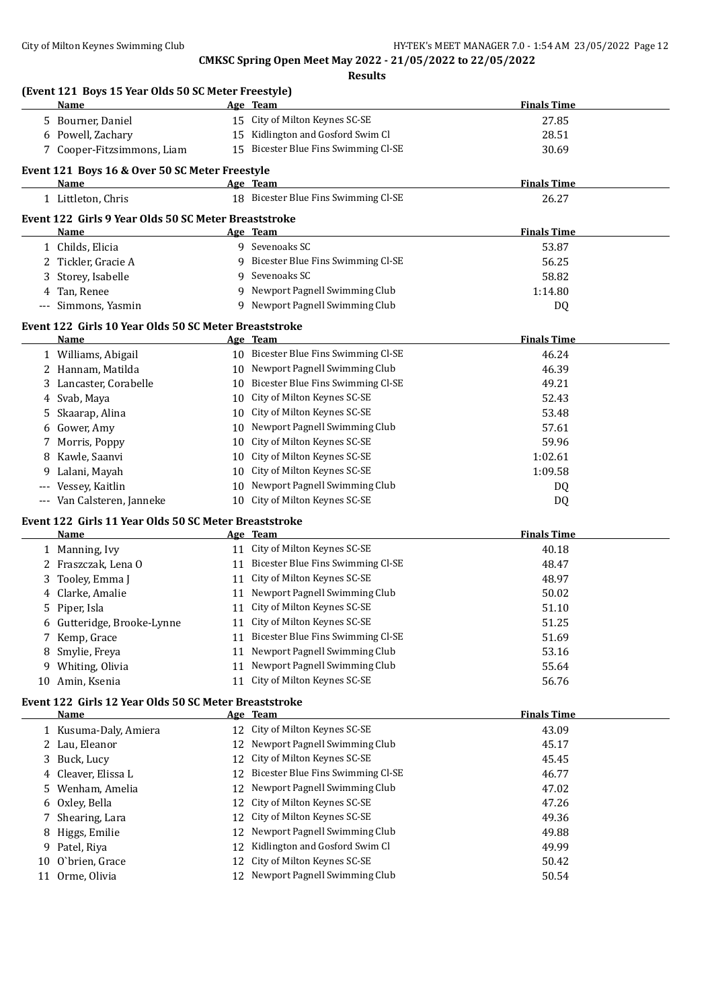| Name                                                   |          | Age Team                                                     | <b>Finals Time</b> |
|--------------------------------------------------------|----------|--------------------------------------------------------------|--------------------|
| 5 Bourner, Daniel                                      |          | 15 City of Milton Keynes SC-SE                               | 27.85              |
| 6 Powell, Zachary                                      |          | 15 Kidlington and Gosford Swim Cl                            | 28.51              |
| 7 Cooper-Fitzsimmons, Liam                             |          | 15 Bicester Blue Fins Swimming Cl-SE                         | 30.69              |
|                                                        |          |                                                              |                    |
| Event 121 Boys 16 & Over 50 SC Meter Freestyle<br>Name |          | Age Team                                                     | <b>Finals Time</b> |
| 1 Littleton, Chris                                     |          | 18 Bicester Blue Fins Swimming Cl-SE                         | 26.27              |
|                                                        |          |                                                              |                    |
| Event 122 Girls 9 Year Olds 50 SC Meter Breaststroke   |          |                                                              |                    |
| Name                                                   |          | Age Team                                                     | <b>Finals Time</b> |
| 1 Childs, Elicia                                       |          | 9 Sevenoaks SC                                               | 53.87              |
| 2 Tickler, Gracie A                                    | 9        | Bicester Blue Fins Swimming Cl-SE                            | 56.25              |
| 3 Storey, Isabelle                                     | 9        | Sevenoaks SC                                                 | 58.82              |
| 4 Tan, Renee                                           |          | 9 Newport Pagnell Swimming Club                              | 1:14.80            |
| Simmons, Yasmin<br>$---$                               |          | 9 Newport Pagnell Swimming Club                              | DQ                 |
| Event 122 Girls 10 Year Olds 50 SC Meter Breaststroke  |          |                                                              |                    |
| Name                                                   |          | Age Team                                                     | <b>Finals Time</b> |
| 1 Williams, Abigail                                    |          | 10 Bicester Blue Fins Swimming Cl-SE                         | 46.24              |
| 2 Hannam, Matilda                                      |          | 10 Newport Pagnell Swimming Club                             | 46.39              |
| 3 Lancaster, Corabelle                                 | 10       | Bicester Blue Fins Swimming Cl-SE                            | 49.21              |
| 4 Svab, Maya                                           | 10       | City of Milton Keynes SC-SE                                  | 52.43              |
| Skaarap, Alina<br>5                                    | 10       | City of Milton Keynes SC-SE                                  | 53.48              |
| 6 Gower, Amy                                           |          | 10 Newport Pagnell Swimming Club                             | 57.61              |
| 7 Morris, Poppy                                        | 10       | City of Milton Keynes SC-SE                                  | 59.96              |
| 8 Kawle, Saanvi                                        | 10       | City of Milton Keynes SC-SE                                  | 1:02.61            |
| Lalani, Mayah<br>9                                     | 10       | City of Milton Keynes SC-SE                                  | 1:09.58            |
| Vessey, Kaitlin                                        |          | 10 Newport Pagnell Swimming Club                             | DQ                 |
| Van Calsteren, Janneke<br>$---$                        |          | 10 City of Milton Keynes SC-SE                               | DQ                 |
|                                                        |          |                                                              |                    |
| Event 122 Girls 11 Year Olds 50 SC Meter Breaststroke  |          |                                                              |                    |
| Name                                                   |          | Age Team                                                     | <b>Finals Time</b> |
| 1 Manning, Ivy                                         |          | 11 City of Milton Keynes SC-SE                               | 40.18              |
| 2 Fraszczak, Lena O                                    |          | 11 Bicester Blue Fins Swimming Cl-SE                         | 48.47              |
| Tooley, Emma J                                         |          | 11 City of Milton Keynes SC-SE                               | 48.97              |
| 4 Clarke, Amalie                                       |          | 11 Newport Pagnell Swimming Club                             | 50.02              |
| 5 Piper, Isla                                          |          | 11 City of Milton Keynes SC-SE                               | 51.10              |
| 6 Gutteridge, Brooke-Lynne                             |          | 11 City of Milton Keynes SC-SE                               | 51.25              |
| 7 Kemp, Grace                                          |          | 11 Bicester Blue Fins Swimming Cl-SE                         | 51.69              |
| 8 Smylie, Freya                                        |          | 11 Newport Pagnell Swimming Club                             | 53.16              |
| 9 Whiting, Olivia                                      |          | 11 Newport Pagnell Swimming Club                             | 55.64              |
| 10 Amin, Ksenia                                        |          | 11 City of Milton Keynes SC-SE                               | 56.76              |
| Event 122 Girls 12 Year Olds 50 SC Meter Breaststroke  |          |                                                              |                    |
| Name                                                   |          | Age Team                                                     | <b>Finals Time</b> |
| 1 Kusuma-Daly, Amiera                                  |          | 12 City of Milton Keynes SC-SE                               | 43.09              |
| 2 Lau, Eleanor                                         |          | 12 Newport Pagnell Swimming Club                             | 45.17              |
| 3 Buck, Lucy                                           |          | 12 City of Milton Keynes SC-SE                               | 45.45              |
| Cleaver, Elissa L<br>4                                 |          | 12 Bicester Blue Fins Swimming Cl-SE                         | 46.77              |
| 5 Wenham, Amelia                                       |          | 12 Newport Pagnell Swimming Club                             | 47.02              |
|                                                        |          | City of Milton Keynes SC-SE                                  |                    |
| Oxley, Bella<br>6                                      | 12       |                                                              | 47.26              |
| Shearing, Lara<br>7                                    | 12       | City of Milton Keynes SC-SE                                  | 49.36              |
| Higgs, Emilie<br>8                                     | 12       | Newport Pagnell Swimming Club                                | 49.88              |
| 9 Patel, Riya                                          | 12       | Kidlington and Gosford Swim Cl                               | 49.99              |
|                                                        |          |                                                              |                    |
| O'brien, Grace<br>10<br>11 Orme, Olivia                | 12<br>12 | City of Milton Keynes SC-SE<br>Newport Pagnell Swimming Club | 50.42<br>50.54     |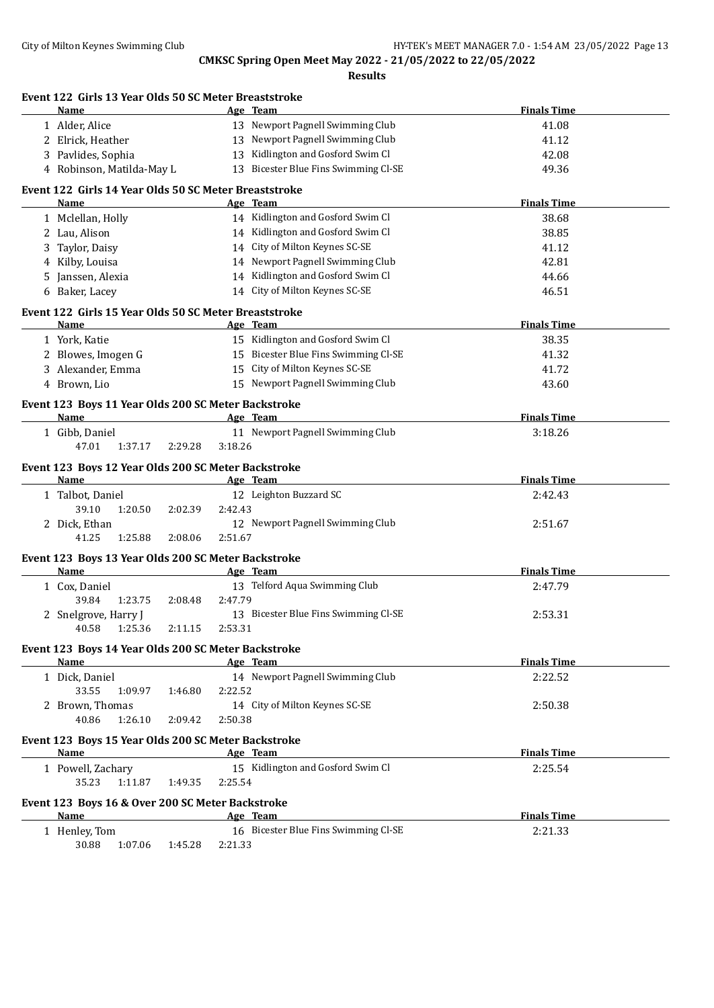|    | Event 122 Girls 13 Year Olds 50 SC Meter Breaststroke<br>Name | Age Team                             | <b>Finals Time</b> |
|----|---------------------------------------------------------------|--------------------------------------|--------------------|
|    | 1 Alder, Alice                                                | 13 Newport Pagnell Swimming Club     | 41.08              |
|    | 2 Elrick, Heather                                             | 13 Newport Pagnell Swimming Club     | 41.12              |
|    | 3 Pavlides, Sophia                                            | 13 Kidlington and Gosford Swim Cl    | 42.08              |
|    | 4 Robinson, Matilda-May L                                     | 13 Bicester Blue Fins Swimming Cl-SE | 49.36              |
|    | Event 122 Girls 14 Year Olds 50 SC Meter Breaststroke         |                                      |                    |
|    | Name                                                          | Age Team                             | <b>Finals Time</b> |
|    | 1 Mclellan, Holly                                             | 14 Kidlington and Gosford Swim Cl    | 38.68              |
|    | 2 Lau, Alison                                                 | 14 Kidlington and Gosford Swim Cl    | 38.85              |
|    | 3 Taylor, Daisy                                               | 14 City of Milton Keynes SC-SE       | 41.12              |
|    | 4 Kilby, Louisa                                               | 14 Newport Pagnell Swimming Club     | 42.81              |
| 5. | Janssen, Alexia                                               | 14 Kidlington and Gosford Swim Cl    | 44.66              |
|    | 6 Baker, Lacey                                                | 14 City of Milton Keynes SC-SE       | 46.51              |
|    | Event 122 Girls 15 Year Olds 50 SC Meter Breaststroke         |                                      |                    |
|    | Name                                                          | Age Team                             | <b>Finals Time</b> |
|    | 1 York, Katie                                                 | 15 Kidlington and Gosford Swim Cl    | 38.35              |
|    | 2 Blowes, Imogen G                                            | 15 Bicester Blue Fins Swimming Cl-SE | 41.32              |
|    | 3 Alexander, Emma                                             | 15 City of Milton Keynes SC-SE       | 41.72              |
|    | 4 Brown, Lio                                                  | 15 Newport Pagnell Swimming Club     | 43.60              |
|    | Event 123 Boys 11 Year Olds 200 SC Meter Backstroke           |                                      |                    |
|    | Name                                                          | Age Team                             | <b>Finals Time</b> |
|    | 1 Gibb, Daniel                                                | 11 Newport Pagnell Swimming Club     | 3:18.26            |
|    | 47.01<br>1:37.17<br>2:29.28                                   | 3:18.26                              |                    |
|    | Event 123 Boys 12 Year Olds 200 SC Meter Backstroke           |                                      |                    |
|    | Name                                                          | Age Team                             | <b>Finals Time</b> |
|    | 1 Talbot, Daniel                                              | 12 Leighton Buzzard SC               | 2:42.43            |
|    | 39.10<br>1:20.50<br>2:02.39                                   | 2:42.43                              |                    |
|    | 2 Dick, Ethan                                                 | 12 Newport Pagnell Swimming Club     | 2:51.67            |
|    | 41.25<br>1:25.88<br>2:08.06                                   | 2:51.67                              |                    |
|    | Event 123 Boys 13 Year Olds 200 SC Meter Backstroke           |                                      |                    |
|    | Name                                                          | Age Team                             | <b>Finals Time</b> |
|    | 1 Cox, Daniel                                                 | 13 Telford Aqua Swimming Club        | 2:47.79            |
|    | 39.84<br>1:23.75<br>2:08.48                                   | 2:47.79                              |                    |
|    | 2 Snelgrove, Harry J                                          | 13 Bicester Blue Fins Swimming Cl-SE | 2:53.31            |
|    | 40.58 1:25.36<br>2:11.15                                      | 2:53.31                              |                    |
|    | Event 123 Boys 14 Year Olds 200 SC Meter Backstroke           |                                      |                    |
|    | Name                                                          | Age Team                             | <b>Finals Time</b> |
|    | 1 Dick, Daniel                                                | 14 Newport Pagnell Swimming Club     | 2:22.52            |
|    | 33.55<br>1:09.97<br>1:46.80                                   | 2:22.52                              |                    |
|    | 2 Brown, Thomas                                               | 14 City of Milton Keynes SC-SE       | 2:50.38            |
|    | 40.86<br>1:26.10<br>2:09.42                                   | 2:50.38                              |                    |
|    | Event 123 Boys 15 Year Olds 200 SC Meter Backstroke           |                                      |                    |
|    | Name                                                          | Age Team                             | <b>Finals Time</b> |
|    | 1 Powell, Zachary                                             | 15 Kidlington and Gosford Swim Cl    | 2:25.54            |
|    | 35.23<br>1:11.87<br>1:49.35                                   | 2:25.54                              |                    |
|    | Event 123 Boys 16 & Over 200 SC Meter Backstroke              |                                      |                    |
|    | Name                                                          | Age Team                             | <b>Finals Time</b> |
|    | 1 Henley, Tom                                                 | 16 Bicester Blue Fins Swimming Cl-SE | 2:21.33            |
|    | 30.88<br>1:07.06<br>1:45.28                                   | 2:21.33                              |                    |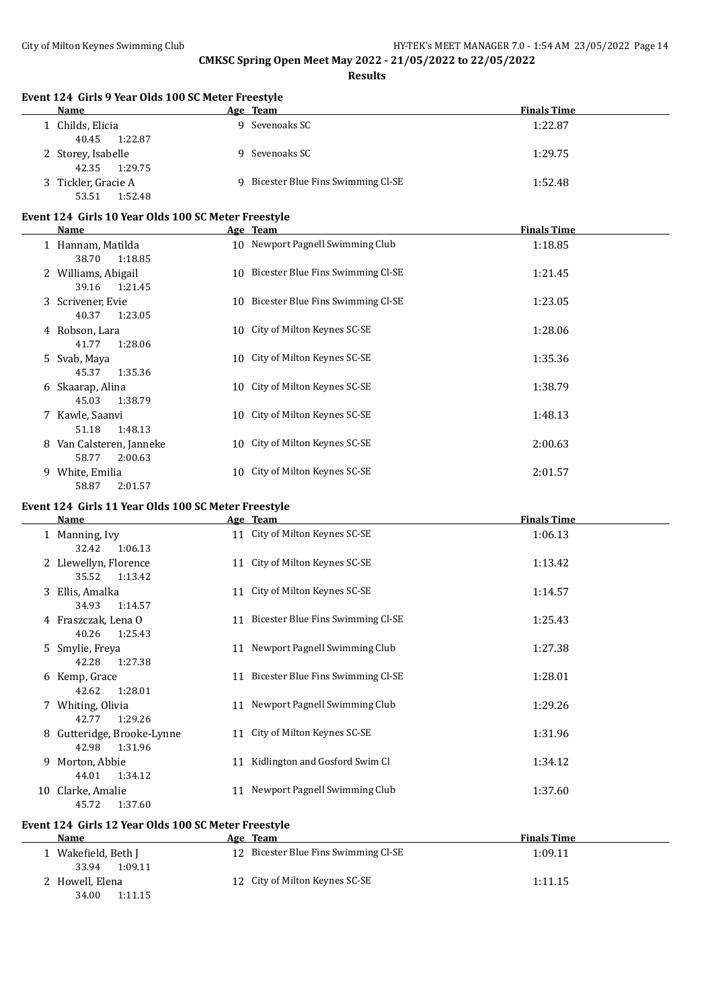| <b>Name</b>                                                 | Age Team                                   | <b>Finals Time</b> |
|-------------------------------------------------------------|--------------------------------------------|--------------------|
| 1 Childs, Elicia<br>40.45<br>1:22.87                        | 9 Sevenoaks SC                             | 1:22.87            |
| 2 Storey, Isabelle<br>42.35<br>1:29.75                      | 9 Sevenoaks SC                             | 1:29.75            |
| 3 Tickler, Gracie A<br>53.51<br>1:52.48                     | 9 Bicester Blue Fins Swimming Cl-SE        | 1:52.48            |
| Event 124 Girls 10 Year Olds 100 SC Meter Freestyle         |                                            |                    |
| Name                                                        | Age Team                                   | <b>Finals Time</b> |
| 1 Hannam, Matilda<br>38.70<br>1:18.85                       | 10 Newport Pagnell Swimming Club           | 1:18.85            |
| 2 Williams, Abigail<br>39.16<br>1:21.45                     | 10 Bicester Blue Fins Swimming Cl-SE       | 1:21.45            |
| 3 Scrivener, Evie<br>40.37<br>1:23.05                       | 10 Bicester Blue Fins Swimming Cl-SE       | 1:23.05            |
| 4 Robson, Lara<br>41.77<br>1:28.06                          | 10 City of Milton Keynes SC-SE             | 1:28.06            |
| 5 Svab, Maya<br>45.37<br>1:35.36                            | 10 City of Milton Keynes SC-SE             | 1:35.36            |
| 6 Skaarap, Alina<br>45.03<br>1:38.79                        | 10 City of Milton Keynes SC-SE             | 1:38.79            |
| 7 Kawle, Saanvi<br>51.18<br>1:48.13                         | 10 City of Milton Keynes SC-SE             | 1:48.13            |
| 8 Van Calsteren, Janneke<br>58.77<br>2:00.63                | 10 City of Milton Keynes SC-SE             | 2:00.63            |
|                                                             |                                            |                    |
| 9 White, Emilia                                             | 10 City of Milton Keynes SC-SE             | 2:01.57            |
| 58.87<br>2:01.57                                            |                                            |                    |
| Event 124 Girls 11 Year Olds 100 SC Meter Freestyle<br>Name |                                            | <b>Finals Time</b> |
| 1 Manning, Ivy                                              | Age Team<br>11 City of Milton Keynes SC-SE | 1:06.13            |
| 32.42<br>1:06.13<br>2 Llewellyn, Florence<br>1:13.42        | 11 City of Milton Keynes SC-SE             | 1:13.42            |
| 35.52<br>3 Ellis, Amalka                                    | 11 City of Milton Keynes SC-SE             | 1:14.57            |
| 34.93<br>1:14.57<br>4 Fraszczak, Lena O                     | 11 Bicester Blue Fins Swimming Cl-SE       | 1:25.43            |
| 40.26<br>1:25.43<br>5 Smylie, Freya                         | 11 Newport Pagnell Swimming Club           | 1:27.38            |
| 42.28<br>1:27.38<br>6 Kemp, Grace                           | 11 Bicester Blue Fins Swimming Cl-SE       | 1:28.01            |
| 42.62<br>1:28.01<br>7 Whiting, Olivia                       | 11 Newport Pagnell Swimming Club           | 1:29.26            |
| 42.77<br>1:29.26<br>8 Gutteridge, Brooke-Lynne              | 11 City of Milton Keynes SC-SE             | 1:31.96            |
| 42.98<br>1:31.96<br>9 Morton, Abbie<br>44.01<br>1:34.12     | 11 Kidlington and Gosford Swim Cl          | 1:34.12            |

| <b>Name</b>                           | Age Team                             | <b>Finals Time</b> |  |
|---------------------------------------|--------------------------------------|--------------------|--|
| Wakefield, Beth J<br>1:09.11<br>33.94 | 12 Bicester Blue Fins Swimming Cl-SE | 1:09.11            |  |
| 2 Howell, Elena<br>34.00<br>1:11.15   | 12 City of Milton Keynes SC-SE       | 1:11.15            |  |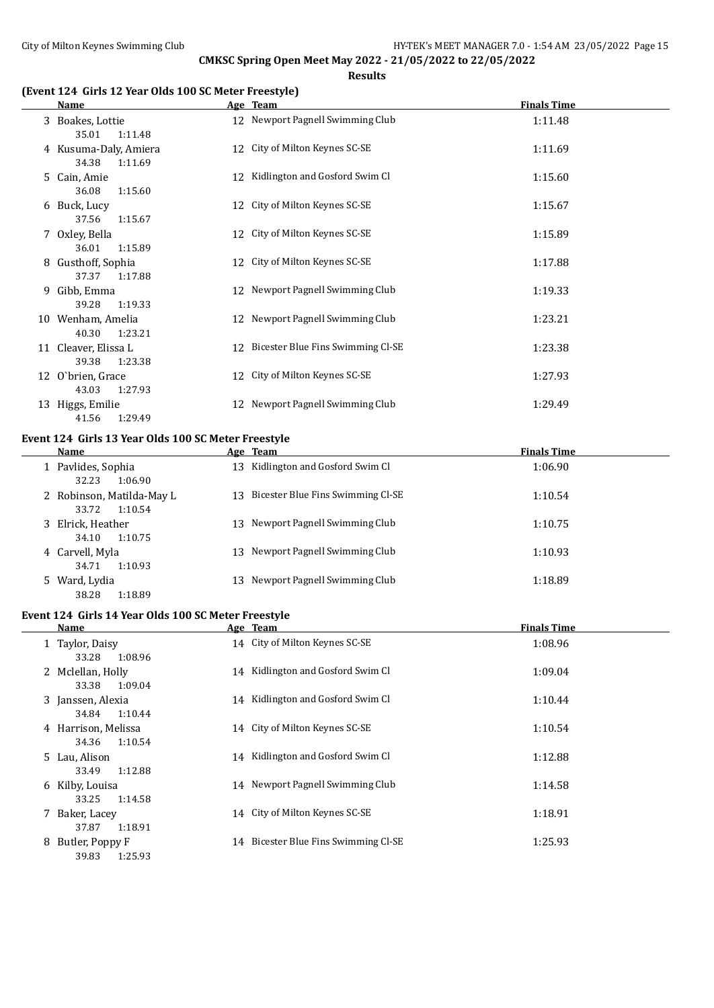**Results**

# **(Event 124 Girls 12 Year Olds 100 SC Meter Freestyle)**

|   | Name                                      |    | Age Team                             | <b>Finals Time</b> |
|---|-------------------------------------------|----|--------------------------------------|--------------------|
|   | 3 Boakes, Lottie<br>35.01<br>1:11.48      |    | 12 Newport Pagnell Swimming Club     | 1:11.48            |
|   | 4 Kusuma-Daly, Amiera<br>34.38<br>1:11.69 |    | 12 City of Milton Keynes SC-SE       | 1:11.69            |
|   | 5 Cain, Amie<br>36.08<br>1:15.60          |    | 12 Kidlington and Gosford Swim Cl    | 1:15.60            |
|   | 6 Buck, Lucy<br>37.56<br>1:15.67          |    | 12 City of Milton Keynes SC-SE       | 1:15.67            |
|   | 7 Oxley, Bella<br>36.01<br>1:15.89        |    | 12 City of Milton Keynes SC-SE       | 1:15.89            |
|   | 8 Gusthoff, Sophia<br>37.37<br>1:17.88    |    | 12 City of Milton Keynes SC-SE       | 1:17.88            |
| 9 | Gibb, Emma<br>39.28<br>1:19.33            |    | 12 Newport Pagnell Swimming Club     | 1:19.33            |
|   | 10 Wenham, Amelia<br>40.30<br>1:23.21     |    | 12 Newport Pagnell Swimming Club     | 1:23.21            |
|   | 11 Cleaver, Elissa L<br>39.38<br>1:23.38  |    | 12 Bicester Blue Fins Swimming Cl-SE | 1:23.38            |
|   | 12 O'brien, Grace<br>43.03<br>1:27.93     | 12 | City of Milton Keynes SC-SE          | 1:27.93            |
|   | 13 Higgs, Emilie<br>1:29.49<br>41.56      | 12 | Newport Pagnell Swimming Club        | 1:29.49            |

# **Event 124 Girls 13 Year Olds 100 SC Meter Freestyle**

| Name                                       | Age Team                             | <b>Finals Time</b> |
|--------------------------------------------|--------------------------------------|--------------------|
| 1 Pavlides, Sophia<br>32.23<br>1:06.90     | 13 Kidlington and Gosford Swim Cl    | 1:06.90            |
| 2 Robinson, Matilda-May L<br>33.72 1:10.54 | 13 Bicester Blue Fins Swimming Cl-SE | 1:10.54            |
| 3 Elrick, Heather<br>1:10.75<br>34.10      | 13 Newport Pagnell Swimming Club     | 1:10.75            |
| 4 Carvell, Myla<br>1:10.93<br>34.71        | 13 Newport Pagnell Swimming Club     | 1:10.93            |
| 5 Ward, Lydia<br>38.28<br>1:18.89          | 13 Newport Pagnell Swimming Club     | 1:18.89            |

# **Event 124 Girls 14 Year Olds 100 SC Meter Freestyle**

| Name              |                                         | Age Team                             | <b>Finals Time</b> |
|-------------------|-----------------------------------------|--------------------------------------|--------------------|
| 1 Taylor, Daisy   | 33.28<br>1:08.96                        | 14 City of Milton Keynes SC-SE       | 1:08.96            |
| 2 Mclellan, Holly | 1:09.04<br>33.38                        | 14 Kidlington and Gosford Swim Cl    | 1:09.04            |
| 3 Janssen, Alexia | 34.84<br>1:10.44                        | 14 Kidlington and Gosford Swim Cl    | 1:10.44            |
|                   | 4 Harrison, Melissa<br>1:10.54<br>34.36 | 14 City of Milton Keynes SC-SE       | 1:10.54            |
| 5 Lau, Alison     | 33.49<br>1:12.88                        | 14 Kidlington and Gosford Swim Cl    | 1:12.88            |
| 6 Kilby, Louisa   | 1:14.58<br>33.25                        | 14 Newport Pagnell Swimming Club     | 1:14.58            |
| 7 Baker, Lacey    | 1:18.91<br>37.87                        | 14 City of Milton Keynes SC-SE       | 1:18.91            |
| 8                 | Butler, Poppy F<br>1:25.93<br>39.83     | 14 Bicester Blue Fins Swimming Cl-SE | 1:25.93            |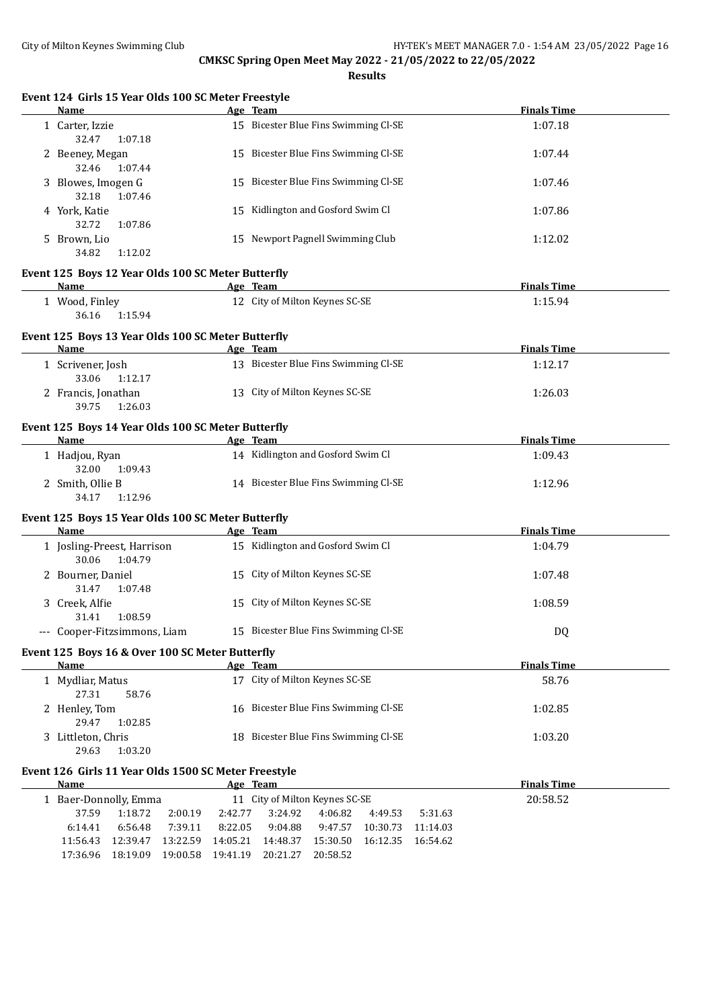**Results**

| Name                                                                                                                                                                                                                           |                                      | Age Team                                                                   | <b>Finals Time</b> |
|--------------------------------------------------------------------------------------------------------------------------------------------------------------------------------------------------------------------------------|--------------------------------------|----------------------------------------------------------------------------|--------------------|
| 1 Carter, Izzie<br>32.47<br>1:07.18                                                                                                                                                                                            | 15 Bicester Blue Fins Swimming Cl-SE |                                                                            | 1:07.18            |
| 2 Beeney, Megan<br>32.46<br>1:07.44                                                                                                                                                                                            |                                      | 15 Bicester Blue Fins Swimming Cl-SE                                       | 1:07.44            |
| 3 Blowes, Imogen G<br>32.18<br>1:07.46                                                                                                                                                                                         |                                      | 15 Bicester Blue Fins Swimming Cl-SE                                       | 1:07.46            |
| 4 York, Katie<br>32.72<br>1:07.86                                                                                                                                                                                              |                                      | 15 Kidlington and Gosford Swim Cl                                          | 1:07.86            |
| 5 Brown, Lio<br>34.82<br>1:12.02                                                                                                                                                                                               |                                      | 15 Newport Pagnell Swimming Club                                           | 1:12.02            |
| Event 125 Boys 12 Year Olds 100 SC Meter Butterfly                                                                                                                                                                             |                                      |                                                                            |                    |
| <b>Name</b>                                                                                                                                                                                                                    |                                      | Age Team                                                                   | <b>Finals Time</b> |
| 1 Wood, Finley<br>36.16<br>1:15.94                                                                                                                                                                                             |                                      | 12 City of Milton Keynes SC-SE                                             | 1:15.94            |
| Event 125 Boys 13 Year Olds 100 SC Meter Butterfly                                                                                                                                                                             |                                      |                                                                            |                    |
| <b>Example 2</b> Age Team<br>Name                                                                                                                                                                                              |                                      |                                                                            | <b>Finals Time</b> |
| 1 Scrivener, Josh<br>33.06<br>1:12.17                                                                                                                                                                                          |                                      | 13 Bicester Blue Fins Swimming Cl-SE                                       | 1:12.17            |
| 2 Francis, Jonathan<br>39.75<br>1:26.03                                                                                                                                                                                        |                                      | 13 City of Milton Keynes SC-SE                                             | 1:26.03            |
| Event 125 Boys 14 Year Olds 100 SC Meter Butterfly                                                                                                                                                                             |                                      |                                                                            |                    |
| Name and the state of the state of the state of the state of the state of the state of the state of the state of the state of the state of the state of the state of the state of the state of the state of the state of the s |                                      | Age Team                                                                   | <b>Finals Time</b> |
| 1 Hadjou, Ryan<br>32.00<br>1:09.43                                                                                                                                                                                             |                                      | 14 Kidlington and Gosford Swim Cl                                          | 1:09.43            |
| 2 Smith, Ollie B<br>34.17<br>1:12.96                                                                                                                                                                                           |                                      | 14 Bicester Blue Fins Swimming Cl-SE                                       | 1:12.96            |
| Event 125 Boys 15 Year Olds 100 SC Meter Butterfly                                                                                                                                                                             |                                      |                                                                            |                    |
| Name                                                                                                                                                                                                                           |                                      | Age Team                                                                   | <b>Finals Time</b> |
| 1 Josling-Preest, Harrison<br>30.06<br>1:04.79                                                                                                                                                                                 |                                      | 15 Kidlington and Gosford Swim Cl                                          | 1:04.79            |
| 2 Bourner, Daniel<br>31.47<br>1:07.48                                                                                                                                                                                          |                                      | 15 City of Milton Keynes SC-SE                                             | 1:07.48            |
| 3 Creek, Alfie<br>31.41<br>1:08.59                                                                                                                                                                                             |                                      | 15 City of Milton Keynes SC-SE                                             | 1:08.59            |
| --- Cooper-Fitzsimmons, Liam                                                                                                                                                                                                   |                                      | 15 Bicester Blue Fins Swimming Cl-SE                                       | DQ                 |
| Event 125 Boys 16 & Over 100 SC Meter Butterfly                                                                                                                                                                                |                                      |                                                                            |                    |
| Name                                                                                                                                                                                                                           |                                      | Age Team                                                                   | <b>Finals Time</b> |
| 1 Mydliar, Matus<br>27.31<br>58.76                                                                                                                                                                                             |                                      | 17 City of Milton Keynes SC-SE                                             | 58.76              |
| 2 Henley, Tom<br>29.47<br>1:02.85                                                                                                                                                                                              |                                      | 16 Bicester Blue Fins Swimming Cl-SE                                       | 1:02.85            |
| 3 Littleton, Chris<br>29.63<br>1:03.20                                                                                                                                                                                         |                                      | 18 Bicester Blue Fins Swimming Cl-SE                                       | 1:03.20            |
| Event 126 Girls 11 Year Olds 1500 SC Meter Freestyle                                                                                                                                                                           |                                      |                                                                            |                    |
| Name                                                                                                                                                                                                                           |                                      | Age Team                                                                   | <b>Finals Time</b> |
| 1 Baer-Donnolly, Emma<br>37.59<br>1:18.72<br>2:00.19                                                                                                                                                                           | 2:42.77                              | 11 City of Milton Keynes SC-SE<br>3:24.92<br>4:06.82<br>4:49.53<br>5:31.63 | 20:58.52           |

11:56.43 12:39.47 13:22.59 14:05.21 14:48.37 15:30.50 16:12.35 16:54.62

17:36.96 18:19.09 19:00.58 19:41.19 20:21.27 20:58.52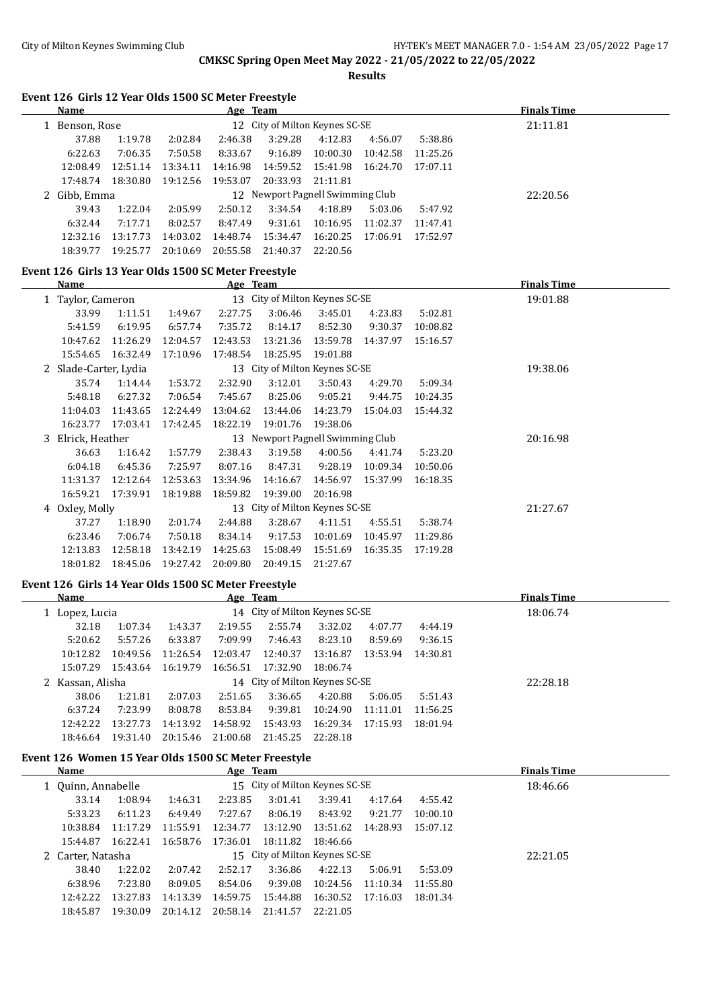$\overline{\phantom{a}}$ 

L.

#### City of Milton Keynes Swimming Club Given Manager 2.0 - 1:54 AM 23/05/2022 Page 17

# **CMKSC Spring Open Meet May 2022 - 21/05/2022 to 22/05/2022**

**Results**

| <b>Name</b>  | <u>Age Team</u> |          |          |                                  |                   |          | <b>Finals Time</b> |          |  |
|--------------|-----------------|----------|----------|----------------------------------|-------------------|----------|--------------------|----------|--|
| Benson, Rose |                 |          |          | 12 City of Milton Keynes SC-SE   |                   |          | 21:11.81           |          |  |
| 37.88        | 1:19.78         | 2:02.84  | 2:46.38  | 3:29.28                          | 4:12.83           | 4:56.07  | 5:38.86            |          |  |
| 6:22.63      | 7:06.35         | 7:50.58  | 8:33.67  | 9:16.89                          | 10:00.30          | 10:42.58 | 11:25.26           |          |  |
| 12:08.49     | 12:51.14        | 13:34.11 | 14:16.98 |                                  | 14:59.52 15:41.98 | 16:24.70 | 17:07.11           |          |  |
| 17:48.74     | 18:30.80        | 19:12.56 | 19:53.07 | 20:33.93                         | 21:11.81          |          |                    |          |  |
| 2 Gibb, Emma |                 |          |          | 12 Newport Pagnell Swimming Club |                   |          |                    | 22:20.56 |  |
| 39.43        | 1:22.04         | 2:05.99  | 2:50.12  | 3:34.54                          | 4:18.89           | 5:03.06  | 5:47.92            |          |  |
| 6:32.44      | 7:17.71         | 8:02.57  | 8:47.49  | 9:31.61                          | 10:16.95          | 11:02.37 | 11:47.41           |          |  |
| 12:32.16     | 13:17.73        | 14:03.02 | 14:48.74 | 15:34.47                         | 16:20.25          | 17:06.91 | 17:52.97           |          |  |
| 18:39.77     | 19:25.77        | 20:10.69 | 20:55.58 | 21:40.37                         | 22:20.56          |          |                    |          |  |

#### **Event 126 Girls 13 Year Olds 1500 SC Meter Freestyle**

| Name                  |          |          | Age Team |                                  |          |          |          | <b>Finals Time</b> |
|-----------------------|----------|----------|----------|----------------------------------|----------|----------|----------|--------------------|
| 1 Taylor, Cameron     |          |          |          | 13 City of Milton Keynes SC-SE   |          |          |          | 19:01.88           |
| 33.99                 | 1:11.51  | 1:49.67  | 2:27.75  | 3:06.46                          | 3:45.01  | 4:23.83  | 5:02.81  |                    |
| 5:41.59               | 6:19.95  | 6:57.74  | 7:35.72  | 8:14.17                          | 8:52.30  | 9:30.37  | 10:08.82 |                    |
| 10:47.62              | 11:26.29 | 12:04.57 | 12:43.53 | 13:21.36                         | 13:59.78 | 14:37.97 | 15:16.57 |                    |
| 15:54.65              | 16:32.49 | 17:10.96 | 17:48.54 | 18:25.95                         | 19:01.88 |          |          |                    |
| 2 Slade-Carter, Lydia |          |          |          | 13 City of Milton Keynes SC-SE   |          |          |          | 19:38.06           |
| 35.74                 | 1:14.44  | 1:53.72  | 2:32.90  | 3:12.01                          | 3:50.43  | 4:29.70  | 5:09.34  |                    |
| 5:48.18               | 6:27.32  | 7:06.54  | 7:45.67  | 8:25.06                          | 9:05.21  | 9:44.75  | 10:24.35 |                    |
| 11:04.03              | 11:43.65 | 12:24.49 | 13:04.62 | 13:44.06                         | 14:23.79 | 15:04.03 | 15:44.32 |                    |
| 16:23.77              | 17:03.41 | 17:42.45 | 18:22.19 | 19:01.76                         | 19:38.06 |          |          |                    |
| 3 Elrick, Heather     |          |          |          | 13 Newport Pagnell Swimming Club |          |          |          | 20:16.98           |
| 36.63                 | 1:16.42  | 1:57.79  | 2:38.43  | 3:19.58                          | 4:00.56  | 4:41.74  | 5:23.20  |                    |
| 6:04.18               | 6:45.36  | 7:25.97  | 8:07.16  | 8:47.31                          | 9:28.19  | 10:09.34 | 10:50.06 |                    |
| 11:31.37              | 12:12.64 | 12:53.63 | 13:34.96 | 14:16.67                         | 14:56.97 | 15:37.99 | 16:18.35 |                    |
| 16:59.21              | 17:39.91 | 18:19.88 | 18:59.82 | 19:39.00                         | 20:16.98 |          |          |                    |
| 4 Oxley, Molly        |          |          |          | 13 City of Milton Keynes SC-SE   |          |          |          | 21:27.67           |
| 37.27                 | 1:18.90  | 2:01.74  | 2:44.88  | 3:28.67                          | 4:11.51  | 4:55.51  | 5:38.74  |                    |
| 6:23.46               | 7:06.74  | 7:50.18  | 8:34.14  | 9:17.53                          | 10:01.69 | 10:45.97 | 11:29.86 |                    |
| 12:13.83              | 12:58.18 | 13:42.19 | 14:25.63 | 15:08.49                         | 15:51.69 | 16:35.35 | 17:19.28 |                    |
| 18:01.82              | 18:45.06 | 19:27.42 | 20:09.80 | 20:49.15                         | 21:27.67 |          |          |                    |

#### **Event 126 Girls 14 Year Olds 1500 SC Meter Freestyle**

| Name             |          |                                | Age Team |          |          |          | <b>Finals Time</b> |          |  |
|------------------|----------|--------------------------------|----------|----------|----------|----------|--------------------|----------|--|
| 1 Lopez, Lucia   |          | 14 City of Milton Keynes SC-SE |          |          |          |          |                    | 18:06.74 |  |
| 32.18            | 1:07.34  | 1:43.37                        | 2:19.55  | 2:55.74  | 3:32.02  | 4:07.77  | 4:44.19            |          |  |
| 5:20.62          | 5:57.26  | 6:33.87                        | 7:09.99  | 7:46.43  | 8:23.10  | 8:59.69  | 9:36.15            |          |  |
| 10:12.82         | 10:49.56 | 11:26.54                       | 12:03.47 | 12:40.37 | 13:16.87 | 13:53.94 | 14:30.81           |          |  |
| 15:07.29         | 15:43.64 | 16:19.79                       | 16:56.51 | 17:32.90 | 18:06.74 |          |                    |          |  |
| 2 Kassan, Alisha |          | 14 City of Milton Keynes SC-SE |          |          |          |          |                    | 22:28.18 |  |
| 38.06            | 1:21.81  | 2:07.03                        | 2:51.65  | 3:36.65  | 4:20.88  | 5:06.05  | 5:51.43            |          |  |
| 6:37.24          | 7:23.99  | 8:08.78                        | 8:53.84  | 9:39.81  | 10:24.90 | 11:11.01 | 11:56.25           |          |  |
| 12:42.22         | 13:27.73 | 14:13.92                       | 14:58.92 | 15:43.93 | 16:29.34 | 17:15.93 | 18:01.94           |          |  |
| 18:46.64         | 19:31.40 | 20:15.46                       | 21:00.68 | 21:45.25 | 22:28.18 |          |                    |          |  |
|                  |          |                                |          |          |          |          |                    |          |  |

# **Event 126 Women 15 Year Olds 1500 SC Meter Freestyle**

| Name                                                 |          |          | Age Team |                                |            |          | <b>Finals Time</b> |          |  |
|------------------------------------------------------|----------|----------|----------|--------------------------------|------------|----------|--------------------|----------|--|
| 15 City of Milton Keynes SC-SE<br>1 Quinn, Annabelle |          |          |          |                                |            |          | 18:46.66           |          |  |
| 33.14                                                | 1:08.94  | 1:46.31  | 2:23.85  | 3:01.41                        | 3:39.41    | 4:17.64  | 4:55.42            |          |  |
| 5:33.23                                              | 6:11.23  | 6:49.49  | 7:27.67  | 8:06.19                        | 8:43.92    | 9:21.77  | 10:00.10           |          |  |
| 10:38.84                                             | 11:17.29 | 11:55.91 | 12:34.77 | 13:12.90                       | 13:51.62   | 14:28.93 | 15:07.12           |          |  |
| 15:44.87                                             | 16:22.41 | 16:58.76 | 17:36.01 | 18:11.82                       | - 18:46.66 |          |                    |          |  |
| 2 Carter, Natasha                                    |          |          |          | 15 City of Milton Keynes SC-SE |            |          |                    | 22:21.05 |  |
| 38.40                                                | 1:22.02  | 2:07.42  | 2:52.17  | 3:36.86                        | 4:22.13    | 5:06.91  | 5:53.09            |          |  |
| 6:38.96                                              | 7:23.80  | 8:09.05  | 8:54.06  | 9:39.08                        | 10:24.56   | 11:10.34 | 11:55.80           |          |  |
| 12:42.22                                             | 13:27.83 | 14:13.39 | 14:59.75 | 15:44.88                       | 16:30.52   | 17:16.03 | 18:01.34           |          |  |
| 18:45.87                                             | 19:30.09 | 20:14.12 | 20:58.14 | 21:41.57                       | 22:21.05   |          |                    |          |  |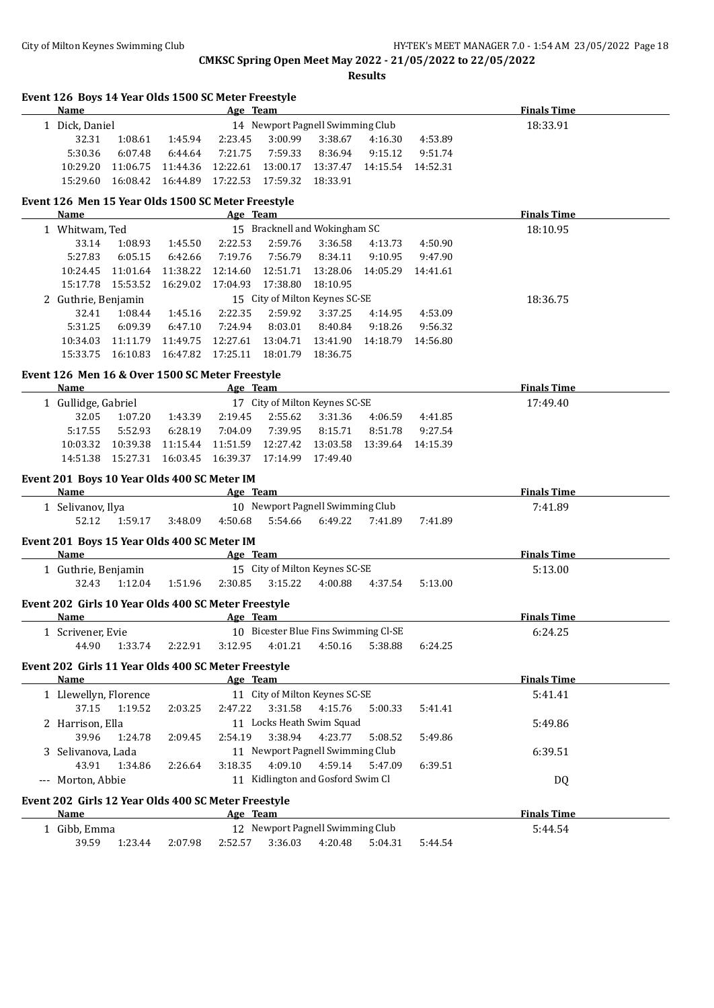# City of Milton Keynes Swimming Club **HY-TEK's MEET MANAGER 7.0 - 1:54 AM 23/05/2022** Page 18

# **CMKSC Spring Open Meet May 2022 - 21/05/2022 to 22/05/2022**

| Event 126 Boys 14 Year Olds 1500 SC Meter Freestyle<br>Name |                    | <b>Example 2016</b> Age Team                                                                                   |                   |                    |                                      |          |                    | <b>Finals Time</b> |
|-------------------------------------------------------------|--------------------|----------------------------------------------------------------------------------------------------------------|-------------------|--------------------|--------------------------------------|----------|--------------------|--------------------|
| 1 Dick, Daniel                                              |                    |                                                                                                                |                   |                    | 14 Newport Pagnell Swimming Club     |          |                    | 18:33.91           |
| 32.31                                                       | 1:08.61            | 1:45.94                                                                                                        | 2:23.45           | 3:00.99            | 3:38.67                              | 4:16.30  | 4:53.89            |                    |
| 5:30.36                                                     | 6:07.48            | 6:44.64                                                                                                        | 7:21.75           | 7:59.33            | 8:36.94                              | 9:15.12  | 9:51.74            |                    |
| 10:29.20                                                    | 11:06.75           | 11:44.36                                                                                                       | 12:22.61          | 13:00.17           | 13:37.47                             |          | 14:15.54 14:52.31  |                    |
| 15:29.60                                                    | 16:08.42           | 16:44.89                                                                                                       | 17:22.53          | 17:59.32           | 18:33.91                             |          |                    |                    |
| Event 126 Men 15 Year Olds 1500 SC Meter Freestyle<br>Name  |                    |                                                                                                                | Age Team          |                    |                                      |          |                    | <b>Finals Time</b> |
| 1 Whitwam, Ted                                              |                    |                                                                                                                |                   |                    | 15 Bracknell and Wokingham SC        |          |                    | 18:10.95           |
| 33.14                                                       | 1:08.93            | 1:45.50                                                                                                        | 2:22.53           | 2:59.76            | 3:36.58                              | 4:13.73  | 4:50.90            |                    |
| 5:27.83                                                     | 6:05.15            | 6:42.66                                                                                                        | 7:19.76           | 7:56.79            | 8:34.11                              | 9:10.95  | 9:47.90            |                    |
| 10:24.45                                                    | 11:01.64           | 11:38.22                                                                                                       | 12:14.60          | 12:51.71           | 13:28.06                             | 14:05.29 | 14:41.61           |                    |
| 15:17.78                                                    | 15:53.52           | 16:29.02                                                                                                       | 17:04.93          | 17:38.80           | 18:10.95                             |          |                    |                    |
| 2 Guthrie, Benjamin                                         |                    |                                                                                                                |                   |                    | 15 City of Milton Keynes SC-SE       |          |                    | 18:36.75           |
| 32.41                                                       | 1:08.44            | 1:45.16                                                                                                        | 2:22.35           | 2:59.92            | 3:37.25                              | 4:14.95  | 4:53.09            |                    |
| 5:31.25                                                     | 6:09.39            | 6:47.10                                                                                                        | 7:24.94           | 8:03.01            | 8:40.84                              | 9:18.26  | 9:56.32            |                    |
| 10:34.03                                                    | 11:11.79  11:49.75 |                                                                                                                | 12:27.61          | 13:04.71           | 13:41.90                             |          | 14:18.79  14:56.80 |                    |
| 15:33.75                                                    | 16:10.83           | 16:47.82                                                                                                       | 17:25.11 18:01.79 |                    | 18:36.75                             |          |                    |                    |
| Event 126 Men 16 & Over 1500 SC Meter Freestyle             |                    |                                                                                                                |                   |                    |                                      |          |                    |                    |
| Name                                                        |                    |                                                                                                                | Age Team          |                    |                                      |          |                    | <b>Finals Time</b> |
| 1 Gullidge, Gabriel                                         |                    |                                                                                                                |                   |                    | 17 City of Milton Keynes SC-SE       |          |                    | 17:49.40           |
| 32.05                                                       | 1:07.20            | 1:43.39                                                                                                        | 2:19.45           | 2:55.62            | 3:31.36                              | 4:06.59  | 4:41.85            |                    |
| 5:17.55                                                     | 5:52.93            | 6:28.19                                                                                                        | 7:04.09           | 7:39.95            | 8:15.71                              | 8:51.78  | 9:27.54            |                    |
| 10:03.32                                                    | 10:39.38           | 11:15.44                                                                                                       |                   | 11:51.59  12:27.42 | 13:03.58                             |          | 13:39.64 14:15.39  |                    |
| 14:51.38                                                    | 15:27.31  16:03.45 |                                                                                                                | 16:39.37 17:14.99 |                    | 17:49.40                             |          |                    |                    |
| Event 201 Boys 10 Year Olds 400 SC Meter IM                 |                    |                                                                                                                |                   |                    |                                      |          |                    |                    |
| Name                                                        |                    | all a series and a series and a series and a series are the series of the series of the series of the series o |                   |                    |                                      |          |                    | <b>Finals Time</b> |
| 1 Selivanov, Ilya                                           |                    |                                                                                                                |                   |                    | 10 Newport Pagnell Swimming Club     |          |                    | 7:41.89            |
| 52.12                                                       | 1:59.17            | 3:48.09                                                                                                        | 4:50.68           | 5:54.66            | 6:49.22                              | 7:41.89  | 7:41.89            |                    |
| Event 201 Boys 15 Year Olds 400 SC Meter IM                 |                    |                                                                                                                |                   |                    |                                      |          |                    |                    |
| <b>Name</b>                                                 |                    | <b>Example 2</b> Age Team                                                                                      |                   |                    |                                      |          |                    | <b>Finals Time</b> |
| 1 Guthrie, Benjamin                                         |                    |                                                                                                                |                   |                    | 15 City of Milton Keynes SC-SE       |          |                    | 5:13.00            |
| 32.43                                                       | 1:12.04            | 1:51.96                                                                                                        | 2:30.85           | 3:15.22            | 4:00.88                              | 4:37.54  | 5:13.00            |                    |
| Event 202 Girls 10 Year Olds 400 SC Meter Freestyle         |                    |                                                                                                                |                   |                    |                                      |          |                    |                    |
| Name                                                        |                    |                                                                                                                | Age Team          |                    |                                      |          |                    | <b>Finals Time</b> |
| 1 Scrivener, Evie                                           |                    |                                                                                                                |                   |                    | 10 Bicester Blue Fins Swimming Cl-SE |          |                    | 6:24.25            |
| 44.90                                                       | 1:33.74            | 2:22.91                                                                                                        | 3:12.95           | 4:01.21            | 4:50.16                              | 5:38.88  | 6:24.25            |                    |
| Event 202 Girls 11 Year Olds 400 SC Meter Freestyle         |                    |                                                                                                                |                   |                    |                                      |          |                    |                    |
| <b>Name</b>                                                 |                    |                                                                                                                | Age Team          |                    |                                      |          |                    | <b>Finals Time</b> |
| 1 Llewellyn, Florence                                       |                    |                                                                                                                |                   |                    | 11 City of Milton Keynes SC-SE       |          |                    | 5:41.41            |
| 37.15                                                       | 1:19.52            | 2:03.25                                                                                                        | 2:47.22           | 3:31.58            | 4:15.76                              | 5:00.33  | 5:41.41            |                    |
| 2 Harrison, Ella                                            |                    |                                                                                                                |                   |                    | 11 Locks Heath Swim Squad            |          |                    | 5:49.86            |
| 39.96                                                       | 1:24.78            | 2:09.45                                                                                                        | 2:54.19           | 3:38.94            | 4:23.77                              | 5:08.52  | 5:49.86            |                    |
| 3 Selivanova, Lada                                          |                    |                                                                                                                |                   |                    | 11 Newport Pagnell Swimming Club     |          |                    | 6:39.51            |
| 43.91                                                       | 1:34.86            | 2:26.64                                                                                                        | 3:18.35           | 4:09.10            | 4:59.14                              | 5:47.09  | 6:39.51            |                    |
| --- Morton, Abbie                                           |                    |                                                                                                                |                   |                    | 11 Kidlington and Gosford Swim Cl    |          |                    | DQ                 |
|                                                             |                    |                                                                                                                |                   |                    |                                      |          |                    |                    |
| Event 202 Girls 12 Year Olds 400 SC Meter Freestyle<br>Name |                    |                                                                                                                | Age Team          |                    |                                      |          |                    | <b>Finals Time</b> |
|                                                             |                    |                                                                                                                |                   |                    | 12 Newport Pagnell Swimming Club     |          |                    |                    |
| 1 Gibb, Emma                                                |                    |                                                                                                                |                   |                    |                                      |          |                    | 5:44.54            |
| 39.59                                                       | 1:23.44            | 2:07.98                                                                                                        | 2:52.57           | 3:36.03            | 4:20.48                              | 5:04.31  | 5:44.54            |                    |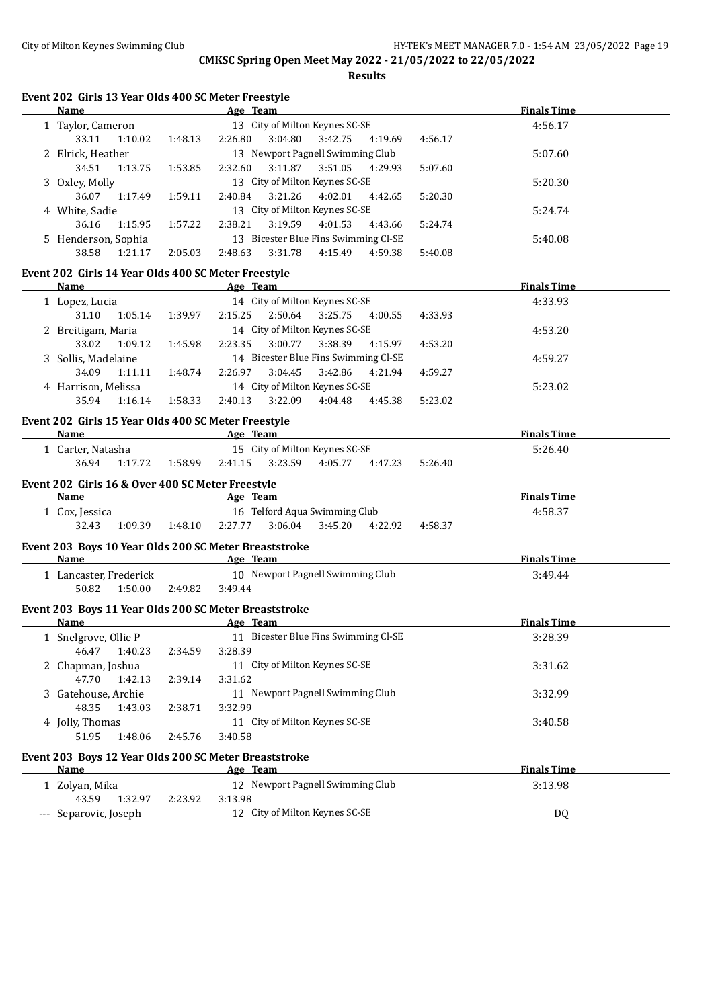**Results**

# **Event 202 Girls 13 Year Olds 400 SC Meter Freestyle**

| Name                                                          |                              | Age Team                                  | <b>Finals Time</b> |
|---------------------------------------------------------------|------------------------------|-------------------------------------------|--------------------|
| 1 Taylor, Cameron                                             |                              | 13 City of Milton Keynes SC-SE            | 4:56.17            |
| 33.11<br>1:10.02                                              | 1:48.13                      | 2:26.80<br>3:04.80<br>3:42.75<br>4:19.69  | 4:56.17            |
| 2 Elrick, Heather                                             |                              | 13 Newport Pagnell Swimming Club          | 5:07.60            |
| 34.51<br>1:13.75                                              | 1:53.85                      | 3:11.87   3:51.05   4:29.93<br>2:32.60    | 5:07.60            |
| 3 Oxley, Molly                                                |                              | 13 City of Milton Keynes SC-SE            | 5:20.30            |
| 36.07<br>1:17.49                                              | 1:59.11                      | 3:21.26<br>2:40.84<br>4:02.01<br>4:42.65  | 5:20.30            |
| 4 White, Sadie                                                |                              | 13 City of Milton Keynes SC-SE            | 5:24.74            |
| 36.16<br>1:15.95                                              | 1:57.22                      | 2:38.21<br>3:19.59<br>4:01.53<br>4:43.66  | 5:24.74            |
| 5 Henderson, Sophia                                           |                              | 13 Bicester Blue Fins Swimming Cl-SE      | 5:40.08            |
| 38.58<br>1:21.17                                              | 2:05.03                      | 2:48.63<br>3:31.78<br>4:15.49<br>4:59.38  | 5:40.08            |
|                                                               |                              |                                           |                    |
| Event 202 Girls 14 Year Olds 400 SC Meter Freestyle           |                              |                                           |                    |
| Name                                                          |                              | Age Team                                  | <b>Finals Time</b> |
| 1 Lopez, Lucia                                                |                              | 14 City of Milton Keynes SC-SE            | 4:33.93            |
| 31.10<br>1:05.14                                              | 1:39.97                      | 2:15.25<br>2:50.64<br>3:25.75<br>4:00.55  | 4:33.93            |
| 2 Breitigam, Maria                                            |                              | 14 City of Milton Keynes SC-SE            | 4:53.20            |
| 33.02<br>1:09.12                                              | 1:45.98                      | 2:23.35<br>3:00.77<br>3:38.39<br>4:15.97  | 4:53.20            |
| 3 Sollis, Madelaine                                           |                              | 14 Bicester Blue Fins Swimming Cl-SE      | 4:59.27            |
| 34.09<br>1:11.11                                              | 1:48.74                      | 2:26.97<br>3:04.45<br>3:42.86<br>4:21.94  | 4:59.27            |
| 4 Harrison, Melissa                                           |                              | 14 City of Milton Keynes SC-SE            | 5:23.02            |
| 35.94<br>1:16.14                                              | 1:58.33                      | 3:22.09<br>2:40.13<br>4:04.48<br>4:45.38  | 5:23.02            |
|                                                               |                              |                                           |                    |
| Event 202 Girls 15 Year Olds 400 SC Meter Freestyle           |                              |                                           |                    |
| <b>Name</b>                                                   | <b>Example 2</b> Age Team    |                                           | <b>Finals Time</b> |
| 1 Carter, Natasha                                             |                              | 15 City of Milton Keynes SC-SE            | 5:26.40            |
| 36.94<br>1:17.72                                              | 1:58.99                      | 2:41.15<br>3:23.59<br>4:05.77<br>4:47.23  | 5:26.40            |
| Event 202 Girls 16 & Over 400 SC Meter Freestyle              |                              |                                           |                    |
| Name                                                          | <b>Example 2016</b> Age Team |                                           | <b>Finals Time</b> |
| 1 Cox, Jessica                                                |                              | 16 Telford Aqua Swimming Club             | 4:58.37            |
| 32.43<br>1:09.39 1:48.10                                      |                              | 2:27.77<br>$3:06.04$ $3:45.20$<br>4:22.92 | 4:58.37            |
|                                                               |                              |                                           |                    |
| Event 203 Boys 10 Year Olds 200 SC Meter Breaststroke<br>Name |                              | Age Team                                  | <b>Finals Time</b> |
|                                                               |                              | 10 Newport Pagnell Swimming Club          |                    |
| 1 Lancaster, Frederick                                        |                              |                                           | 3:49.44            |
| 50.82<br>1:50.00 2:49.82                                      |                              | 3:49.44                                   |                    |
| Event 203 Boys 11 Year Olds 200 SC Meter Breaststroke         |                              |                                           |                    |
| Name                                                          |                              | Age Team                                  | <b>Finals Time</b> |
| 1 Snelgrove, Ollie P                                          |                              | 11 Bicester Blue Fins Swimming Cl-SE      | 3:28.39            |
| 1:40.23<br>46.47                                              | 2:34.59                      | 3:28.39                                   |                    |
| 2 Chapman, Joshua                                             |                              | 11 City of Milton Keynes SC-SE            | 3:31.62            |
| 47.70<br>1:42.13                                              | 2:39.14                      | 3:31.62                                   |                    |
| 3 Gatehouse, Archie                                           |                              | 11 Newport Pagnell Swimming Club          | 3:32.99            |
| 48.35<br>1:43.03                                              | 2:38.71                      | 3:32.99                                   |                    |
| 4 Jolly, Thomas                                               |                              | 11 City of Milton Keynes SC-SE            | 3:40.58            |
| 51.95<br>1:48.06                                              | 2:45.76                      | 3:40.58                                   |                    |
|                                                               |                              |                                           |                    |
| Event 203 Boys 12 Year Olds 200 SC Meter Breaststroke         |                              |                                           |                    |
| Name                                                          |                              | Age Team                                  | <b>Finals Time</b> |
| 1 Zolyan, Mika                                                |                              | 12 Newport Pagnell Swimming Club          | 3:13.98            |
| 43.59<br>1:32.97                                              | 2:23.92                      | 3:13.98                                   |                    |
| --- Separovic, Joseph                                         |                              | 12 City of Milton Keynes SC-SE            | <b>DQ</b>          |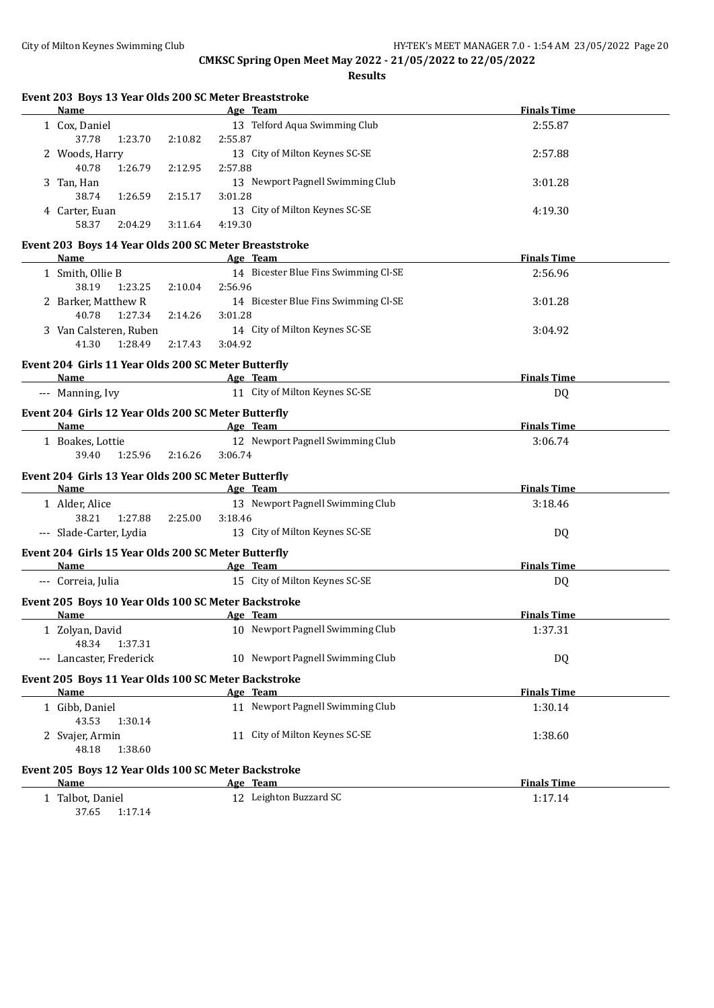| Event 203 Boys 13 Year Olds 200 SC Meter Breaststroke<br>Name<br><u> 1980 - Johann Barbara, martxa alemaniar a</u> |         | Age Team                            |                                                                                                                                                                                           | <b>Finals Time</b> |  |
|--------------------------------------------------------------------------------------------------------------------|---------|-------------------------------------|-------------------------------------------------------------------------------------------------------------------------------------------------------------------------------------------|--------------------|--|
| 1 Cox, Daniel                                                                                                      |         |                                     | 13 Telford Aqua Swimming Club                                                                                                                                                             | 2:55.87            |  |
| 37.78<br>1:23.70                                                                                                   | 2:10.82 | 2:55.87                             |                                                                                                                                                                                           |                    |  |
| 2 Woods, Harry                                                                                                     |         |                                     | 13 City of Milton Keynes SC-SE                                                                                                                                                            | 2:57.88            |  |
| 40.78<br>1:26.79                                                                                                   | 2:12.95 | 2:57.88                             |                                                                                                                                                                                           |                    |  |
| 3 Tan, Han                                                                                                         |         |                                     | 13 Newport Pagnell Swimming Club                                                                                                                                                          | 3:01.28            |  |
| 38.74<br>1:26.59                                                                                                   | 2:15.17 | 3:01.28                             |                                                                                                                                                                                           |                    |  |
| 4 Carter, Euan                                                                                                     |         |                                     | 13 City of Milton Keynes SC-SE                                                                                                                                                            | 4:19.30            |  |
| 58.37<br>2:04.29                                                                                                   | 3:11.64 | 4:19.30                             |                                                                                                                                                                                           |                    |  |
| Event 203 Boys 14 Year Olds 200 SC Meter Breaststroke                                                              |         |                                     |                                                                                                                                                                                           |                    |  |
| Name                                                                                                               |         | Age Team                            |                                                                                                                                                                                           | <b>Finals Time</b> |  |
| 1 Smith, Ollie B                                                                                                   |         |                                     | 14 Bicester Blue Fins Swimming Cl-SE                                                                                                                                                      | 2:56.96            |  |
| 38.19 1:23.25 2:10.04                                                                                              |         | 2:56.96                             |                                                                                                                                                                                           |                    |  |
| 2 Barker, Matthew R                                                                                                |         |                                     | 14 Bicester Blue Fins Swimming Cl-SE                                                                                                                                                      | 3:01.28            |  |
| 1:27.34<br>40.78                                                                                                   | 2:14.26 | 3:01.28                             |                                                                                                                                                                                           |                    |  |
| 3 Van Calsteren, Ruben                                                                                             |         |                                     | 14 City of Milton Keynes SC-SE                                                                                                                                                            | 3:04.92            |  |
| 41.30<br>1:28.49                                                                                                   | 2:17.43 | 3:04.92                             |                                                                                                                                                                                           |                    |  |
| Event 204 Girls 11 Year Olds 200 SC Meter Butterfly                                                                |         |                                     |                                                                                                                                                                                           |                    |  |
| Name                                                                                                               |         | and the same of the same stage Team |                                                                                                                                                                                           | <b>Finals Time</b> |  |
| --- Manning, Ivy                                                                                                   |         |                                     | 11 City of Milton Keynes SC-SE                                                                                                                                                            | DQ                 |  |
| Event 204 Girls 12 Year Olds 200 SC Meter Butterfly                                                                |         |                                     |                                                                                                                                                                                           |                    |  |
| Name Age Team                                                                                                      |         |                                     |                                                                                                                                                                                           | <b>Finals Time</b> |  |
| 1 Boakes, Lottie                                                                                                   |         |                                     | 12 Newport Pagnell Swimming Club                                                                                                                                                          | 3:06.74            |  |
| 39.40<br>1:25.96 2:16.26                                                                                           |         | 3:06.74                             |                                                                                                                                                                                           |                    |  |
|                                                                                                                    |         |                                     |                                                                                                                                                                                           |                    |  |
| Event 204 Girls 13 Year Olds 200 SC Meter Butterfly<br>Name<br><b>Example 2</b> Age Team                           |         |                                     |                                                                                                                                                                                           | <b>Finals Time</b> |  |
| 1 Alder, Alice                                                                                                     |         |                                     | 13 Newport Pagnell Swimming Club                                                                                                                                                          | 3:18.46            |  |
| 38.21<br>1:27.88 2:25.00                                                                                           |         | 3:18.46                             |                                                                                                                                                                                           |                    |  |
| --- Slade-Carter, Lydia                                                                                            |         |                                     | 13 City of Milton Keynes SC-SE                                                                                                                                                            | DQ                 |  |
|                                                                                                                    |         |                                     |                                                                                                                                                                                           |                    |  |
| Event 204 Girls 15 Year Olds 200 SC Meter Butterfly                                                                |         |                                     | <b>Name Age Team <i>Age Team Age Team Age Team Age Team Age Team Age Team Age Team Age Team Age Team</i> <b><i>Age Team Age Team Age Team Age Team Age Team Age Team Age Team</i></b></b> |                    |  |
| --- Correia, Julia                                                                                                 |         |                                     | 15 City of Milton Keynes SC-SE                                                                                                                                                            | <b>Finals Time</b> |  |
|                                                                                                                    |         |                                     |                                                                                                                                                                                           | DQ                 |  |
| Event 205 Boys 10 Year Olds 100 SC Meter Backstroke                                                                |         |                                     |                                                                                                                                                                                           |                    |  |
| Name                                                                                                               |         | Age Team                            |                                                                                                                                                                                           | <b>Finals Time</b> |  |
| 1 Zolyan, David                                                                                                    |         |                                     | 10 Newport Pagnell Swimming Club                                                                                                                                                          | 1:37.31            |  |
| 48.34<br>1:37.31                                                                                                   |         |                                     |                                                                                                                                                                                           |                    |  |
| --- Lancaster, Frederick                                                                                           |         |                                     | 10 Newport Pagnell Swimming Club                                                                                                                                                          | <b>DQ</b>          |  |
| Event 205 Boys 11 Year Olds 100 SC Meter Backstroke                                                                |         |                                     |                                                                                                                                                                                           |                    |  |
| <b>Name</b>                                                                                                        |         | Age Team                            |                                                                                                                                                                                           | <b>Finals Time</b> |  |
| 1 Gibb, Daniel                                                                                                     |         |                                     | 11 Newport Pagnell Swimming Club                                                                                                                                                          | 1:30.14            |  |
| 43.53<br>1:30.14                                                                                                   |         |                                     |                                                                                                                                                                                           |                    |  |
| 2 Svajer, Armin                                                                                                    |         |                                     | 11 City of Milton Keynes SC-SE                                                                                                                                                            | 1:38.60            |  |
| 48.18<br>1:38.60                                                                                                   |         |                                     |                                                                                                                                                                                           |                    |  |
| Event 205 Boys 12 Year Olds 100 SC Meter Backstroke                                                                |         |                                     |                                                                                                                                                                                           |                    |  |
| Name                                                                                                               |         | Age Team                            |                                                                                                                                                                                           | <b>Finals Time</b> |  |
| 1 Talbot, Daniel                                                                                                   |         |                                     | 12 Leighton Buzzard SC                                                                                                                                                                    | 1:17.14            |  |
| 37.65 1:17.14                                                                                                      |         |                                     |                                                                                                                                                                                           |                    |  |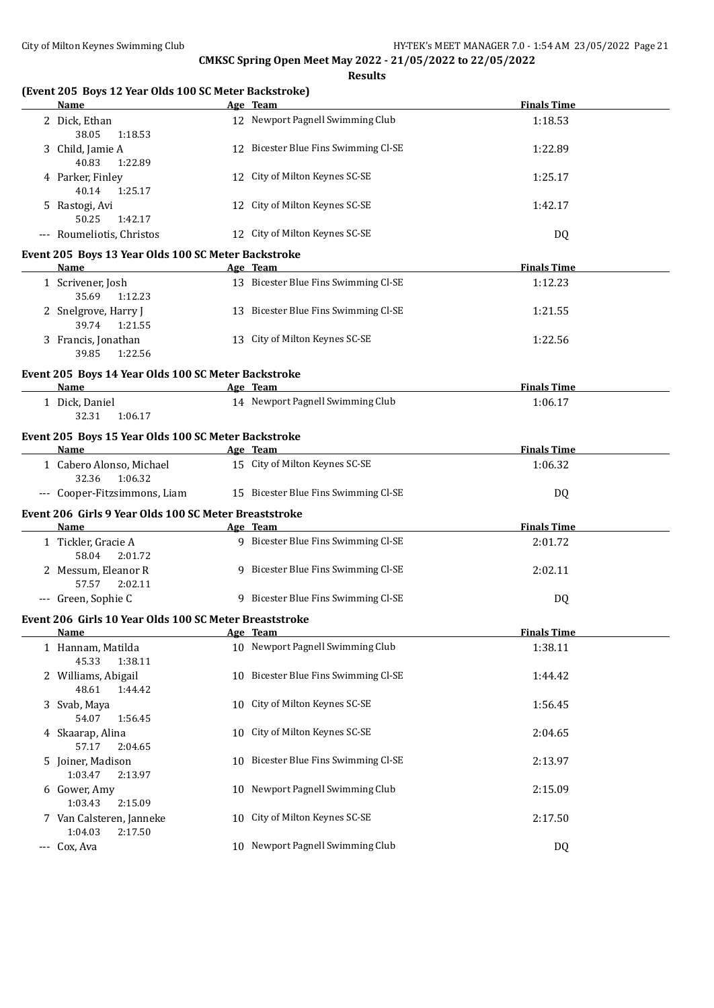| (Event 205 Boys 12 Year Olds 100 SC Meter Backstroke)<br>Name | Age Team                                        | <b>Finals Time</b>            |
|---------------------------------------------------------------|-------------------------------------------------|-------------------------------|
| 2 Dick, Ethan<br>38.05<br>1:18.53                             | 12 Newport Pagnell Swimming Club                | 1:18.53                       |
| 3 Child, Jamie A<br>40.83<br>1:22.89                          | 12 Bicester Blue Fins Swimming Cl-SE            | 1:22.89                       |
| 4 Parker, Finley<br>40.14<br>1:25.17                          | 12 City of Milton Keynes SC-SE                  | 1:25.17                       |
| 5 Rastogi, Avi<br>50.25<br>1:42.17                            | 12 City of Milton Keynes SC-SE                  | 1:42.17                       |
| --- Roumeliotis, Christos                                     | 12 City of Milton Keynes SC-SE                  | DQ                            |
| Event 205 Boys 13 Year Olds 100 SC Meter Backstroke<br>Name   | Age Team                                        | <b>Finals Time</b>            |
| 1 Scrivener, Josh<br>35.69<br>1:12.23                         | 13 Bicester Blue Fins Swimming Cl-SE            | 1:12.23                       |
| 2 Snelgrove, Harry J<br>39.74<br>1:21.55                      | 13 Bicester Blue Fins Swimming Cl-SE            | 1:21.55                       |
| 3 Francis, Jonathan<br>39.85<br>1:22.56                       | 13 City of Milton Keynes SC-SE                  | 1:22.56                       |
| Event 205 Boys 14 Year Olds 100 SC Meter Backstroke           |                                                 |                               |
| Name                                                          | Age Team                                        | <b>Finals Time</b>            |
| 1 Dick, Daniel<br>32.31<br>1:06.17                            | 14 Newport Pagnell Swimming Club                | 1:06.17                       |
| Event 205 Boys 15 Year Olds 100 SC Meter Backstroke           |                                                 |                               |
| Name                                                          | Age Team                                        | <b>Finals Time</b>            |
| 1 Cabero Alonso, Michael<br>32.36<br>1:06.32                  | 15 City of Milton Keynes SC-SE                  | 1:06.32                       |
| --- Cooper-Fitzsimmons, Liam                                  | 15 Bicester Blue Fins Swimming Cl-SE            | DQ                            |
| Event 206 Girls 9 Year Olds 100 SC Meter Breaststroke         |                                                 |                               |
| Name<br>1 Tickler, Gracie A                                   | Age Team<br>9 Bicester Blue Fins Swimming Cl-SE | <b>Finals Time</b><br>2:01.72 |
| 58.04<br>2:01.72                                              |                                                 |                               |
| 2 Messum, Eleanor R<br>57.57<br>2:02.11                       | 9 Bicester Blue Fins Swimming Cl-SE             | 2:02.11                       |
| --- Green, Sophie C                                           | 9 Bicester Blue Fins Swimming Cl-SE             | DQ                            |
| Event 206 Girls 10 Year Olds 100 SC Meter Breaststroke        |                                                 |                               |
| Name<br>1 Hannam, Matilda<br>45.33<br>1:38.11                 | Age Team<br>10 Newport Pagnell Swimming Club    | <b>Finals Time</b><br>1:38.11 |
| 2 Williams, Abigail<br>48.61<br>1:44.42                       | 10 Bicester Blue Fins Swimming Cl-SE            | 1:44.42                       |
| 3 Svab, Maya<br>54.07<br>1:56.45                              | 10 City of Milton Keynes SC-SE                  | 1:56.45                       |
| 4 Skaarap, Alina<br>57.17<br>2:04.65                          | 10 City of Milton Keynes SC-SE                  | 2:04.65                       |
| 5 Joiner, Madison<br>1:03.47<br>2:13.97                       | 10 Bicester Blue Fins Swimming Cl-SE            | 2:13.97                       |
| 6 Gower, Amy<br>1:03.43<br>2:15.09                            | 10 Newport Pagnell Swimming Club                | 2:15.09                       |
| 7 Van Calsteren, Janneke                                      | 10 City of Milton Keynes SC-SE                  | 2:17.50                       |
| 1:04.03<br>2:17.50                                            |                                                 |                               |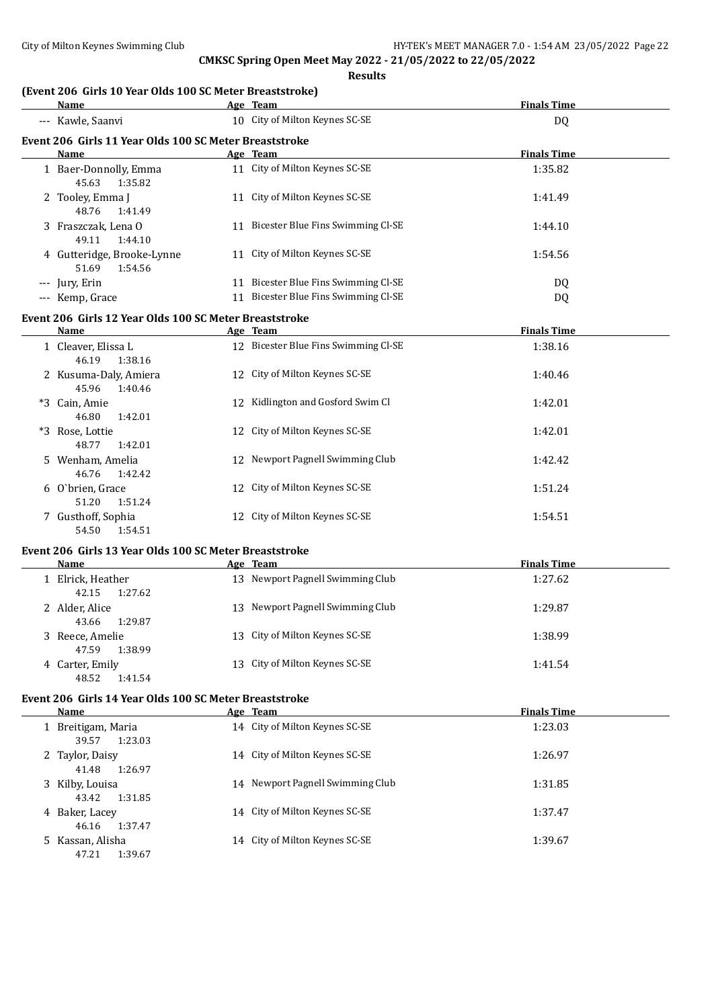**Results**

# **(Event 206 Girls 10 Year Olds 100 SC Meter Breaststroke)**

| Name                                                   |  | Age Team                             | <b>Finals Time</b> |  |
|--------------------------------------------------------|--|--------------------------------------|--------------------|--|
| --- Kawle, Saanvi                                      |  | 10 City of Milton Keynes SC-SE       | DQ                 |  |
| Event 206 Girls 11 Year Olds 100 SC Meter Breaststroke |  |                                      |                    |  |
| Name                                                   |  | Age Team                             | <b>Finals Time</b> |  |
| 1 Baer-Donnolly, Emma<br>45.63<br>1:35.82              |  | 11 City of Milton Keynes SC-SE       | 1:35.82            |  |
| 2 Tooley, Emma J<br>48.76<br>1:41.49                   |  | 11 City of Milton Keynes SC-SE       | 1:41.49            |  |
| 3 Fraszczak, Lena O<br>49.11<br>1:44.10                |  | 11 Bicester Blue Fins Swimming Cl-SE | 1:44.10            |  |
| 4 Gutteridge, Brooke-Lynne<br>1:54.56<br>51.69         |  | 11 City of Milton Keynes SC-SE       | 1:54.56            |  |
| --- Jury, Erin                                         |  | 11 Bicester Blue Fins Swimming Cl-SE | DQ                 |  |
| --- Kemp, Grace                                        |  | 11 Bicester Blue Fins Swimming Cl-SE | DQ                 |  |
| Event 206 Girls 12 Year Olds 100 SC Meter Breaststroke |  |                                      |                    |  |
| Name                                                   |  | Age Team                             | <b>Finals Time</b> |  |
| 1 Cleaver, Elissa L<br>46.19<br>1:38.16                |  | 12 Bicester Blue Fins Swimming Cl-SE | 1:38.16            |  |
| 2 Kusuma-Daly, Amiera<br>45.96<br>1:40.46              |  | 12 City of Milton Keynes SC-SE       | 1:40.46            |  |
| *3 Cain, Amie<br>46.80<br>1:42.01                      |  | 12 Kidlington and Gosford Swim Cl    | 1:42.01            |  |
| *3 Rose, Lottie<br>48.77<br>1:42.01                    |  | 12 City of Milton Keynes SC-SE       | 1:42.01            |  |
| 5 Wenham, Amelia<br>46.76<br>1:42.42                   |  | 12 Newport Pagnell Swimming Club     | 1:42.42            |  |
| 6 O'brien, Grace<br>51.20<br>1:51.24                   |  | 12 City of Milton Keynes SC-SE       | 1:51.24            |  |
| 7 Gusthoff, Sophia<br>1:54.51<br>54.50                 |  | 12 City of Milton Keynes SC-SE       | 1:54.51            |  |
| Event 206 Girls 13 Year Olds 100 SC Meter Breaststroke |  |                                      |                    |  |
| Name                                                   |  | Age Team                             | <b>Finals Time</b> |  |
| 1 Elrick, Heather<br>42.15<br>1:27.62                  |  | 13 Newport Pagnell Swimming Club     | 1:27.62            |  |
| 2 Alder, Alice<br>43.66<br>1:29.87                     |  | 13 Newport Pagnell Swimming Club     | 1:29.87            |  |
| 3 Reece, Amelie<br>47.59<br>1:38.99                    |  | 13 City of Milton Keynes SC-SE       | 1:38.99            |  |
| 4 Carter, Emily<br>48.52<br>1:41.54                    |  | 13 City of Milton Keynes SC-SE       | 1:41.54            |  |
| Event 206 Girls 14 Year Olds 100 SC Meter Breaststroke |  |                                      |                    |  |
| Name                                                   |  | Age Team                             | <b>Finals Time</b> |  |
| 1 Breitigam, Maria<br>39.57<br>1:23.03                 |  | 14 City of Milton Keynes SC-SE       | 1:23.03            |  |

| 39.57<br>1:23.03 |                                  |         |
|------------------|----------------------------------|---------|
| 2 Taylor, Daisy  | 14 City of Milton Keynes SC-SE   | 1:26.97 |
| 41.48<br>1:26.97 |                                  |         |
| 3 Kilby, Louisa  | 14 Newport Pagnell Swimming Club | 1:31.85 |
| 43.42<br>1:31.85 |                                  |         |
| 4 Baker, Lacey   | 14 City of Milton Keynes SC-SE   | 1:37.47 |
| 46.16<br>1:37.47 |                                  |         |
| 5 Kassan, Alisha | 14 City of Milton Keynes SC-SE   | 1:39.67 |
| 1:39.67<br>47.21 |                                  |         |
|                  |                                  |         |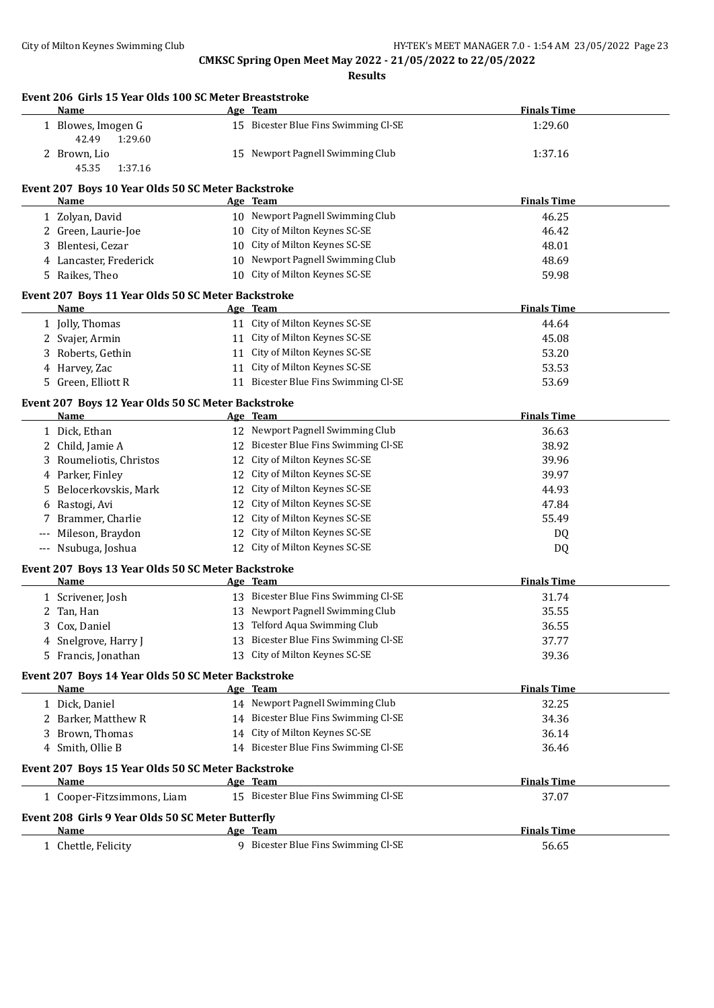| Event 206 Girls 15 Year Olds 100 SC Meter Breaststroke<br>Name | Age Team                                                         | <b>Finals Time</b> |
|----------------------------------------------------------------|------------------------------------------------------------------|--------------------|
| 1 Blowes, Imogen G<br>42.49<br>1:29.60                         | 15 Bicester Blue Fins Swimming Cl-SE                             | 1:29.60            |
| 2 Brown, Lio<br>45.35<br>1:37.16                               | 15 Newport Pagnell Swimming Club                                 | 1:37.16            |
| Event 207 Boys 10 Year Olds 50 SC Meter Backstroke             |                                                                  |                    |
| Name                                                           | Age Team                                                         | <b>Finals Time</b> |
| 1 Zolyan, David                                                | 10 Newport Pagnell Swimming Club                                 | 46.25              |
| 2 Green, Laurie-Joe                                            | 10 City of Milton Keynes SC-SE                                   | 46.42              |
| 3 Blentesi, Cezar                                              | 10 City of Milton Keynes SC-SE                                   | 48.01              |
| 4 Lancaster, Frederick                                         | 10 Newport Pagnell Swimming Club                                 | 48.69              |
| 5 Raikes, Theo                                                 | 10 City of Milton Keynes SC-SE                                   | 59.98              |
| Event 207 Boys 11 Year Olds 50 SC Meter Backstroke             |                                                                  |                    |
| Name                                                           | Age Team                                                         | <b>Finals Time</b> |
| 1 Jolly, Thomas                                                | 11 City of Milton Keynes SC-SE                                   | 44.64              |
| 2 Svajer, Armin                                                | 11 City of Milton Keynes SC-SE                                   | 45.08              |
| 3 Roberts, Gethin                                              | 11 City of Milton Keynes SC-SE                                   | 53.20              |
| Harvey, Zac<br>4                                               | 11 City of Milton Keynes SC-SE                                   | 53.53              |
| 5 Green, Elliott R                                             | 11 Bicester Blue Fins Swimming Cl-SE                             | 53.69              |
| Event 207 Boys 12 Year Olds 50 SC Meter Backstroke<br>Name     | Age Team                                                         | <b>Finals Time</b> |
|                                                                | 12 Newport Pagnell Swimming Club                                 | 36.63              |
| 1 Dick, Ethan<br>2 Child, Jamie A                              | 12 Bicester Blue Fins Swimming Cl-SE                             | 38.92              |
| Roumeliotis, Christos                                          | 12 City of Milton Keynes SC-SE                                   | 39.96              |
| 3                                                              | 12 City of Milton Keynes SC-SE                                   |                    |
| Parker, Finley<br>4                                            |                                                                  | 39.97              |
| Belocerkovskis, Mark<br>5.                                     | 12 City of Milton Keynes SC-SE                                   | 44.93              |
| Rastogi, Avi<br>6                                              | 12 City of Milton Keynes SC-SE                                   | 47.84              |
| Brammer, Charlie<br>7                                          | 12 City of Milton Keynes SC-SE                                   | 55.49              |
| Mileson, Braydon<br>$\cdots$<br>--- Nsubuga, Joshua            | 12 City of Milton Keynes SC-SE<br>12 City of Milton Keynes SC-SE | DQ<br>DQ           |
|                                                                |                                                                  |                    |
| Event 207 Boys 13 Year Olds 50 SC Meter Backstroke<br>Name     | Age Team                                                         | <b>Finals Time</b> |
| 1 Scrivener, Josh                                              | 13 Bicester Blue Fins Swimming Cl-SE                             | 31.74              |
| 2 Tan, Han                                                     | 13 Newport Pagnell Swimming Club                                 | 35.55              |
| 3 Cox, Daniel                                                  | 13 Telford Aqua Swimming Club                                    | 36.55              |
| 4 Snelgrove, Harry J                                           | 13 Bicester Blue Fins Swimming Cl-SE                             | 37.77              |
| 5 Francis, Jonathan                                            | 13 City of Milton Keynes SC-SE                                   | 39.36              |
| Event 207 Boys 14 Year Olds 50 SC Meter Backstroke             |                                                                  |                    |
| Name                                                           | Age Team                                                         | <b>Finals Time</b> |
| 1 Dick, Daniel                                                 | 14 Newport Pagnell Swimming Club                                 | 32.25              |
| 2 Barker, Matthew R                                            | 14 Bicester Blue Fins Swimming Cl-SE                             | 34.36              |
| 3 Brown, Thomas                                                | 14 City of Milton Keynes SC-SE                                   | 36.14              |
| 4 Smith, Ollie B                                               | 14 Bicester Blue Fins Swimming Cl-SE                             | 36.46              |
| Event 207 Boys 15 Year Olds 50 SC Meter Backstroke             |                                                                  |                    |
| Name                                                           | Age Team                                                         | <b>Finals Time</b> |
| 1 Cooper-Fitzsimmons, Liam                                     | 15 Bicester Blue Fins Swimming Cl-SE                             | 37.07              |
| Event 208 Girls 9 Year Olds 50 SC Meter Butterfly              |                                                                  |                    |
| Name                                                           | Age Team                                                         | <b>Finals Time</b> |
| 1 Chettle, Felicity                                            | 9 Bicester Blue Fins Swimming Cl-SE                              | 56.65              |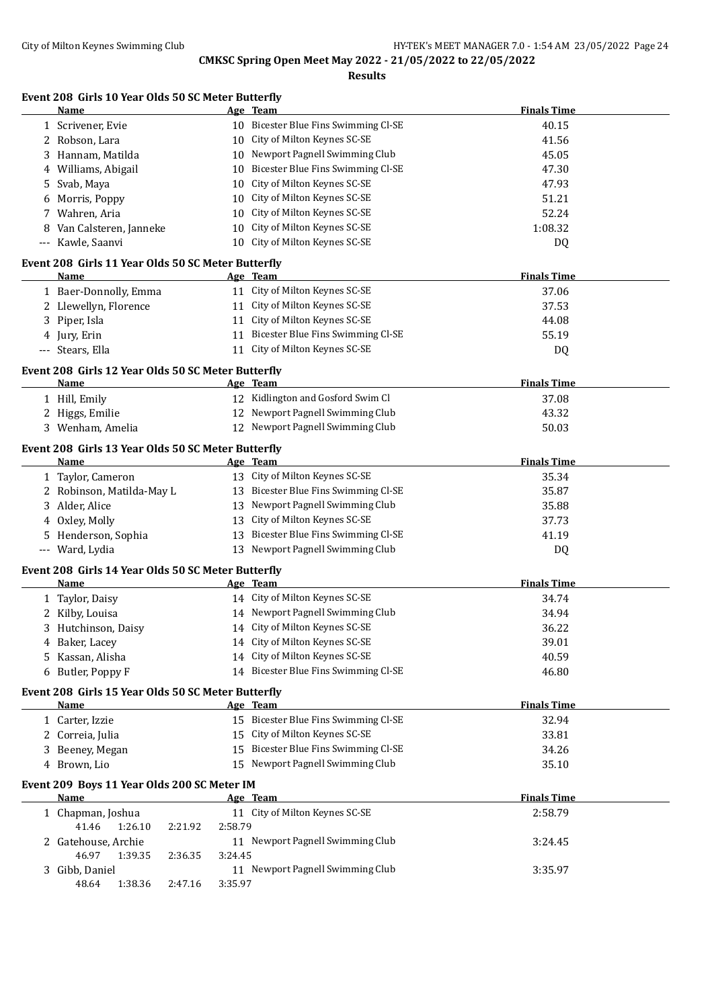**Results**

# **Event 208 Girls 10 Year Olds 50 SC Meter Butterfly**

|     | <b>Name</b>                                                |         | Age Team                                                              | <b>Finals Time</b> |
|-----|------------------------------------------------------------|---------|-----------------------------------------------------------------------|--------------------|
|     | 1 Scrivener, Evie                                          |         | 10 Bicester Blue Fins Swimming Cl-SE                                  | 40.15              |
|     | 2 Robson, Lara                                             |         | 10 City of Milton Keynes SC-SE                                        | 41.56              |
| 3   | Hannam, Matilda                                            |         | 10 Newport Pagnell Swimming Club                                      | 45.05              |
| 4   | Williams, Abigail                                          |         | 10 Bicester Blue Fins Swimming Cl-SE                                  | 47.30              |
| 5   | Svab, Maya                                                 |         | 10 City of Milton Keynes SC-SE                                        | 47.93              |
| 6   | Morris, Poppy                                              |         | 10 City of Milton Keynes SC-SE                                        | 51.21              |
| 7   | Wahren, Aria                                               |         | 10 City of Milton Keynes SC-SE                                        | 52.24              |
| 8   | Van Calsteren, Janneke                                     |         | 10 City of Milton Keynes SC-SE                                        | 1:08.32            |
|     | --- Kawle, Saanvi                                          |         | 10 City of Milton Keynes SC-SE                                        | DQ                 |
|     | Event 208 Girls 11 Year Olds 50 SC Meter Butterfly         |         |                                                                       |                    |
|     | Name                                                       |         | Age Team                                                              | <b>Finals Time</b> |
|     | 1 Baer-Donnolly, Emma                                      |         | 11 City of Milton Keynes SC-SE                                        | 37.06              |
|     | 2 Llewellyn, Florence                                      |         | 11 City of Milton Keynes SC-SE                                        | 37.53              |
|     | 3 Piper, Isla                                              |         | 11 City of Milton Keynes SC-SE                                        | 44.08              |
|     | 4 Jury, Erin                                               |         | 11 Bicester Blue Fins Swimming Cl-SE                                  | 55.19              |
|     | --- Stears, Ella                                           |         | 11 City of Milton Keynes SC-SE                                        | DQ                 |
|     |                                                            |         |                                                                       |                    |
|     | Event 208 Girls 12 Year Olds 50 SC Meter Butterfly<br>Name |         | Age Team                                                              | <b>Finals Time</b> |
|     | 1 Hill, Emily                                              |         | 12 Kidlington and Gosford Swim Cl                                     | 37.08              |
|     | 2 Higgs, Emilie                                            |         | 12 Newport Pagnell Swimming Club                                      | 43.32              |
|     | 3 Wenham, Amelia                                           |         | 12 Newport Pagnell Swimming Club                                      | 50.03              |
|     |                                                            |         |                                                                       |                    |
|     | Event 208 Girls 13 Year Olds 50 SC Meter Butterfly         |         |                                                                       |                    |
|     | Name                                                       |         | Age Team                                                              | <b>Finals Time</b> |
|     | 1 Taylor, Cameron                                          |         | 13 City of Milton Keynes SC-SE                                        | 35.34              |
|     | 2 Robinson, Matilda-May L                                  |         | 13 Bicester Blue Fins Swimming Cl-SE                                  | 35.87              |
| 3   | Alder, Alice                                               |         | 13 Newport Pagnell Swimming Club                                      | 35.88              |
| 4   | Oxley, Molly                                               |         | 13 City of Milton Keynes SC-SE                                        | 37.73              |
| 5   | Henderson, Sophia                                          | 13      | Bicester Blue Fins Swimming Cl-SE<br>13 Newport Pagnell Swimming Club | 41.19              |
| --- | Ward, Lydia                                                |         |                                                                       | DQ                 |
|     | Event 208 Girls 14 Year Olds 50 SC Meter Butterfly         |         |                                                                       |                    |
|     | Name                                                       |         | Age Team                                                              | <b>Finals Time</b> |
|     | 1 Taylor, Daisy                                            |         | 14 City of Milton Keynes SC-SE                                        | 34.74              |
|     | 2 Kilby, Louisa                                            |         | 14 Newport Pagnell Swimming Club                                      | 34.94              |
|     | 3 Hutchinson, Daisy                                        |         | 14 City of Milton Keynes SC-SE                                        | 36.22              |
|     | 4 Baker, Lacey                                             |         | 14 City of Milton Keynes SC-SE                                        | 39.01              |
| 5.  | Kassan, Alisha                                             |         | 14 City of Milton Keynes SC-SE                                        | 40.59              |
| 6   | Butler, Poppy F                                            |         | 14 Bicester Blue Fins Swimming Cl-SE                                  | 46.80              |
|     | Event 208 Girls 15 Year Olds 50 SC Meter Butterfly         |         |                                                                       |                    |
|     | Name                                                       |         | Age Team                                                              | <b>Finals Time</b> |
|     | 1 Carter, Izzie                                            |         | 15 Bicester Blue Fins Swimming Cl-SE                                  | 32.94              |
|     | 2 Correia, Julia                                           |         | 15 City of Milton Keynes SC-SE                                        | 33.81              |
| 3   | Beeney, Megan                                              |         | 15 Bicester Blue Fins Swimming Cl-SE                                  | 34.26              |
|     | 4 Brown, Lio                                               |         | 15 Newport Pagnell Swimming Club                                      | 35.10              |
|     | Event 209 Boys 11 Year Olds 200 SC Meter IM                |         |                                                                       |                    |
|     | <b>Name</b>                                                |         | Age Team                                                              | <b>Finals Time</b> |
|     | 1 Chapman, Joshua                                          |         | 11 City of Milton Keynes SC-SE                                        | 2:58.79            |
|     | 41.46<br>1:26.10<br>2:21.92                                | 2:58.79 |                                                                       |                    |
|     | 2 Gatehouse, Archie                                        |         | 11 Newport Pagnell Swimming Club                                      | 3:24.45            |
|     | 46.97<br>1:39.35<br>2:36.35                                | 3:24.45 |                                                                       |                    |
|     | 3 Gibb, Daniel                                             |         | 11 Newport Pagnell Swimming Club                                      | 3:35.97            |
|     | 1:38.36<br>48.64<br>2:47.16                                | 3:35.97 |                                                                       |                    |
|     |                                                            |         |                                                                       |                    |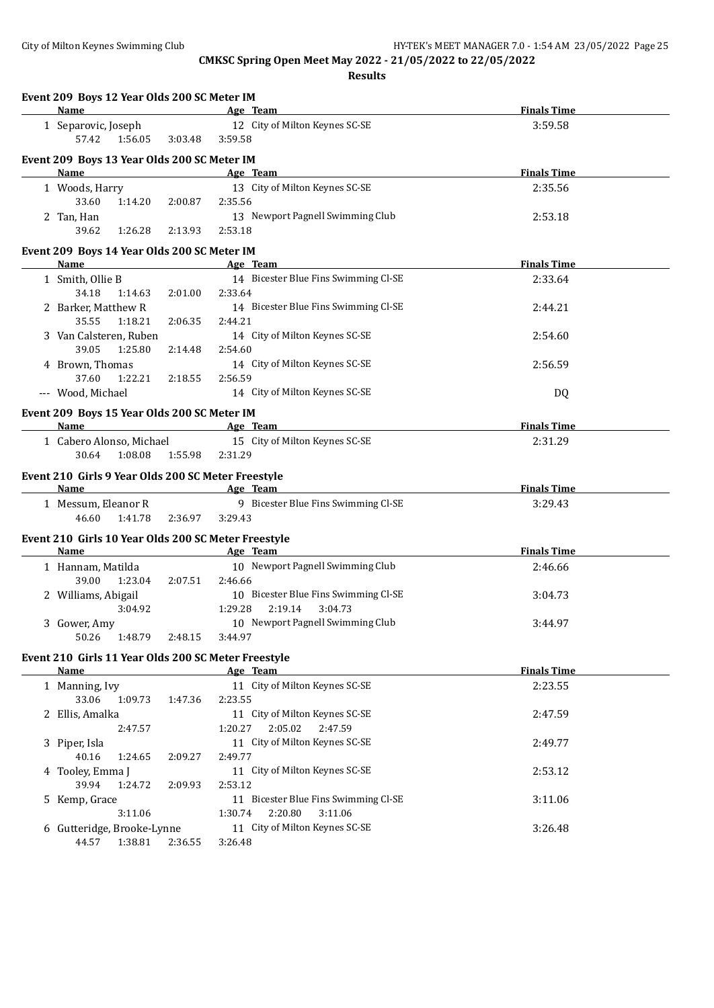| Event 209 Boys 12 Year Olds 200 SC Meter IM<br>Name                                                                                                                                                                                               |         | Age Team                                   |                                      | <b>Finals Time</b> |
|---------------------------------------------------------------------------------------------------------------------------------------------------------------------------------------------------------------------------------------------------|---------|--------------------------------------------|--------------------------------------|--------------------|
|                                                                                                                                                                                                                                                   |         |                                            |                                      |                    |
| 1 Separovic, Joseph<br>57.42<br>1:56.05                                                                                                                                                                                                           |         | 12 City of Milton Keynes SC-SE<br>3:59.58  |                                      | 3:59.58            |
|                                                                                                                                                                                                                                                   | 3:03.48 |                                            |                                      |                    |
| Event 209 Boys 13 Year Olds 200 SC Meter IM                                                                                                                                                                                                       |         |                                            |                                      |                    |
| <b>Name</b><br><b>Example 2018</b> Age Team                                                                                                                                                                                                       |         |                                            |                                      | <b>Finals Time</b> |
| 1 Woods, Harry                                                                                                                                                                                                                                    |         | 13 City of Milton Keynes SC-SE             |                                      | 2:35.56            |
| 33.60<br>1:14.20                                                                                                                                                                                                                                  | 2:00.87 | 2:35.56                                    |                                      |                    |
| 2 Tan, Han                                                                                                                                                                                                                                        |         |                                            | 13 Newport Pagnell Swimming Club     | 2:53.18            |
| 39.62<br>1:26.28                                                                                                                                                                                                                                  | 2:13.93 | 2:53.18                                    |                                      |                    |
| Event 209 Boys 14 Year Olds 200 SC Meter IM                                                                                                                                                                                                       |         |                                            |                                      |                    |
| Name                                                                                                                                                                                                                                              |         | Age Team                                   |                                      | <b>Finals Time</b> |
| 1 Smith, Ollie B                                                                                                                                                                                                                                  |         |                                            | 14 Bicester Blue Fins Swimming Cl-SE | 2:33.64            |
| 34.18<br>1:14.63                                                                                                                                                                                                                                  | 2:01.00 | 2:33.64                                    |                                      |                    |
| 2 Barker, Matthew R                                                                                                                                                                                                                               |         |                                            | 14 Bicester Blue Fins Swimming Cl-SE | 2:44.21            |
| 35.55<br>1:18.21                                                                                                                                                                                                                                  | 2:06.35 | 2:44.21                                    |                                      |                    |
| 3 Van Calsteren, Ruben                                                                                                                                                                                                                            |         | 14 City of Milton Keynes SC-SE             |                                      | 2:54.60            |
| 39.05<br>1:25.80                                                                                                                                                                                                                                  | 2:14.48 | 2:54.60                                    |                                      |                    |
| 4 Brown, Thomas                                                                                                                                                                                                                                   |         | 14 City of Milton Keynes SC-SE             |                                      | 2:56.59            |
| 37.60<br>1:22.21                                                                                                                                                                                                                                  | 2:18.55 | 2:56.59                                    |                                      |                    |
| --- Wood, Michael                                                                                                                                                                                                                                 |         | 14 City of Milton Keynes SC-SE             |                                      | DQ                 |
| Event 209 Boys 15 Year Olds 200 SC Meter IM                                                                                                                                                                                                       |         |                                            |                                      |                    |
| <b>Name</b>                                                                                                                                                                                                                                       |         | <b>Example 2018</b> Age Team               |                                      | <b>Finals Time</b> |
| 1 Cabero Alonso, Michael                                                                                                                                                                                                                          |         | 15 City of Milton Keynes SC-SE             |                                      | 2:31.29            |
| 30.64<br>1:08.08                                                                                                                                                                                                                                  | 1:55.98 | 2:31.29                                    |                                      |                    |
| Event 210 Girls 9 Year Olds 200 SC Meter Freestyle                                                                                                                                                                                                |         |                                            |                                      |                    |
| <b>Example 2</b> and 2 and 2 and 2 and 2 and 2 and 2 and 2 and 2 and 2 and 2 and 2 and 2 and 2 and 2 and 2 and 2 and 2 and 2 and 2 and 2 and 2 and 2 and 2 and 2 and 2 and 2 and 2 and 2 and 2 and 2 and 2 and 2 and 2 and 2 and 2<br><b>Name</b> |         |                                            |                                      | <b>Finals Time</b> |
| 1 Messum, Eleanor R                                                                                                                                                                                                                               |         |                                            | 9 Bicester Blue Fins Swimming Cl-SE  | 3:29.43            |
| 46.60<br>1:41.78                                                                                                                                                                                                                                  | 2:36.97 | 3:29.43                                    |                                      |                    |
| Event 210 Girls 10 Year Olds 200 SC Meter Freestyle                                                                                                                                                                                               |         |                                            |                                      |                    |
| Name                                                                                                                                                                                                                                              |         | Age Team                                   |                                      | <b>Finals Time</b> |
| 1 Hannam, Matilda                                                                                                                                                                                                                                 |         |                                            | 10 Newport Pagnell Swimming Club     | 2:46.66            |
| 39.00<br>1:23.04                                                                                                                                                                                                                                  | 2:07.51 | 2:46.66                                    |                                      |                    |
| 2 Williams, Abigail                                                                                                                                                                                                                               |         |                                            | 10 Bicester Blue Fins Swimming Cl-SE | 3:04.73            |
| 3:04.92                                                                                                                                                                                                                                           |         | 1:29.28<br>2:19.14                         | 3:04.73                              |                    |
| 3 Gower, Amy                                                                                                                                                                                                                                      |         |                                            | 10 Newport Pagnell Swimming Club     | 3:44.97            |
| 50.26<br>1:48.79                                                                                                                                                                                                                                  | 2:48.15 | 3:44.97                                    |                                      |                    |
|                                                                                                                                                                                                                                                   |         |                                            |                                      |                    |
| Event 210 Girls 11 Year Olds 200 SC Meter Freestyle<br><b>Name</b>                                                                                                                                                                                |         |                                            |                                      | <b>Finals Time</b> |
|                                                                                                                                                                                                                                                   |         | Age Team<br>11 City of Milton Keynes SC-SE |                                      | 2:23.55            |
| 1 Manning, Ivy<br>33.06<br>1:09.73                                                                                                                                                                                                                | 1:47.36 | 2:23.55                                    |                                      |                    |
| 2 Ellis, Amalka                                                                                                                                                                                                                                   |         | 11 City of Milton Keynes SC-SE             |                                      |                    |
| 2:47.57                                                                                                                                                                                                                                           |         | 2:05.02<br>1:20.27                         | 2:47.59                              | 2:47.59            |
| 3 Piper, Isla                                                                                                                                                                                                                                     |         | 11 City of Milton Keynes SC-SE             |                                      | 2:49.77            |
| 40.16<br>1:24.65                                                                                                                                                                                                                                  | 2:09.27 | 2:49.77                                    |                                      |                    |
| 4 Tooley, Emma J                                                                                                                                                                                                                                  |         | 11 City of Milton Keynes SC-SE             |                                      | 2:53.12            |
| 39.94<br>1:24.72                                                                                                                                                                                                                                  | 2:09.93 | 2:53.12                                    |                                      |                    |
| 5 Kemp, Grace                                                                                                                                                                                                                                     |         |                                            | 11 Bicester Blue Fins Swimming Cl-SE | 3:11.06            |
| 3:11.06                                                                                                                                                                                                                                           |         | 2:20.80<br>1:30.74                         | 3:11.06                              |                    |
| 6 Gutteridge, Brooke-Lynne                                                                                                                                                                                                                        |         | 11 City of Milton Keynes SC-SE             |                                      | 3:26.48            |
| 44.57<br>1:38.81                                                                                                                                                                                                                                  | 2:36.55 | 3:26.48                                    |                                      |                    |
|                                                                                                                                                                                                                                                   |         |                                            |                                      |                    |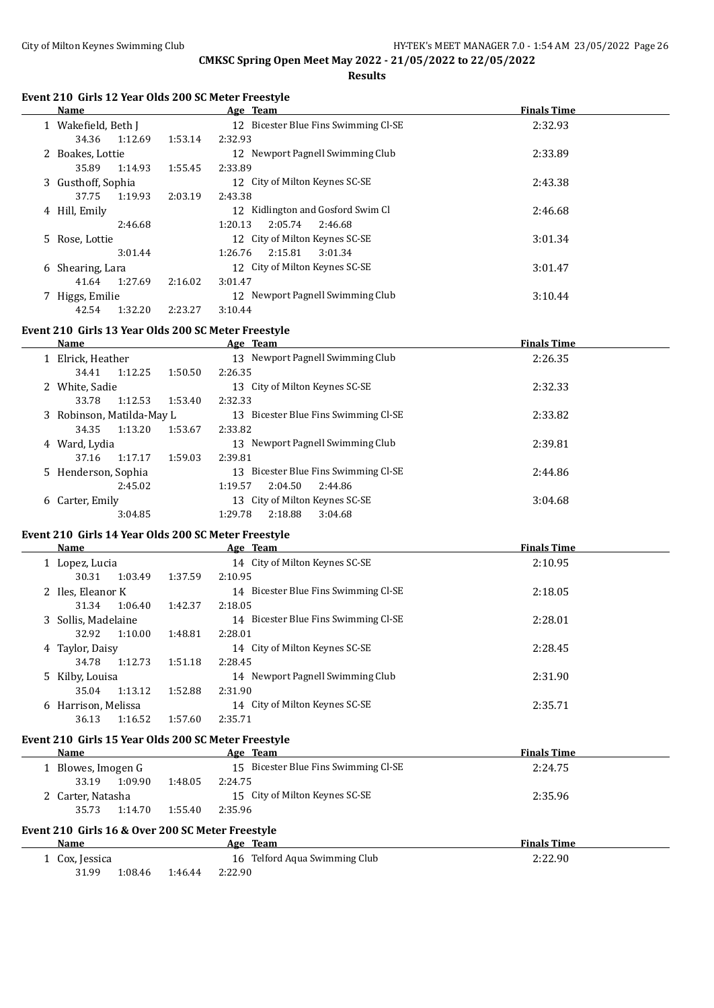**Results**

#### **Event 210 Girls 12 Year Olds 200 SC Meter Freestyle**

|    | Name                |         | Age Team                             | <b>Finals Time</b> |
|----|---------------------|---------|--------------------------------------|--------------------|
|    | 1 Wakefield, Beth J |         | 12 Bicester Blue Fins Swimming Cl-SE | 2:32.93            |
|    | 1:12.69<br>34.36    | 1:53.14 | 2:32.93                              |                    |
|    | 2 Boakes, Lottie    |         | 12 Newport Pagnell Swimming Club     | 2:33.89            |
|    | 35.89<br>1:14.93    | 1:55.45 | 2:33.89                              |                    |
|    | 3 Gusthoff, Sophia  |         | 12 City of Milton Keynes SC-SE       | 2:43.38            |
|    | 37.75<br>1:19.93    | 2:03.19 | 2:43.38                              |                    |
|    | 4 Hill, Emily       |         | Kidlington and Gosford Swim Cl<br>12 | 2:46.68            |
|    | 2:46.68             |         | 1:20.13<br>2:05.74<br>2:46.68        |                    |
|    | 5 Rose, Lottie      |         | 12 City of Milton Keynes SC-SE       | 3:01.34            |
|    | 3:01.44             |         | 2:15.81<br>1:26.76<br>3:01.34        |                    |
| 6. | Shearing, Lara      |         | 12 City of Milton Keynes SC-SE       | 3:01.47            |
|    | 1:27.69<br>41.64    | 2:16.02 | 3:01.47                              |                    |
|    | Higgs, Emilie       |         | 12 Newport Pagnell Swimming Club     | 3:10.44            |
|    | 42.54<br>1:32.20    | 2:23.27 | 3:10.44                              |                    |

# **Event 210 Girls 13 Year Olds 200 SC Meter Freestyle**

 $\frac{1}{2}$ 

| <b>Name</b>                 | Age Team                                | <b>Finals Time</b> |
|-----------------------------|-----------------------------------------|--------------------|
| 1 Elrick, Heather           | Newport Pagnell Swimming Club<br>13     | 2:26.35            |
| 1:12.25<br>34.41<br>1:50.50 | 2:26.35                                 |                    |
| 2 White, Sadie              | City of Milton Keynes SC-SE<br>13       | 2:32.33            |
| 33.78<br>1:12.53<br>1:53.40 | 2:32.33                                 |                    |
| 3 Robinson, Matilda-May L   | Bicester Blue Fins Swimming CI-SE<br>13 | 2:33.82            |
| 1:13.20<br>34.35<br>1:53.67 | 2:33.82                                 |                    |
| 4 Ward, Lydia               | Newport Pagnell Swimming Club<br>13     | 2:39.81            |
| 1:17.17<br>1:59.03<br>37.16 | 2:39.81                                 |                    |
| 5 Henderson, Sophia         | Bicester Blue Fins Swimming Cl-SE<br>13 | 2:44.86            |
| 2:45.02                     | 2:04.50<br>1:19.57<br>2:44.86           |                    |
| 6 Carter, Emily             | City of Milton Keynes SC-SE<br>13       | 3:04.68            |
| 3:04.85                     | 2:18.88<br>1:29.78<br>3:04.68           |                    |

#### **Event 210 Girls 14 Year Olds 200 SC Meter Freestyle**

|   | <b>Name</b>         |         |         | Age Team                                | <b>Finals Time</b> |
|---|---------------------|---------|---------|-----------------------------------------|--------------------|
|   | 1 Lopez, Lucia      |         |         | 14 City of Milton Keynes SC-SE          | 2:10.95            |
|   | 30.31               | 1:03.49 | 1:37.59 | 2:10.95                                 |                    |
|   | 2 Iles, Eleanor K   |         |         | 14 Bicester Blue Fins Swimming Cl-SE    | 2:18.05            |
|   | 31.34               | 1:06.40 | 1:42.37 | 2:18.05                                 |                    |
|   | 3 Sollis, Madelaine |         |         | Bicester Blue Fins Swimming Cl-SE<br>14 | 2:28.01            |
|   | 32.92               | 1:10.00 | 1:48.81 | 2:28.01                                 |                    |
|   | 4 Taylor, Daisy     |         |         | 14 City of Milton Keynes SC-SE          | 2:28.45            |
|   | 34.78               | 1:12.73 | 1:51.18 | 2:28.45                                 |                    |
|   | 5 Kilby, Louisa     |         |         | 14 Newport Pagnell Swimming Club        | 2:31.90            |
|   | 35.04               | 1:13.12 | 1:52.88 | 2:31.90                                 |                    |
| 6 | Harrison, Melissa   |         |         | 14 City of Milton Keynes SC-SE          | 2:35.71            |
|   | 36.13               | 1:16.52 | 1:57.60 | 2:35.71                                 |                    |

# **Event 210 Girls 15 Year Olds 200 SC Meter Freestyle**

| <b>Name</b>       |         | Age Team                             | <b>Finals Time</b> |
|-------------------|---------|--------------------------------------|--------------------|
| Blowes, Imogen G  |         | 15 Bicester Blue Fins Swimming Cl-SE | 2:24.75            |
| 1:09.90<br>33.19  | 1:48.05 | 2:24.75                              |                    |
| 2 Carter, Natasha |         | 15 City of Milton Keynes SC-SE       | 2:35.96            |
| 1:14.70<br>35.73  | 1:55.40 | 2:35.96                              |                    |
|                   |         |                                      |                    |

# **Event 210 Girls 16 & Over 200 SC Meter Freestyle**

| Name         |         |         | Age Team                      | <sup>F</sup> inals Time |
|--------------|---------|---------|-------------------------------|-------------------------|
| Cox, Jessica |         |         | 16 Telford Aqua Swimming Club | 2:22.90                 |
| 31.99        | 1:08.46 | 1:46.44 | 2:22.90                       |                         |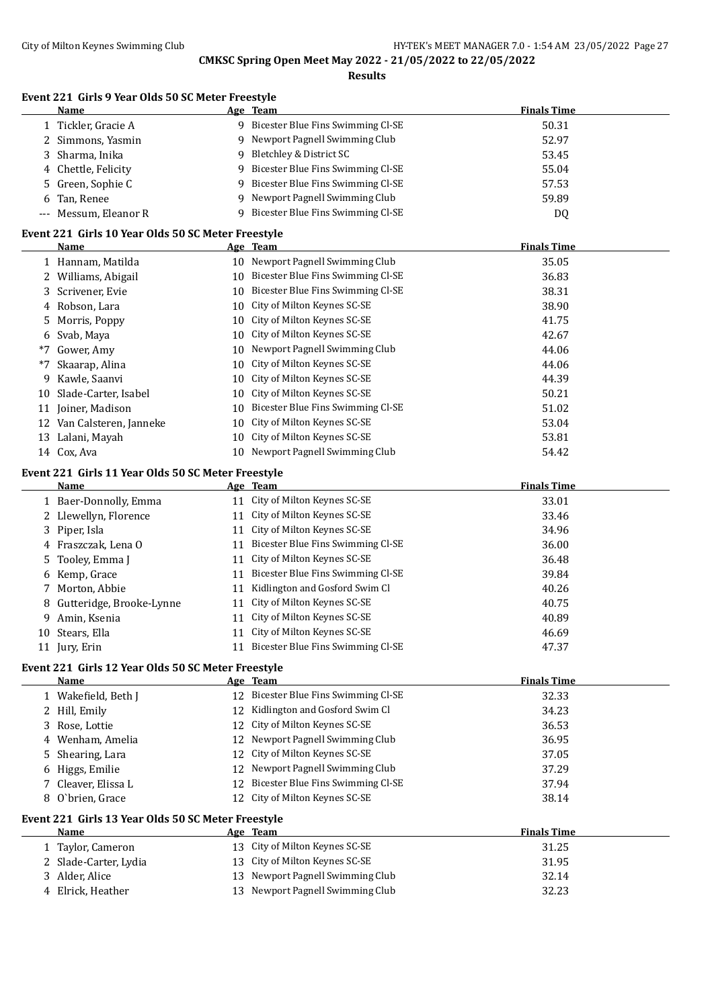**Results**

#### **Event 221 Girls 9 Year Olds 50 SC Meter Freestyle**

| Name                                               |  | Age Team                                                                                                                                                                                                                                                                                                                                                                                            | <b>Finals Time</b> |  |
|----------------------------------------------------|--|-----------------------------------------------------------------------------------------------------------------------------------------------------------------------------------------------------------------------------------------------------------------------------------------------------------------------------------------------------------------------------------------------------|--------------------|--|
| 1 Tickler, Gracie A                                |  | 9 Bicester Blue Fins Swimming Cl-SE                                                                                                                                                                                                                                                                                                                                                                 | 50.31              |  |
| 2 Simmons, Yasmin                                  |  | 9 Newport Pagnell Swimming Club                                                                                                                                                                                                                                                                                                                                                                     | 52.97              |  |
| 3 Sharma, Inika                                    |  | 9 Bletchley & District SC                                                                                                                                                                                                                                                                                                                                                                           | 53.45              |  |
| 4 Chettle, Felicity                                |  | 9 Bicester Blue Fins Swimming Cl-SE                                                                                                                                                                                                                                                                                                                                                                 | 55.04              |  |
| 5 Green, Sophie C                                  |  | 9 Bicester Blue Fins Swimming Cl-SE                                                                                                                                                                                                                                                                                                                                                                 | 57.53              |  |
| 6 Tan, Renee                                       |  | 9 Newport Pagnell Swimming Club                                                                                                                                                                                                                                                                                                                                                                     | 59.89              |  |
| --- Messum, Eleanor R                              |  | 9 Bicester Blue Fins Swimming Cl-SE                                                                                                                                                                                                                                                                                                                                                                 | DQ                 |  |
| Event 221 Girls 10 Year Olds 50 SC Meter Freestyle |  |                                                                                                                                                                                                                                                                                                                                                                                                     |                    |  |
| Name                                               |  | Age Team                                                                                                                                                                                                                                                                                                                                                                                            | <b>Finals Time</b> |  |
| $\sim$ $\sim$ $\sim$ $\sim$ $\sim$ $\sim$<br>.     |  | $\mathbf{u} \cdot \mathbf{v}$<br>$\mathbf{A} \mathbf{A}$ and $\mathbf{A} \mathbf{B}$ and $\mathbf{A} \mathbf{B}$ and $\mathbf{A} \mathbf{B}$ and $\mathbf{A} \mathbf{B}$ and $\mathbf{A} \mathbf{B}$ and $\mathbf{A} \mathbf{B}$ and $\mathbf{A} \mathbf{B}$ and $\mathbf{A} \mathbf{B}$ and $\mathbf{A} \mathbf{B}$ and $\mathbf{A} \mathbf{B}$ and $\mathbf{A} \mathbf{B$<br>$\sim$ $\sim$ $\sim$ | $\sim$ $ \sim$ $-$ |  |

|                                                                                                                                                                                                                                                                                        | 35.05                                                                                                                                                                                                                                                                                                                                                                                                                                                                                                            |
|----------------------------------------------------------------------------------------------------------------------------------------------------------------------------------------------------------------------------------------------------------------------------------------|------------------------------------------------------------------------------------------------------------------------------------------------------------------------------------------------------------------------------------------------------------------------------------------------------------------------------------------------------------------------------------------------------------------------------------------------------------------------------------------------------------------|
|                                                                                                                                                                                                                                                                                        | 36.83                                                                                                                                                                                                                                                                                                                                                                                                                                                                                                            |
|                                                                                                                                                                                                                                                                                        | 38.31                                                                                                                                                                                                                                                                                                                                                                                                                                                                                                            |
|                                                                                                                                                                                                                                                                                        | 38.90                                                                                                                                                                                                                                                                                                                                                                                                                                                                                                            |
|                                                                                                                                                                                                                                                                                        | 41.75                                                                                                                                                                                                                                                                                                                                                                                                                                                                                                            |
|                                                                                                                                                                                                                                                                                        | 42.67                                                                                                                                                                                                                                                                                                                                                                                                                                                                                                            |
|                                                                                                                                                                                                                                                                                        | 44.06                                                                                                                                                                                                                                                                                                                                                                                                                                                                                                            |
|                                                                                                                                                                                                                                                                                        | 44.06                                                                                                                                                                                                                                                                                                                                                                                                                                                                                                            |
|                                                                                                                                                                                                                                                                                        | 44.39                                                                                                                                                                                                                                                                                                                                                                                                                                                                                                            |
|                                                                                                                                                                                                                                                                                        | 50.21                                                                                                                                                                                                                                                                                                                                                                                                                                                                                                            |
|                                                                                                                                                                                                                                                                                        | 51.02                                                                                                                                                                                                                                                                                                                                                                                                                                                                                                            |
|                                                                                                                                                                                                                                                                                        | 53.04                                                                                                                                                                                                                                                                                                                                                                                                                                                                                                            |
|                                                                                                                                                                                                                                                                                        | 53.81                                                                                                                                                                                                                                                                                                                                                                                                                                                                                                            |
|                                                                                                                                                                                                                                                                                        | 54.42                                                                                                                                                                                                                                                                                                                                                                                                                                                                                                            |
| 1 Hannam, Matilda<br>2 Williams, Abigail<br>3 Scrivener, Evie<br>4 Robson, Lara<br>5 Morris, Poppy<br>6 Svab, Maya<br>Gower, Amy<br>Skaarap, Alina<br>9 Kawle, Saanvi<br>10 Slade-Carter, Isabel<br>11 Joiner, Madison<br>12 Van Calsteren, Janneke<br>13 Lalani, Mayah<br>14 Cox, Ava | 10 Newport Pagnell Swimming Club<br>10 Bicester Blue Fins Swimming Cl-SE<br>10 Bicester Blue Fins Swimming Cl-SE<br>10 City of Milton Keynes SC-SE<br>10 City of Milton Keynes SC-SE<br>10 City of Milton Keynes SC-SE<br>10 Newport Pagnell Swimming Club<br>10 City of Milton Keynes SC-SE<br>10 City of Milton Keynes SC-SE<br>10 City of Milton Keynes SC-SE<br>10 Bicester Blue Fins Swimming Cl-SE<br>10 City of Milton Keynes SC-SE<br>10 City of Milton Keynes SC-SE<br>10 Newport Pagnell Swimming Club |

#### **Event 221 Girls 11 Year Olds 50 SC Meter Freestyle**

|    | Name                       |    | Age Team                             | <b>Finals Time</b> |
|----|----------------------------|----|--------------------------------------|--------------------|
|    | 1 Baer-Donnolly, Emma      |    | 11 City of Milton Keynes SC-SE       | 33.01              |
|    | 2 Llewellyn, Florence      |    | 11 City of Milton Keynes SC-SE       | 33.46              |
|    | 3 Piper, Isla              |    | 11 City of Milton Keynes SC-SE       | 34.96              |
|    | 4 Fraszczak, Lena O        |    | 11 Bicester Blue Fins Swimming Cl-SE | 36.00              |
|    | 5 Tooley, Emma J           |    | 11 City of Milton Keynes SC-SE       | 36.48              |
|    | 6 Kemp, Grace              |    | 11 Bicester Blue Fins Swimming Cl-SE | 39.84              |
|    | 7 Morton, Abbie            | 11 | Kidlington and Gosford Swim Cl       | 40.26              |
|    | 8 Gutteridge, Brooke-Lynne |    | 11 City of Milton Keynes SC-SE       | 40.75              |
| 9. | Amin, Ksenia               |    | 11 City of Milton Keynes SC-SE       | 40.89              |
|    | 10 Stears, Ella            |    | 11 City of Milton Keynes SC-SE       | 46.69              |
|    | 11 Jury, Erin              | 11 | Bicester Blue Fins Swimming Cl-SE    | 47.37              |

### **Event 221 Girls 12 Year Olds 50 SC Meter Freestyle**

| Name                                               |    | Age Team                          | <b>Finals Time</b> |  |
|----------------------------------------------------|----|-----------------------------------|--------------------|--|
| 1 Wakefield, Beth J                                | 12 | Bicester Blue Fins Swimming Cl-SE | 32.33              |  |
| 2 Hill, Emily                                      | 12 | Kidlington and Gosford Swim Cl    | 34.23              |  |
| 3 Rose, Lottie                                     | 12 | City of Milton Keynes SC-SE       | 36.53              |  |
| 4 Wenham, Amelia                                   |    | 12 Newport Pagnell Swimming Club  | 36.95              |  |
| 5 Shearing, Lara                                   |    | 12 City of Milton Keynes SC-SE    | 37.05              |  |
| 6 Higgs, Emilie                                    |    | 12 Newport Pagnell Swimming Club  | 37.29              |  |
| 7 Cleaver, Elissa L                                | 12 | Bicester Blue Fins Swimming Cl-SE | 37.94              |  |
| 8 O'brien, Grace                                   |    | 12 City of Milton Keynes SC-SE    | 38.14              |  |
| Event 221 Girls 13 Year Olds 50 SC Meter Freestyle |    |                                   |                    |  |
| Name                                               |    | Age Team                          | <b>Finals Time</b> |  |
| 1 Taylor, Cameron                                  |    | 13 City of Milton Keynes SC-SE    | 31.25              |  |
| 2 Slade-Carter, Lydia                              |    | 13 City of Milton Keynes SC-SE    | 31.95              |  |
| 3 Alder, Alice                                     |    | 13 Newport Pagnell Swimming Club  | 32.14              |  |
| 4 Elrick, Heather                                  |    | 13 Newport Pagnell Swimming Club  | 32.23              |  |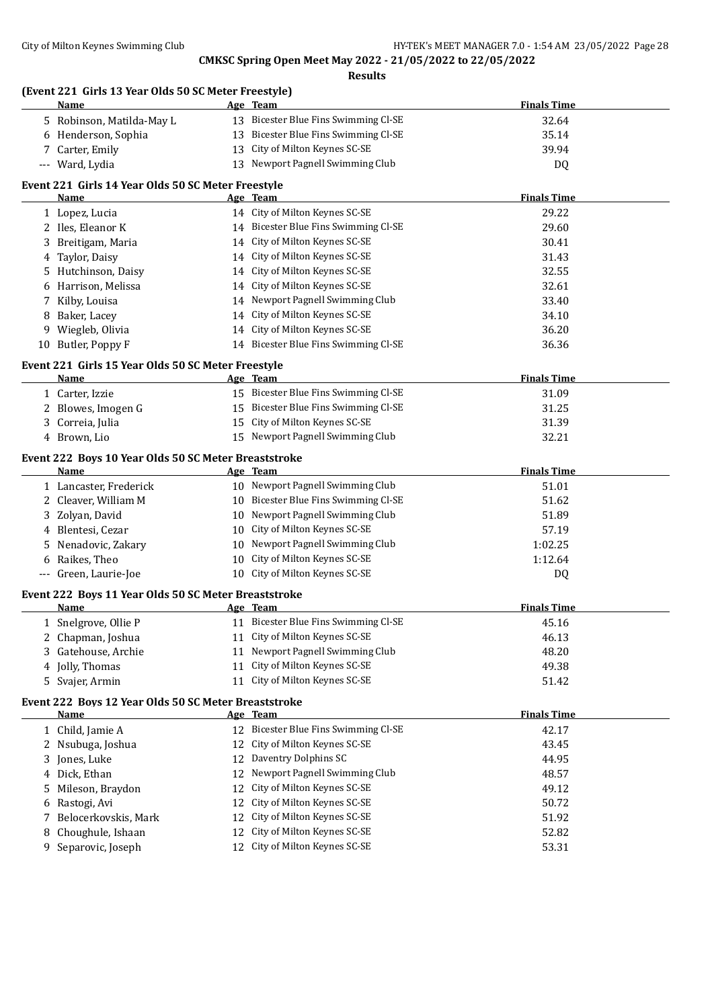**(Event 221 Girls 13 Year Olds 50 SC Meter Freestyle)**

|     | Name                                                 |    | Age Team                                                           | <b>Finals Time</b> |
|-----|------------------------------------------------------|----|--------------------------------------------------------------------|--------------------|
|     | 5 Robinson, Matilda-May L                            |    | 13 Bicester Blue Fins Swimming Cl-SE                               | 32.64              |
|     | 6 Henderson, Sophia                                  |    | 13 Bicester Blue Fins Swimming Cl-SE                               | 35.14              |
|     | Carter, Emily                                        |    | 13 City of Milton Keynes SC-SE                                     | 39.94              |
|     | --- Ward, Lydia                                      |    | 13 Newport Pagnell Swimming Club                                   | DQ                 |
|     | Event 221 Girls 14 Year Olds 50 SC Meter Freestyle   |    |                                                                    |                    |
|     | Name                                                 |    | Age Team                                                           | <b>Finals Time</b> |
|     | 1 Lopez, Lucia                                       |    | 14 City of Milton Keynes SC-SE                                     | 29.22              |
|     | 2 Iles, Eleanor K                                    |    | 14 Bicester Blue Fins Swimming Cl-SE                               | 29.60              |
| 3   | Breitigam, Maria                                     |    | 14 City of Milton Keynes SC-SE                                     | 30.41              |
| 4   | Taylor, Daisy                                        |    | 14 City of Milton Keynes SC-SE                                     | 31.43              |
| 5   | Hutchinson, Daisy                                    |    | 14 City of Milton Keynes SC-SE                                     | 32.55              |
| 6   | Harrison, Melissa                                    |    | 14 City of Milton Keynes SC-SE                                     | 32.61              |
| 7   | Kilby, Louisa                                        |    | 14 Newport Pagnell Swimming Club                                   | 33.40              |
| 8   | Baker, Lacey                                         |    | 14 City of Milton Keynes SC-SE                                     | 34.10              |
| 9   | Wiegleb, Olivia                                      |    | 14 City of Milton Keynes SC-SE                                     | 36.20              |
|     | 10 Butler, Poppy F                                   |    | 14 Bicester Blue Fins Swimming Cl-SE                               | 36.36              |
|     |                                                      |    |                                                                    |                    |
|     | Event 221 Girls 15 Year Olds 50 SC Meter Freestyle   |    |                                                                    |                    |
|     | Name                                                 |    | Age Team                                                           | <b>Finals Time</b> |
|     | 1 Carter, Izzie                                      |    | 15 Bicester Blue Fins Swimming Cl-SE                               | 31.09              |
| 2   | Blowes, Imogen G                                     |    | 15 Bicester Blue Fins Swimming Cl-SE                               | 31.25              |
| 3   | Correia, Julia                                       |    | 15 City of Milton Keynes SC-SE<br>15 Newport Pagnell Swimming Club | 31.39              |
|     | 4 Brown, Lio                                         |    |                                                                    | 32.21              |
|     | Event 222 Boys 10 Year Olds 50 SC Meter Breaststroke |    |                                                                    |                    |
|     | Name                                                 |    | Age Team                                                           | <b>Finals Time</b> |
|     | 1 Lancaster, Frederick                               |    | 10 Newport Pagnell Swimming Club                                   | 51.01              |
| 2   | Cleaver, William M                                   |    | 10 Bicester Blue Fins Swimming Cl-SE                               | 51.62              |
| 3   | Zolyan, David                                        | 10 | Newport Pagnell Swimming Club                                      | 51.89              |
| 4   | Blentesi, Cezar                                      |    | 10 City of Milton Keynes SC-SE                                     | 57.19              |
|     | Nenadovic, Zakary                                    |    | 10 Newport Pagnell Swimming Club                                   | 1:02.25            |
| 6   | Raikes, Theo                                         |    | 10 City of Milton Keynes SC-SE                                     | 1:12.64            |
| --- | Green, Laurie-Joe                                    |    | 10 City of Milton Keynes SC-SE                                     | DQ                 |
|     | Event 222 Boys 11 Year Olds 50 SC Meter Breaststroke |    |                                                                    |                    |
|     | <u>Name</u>                                          |    | <u>Age Team</u>                                                    | <b>Finals Time</b> |
|     | 1 Snelgrove, Ollie P                                 |    | 11 Bicester Blue Fins Swimming Cl-SE                               | 45.16              |
|     | 2 Chapman, Joshua                                    |    | 11 City of Milton Keynes SC-SE                                     | 46.13              |
| 3   | Gatehouse, Archie                                    |    | 11 Newport Pagnell Swimming Club                                   | 48.20              |
| 4   | Jolly, Thomas                                        | 11 | City of Milton Keynes SC-SE                                        | 49.38              |
| 5.  | Svajer, Armin                                        |    | 11 City of Milton Keynes SC-SE                                     | 51.42              |
|     | Event 222 Boys 12 Year Olds 50 SC Meter Breaststroke |    |                                                                    |                    |
|     | Name                                                 |    | Age Team                                                           | <b>Finals Time</b> |
|     | 1 Child, Jamie A                                     |    | 12 Bicester Blue Fins Swimming Cl-SE                               | 42.17              |
| 2   | Nsubuga, Joshua                                      |    | 12 City of Milton Keynes SC-SE                                     | 43.45              |
| 3   | Jones, Luke                                          | 12 | Daventry Dolphins SC                                               | 44.95              |
| 4   | Dick, Ethan                                          | 12 | Newport Pagnell Swimming Club                                      | 48.57              |
| 5   | Mileson, Braydon                                     | 12 | City of Milton Keynes SC-SE                                        | 49.12              |
| 6   | Rastogi, Avi                                         | 12 | City of Milton Keynes SC-SE                                        | 50.72              |
| 7   | Belocerkovskis, Mark                                 | 12 | City of Milton Keynes SC-SE                                        | 51.92              |
| 8   | Choughule, Ishaan                                    | 12 | City of Milton Keynes SC-SE                                        | 52.82              |
| 9   | Separovic, Joseph                                    |    | 12 City of Milton Keynes SC-SE                                     | 53.31              |
|     |                                                      |    |                                                                    |                    |
|     |                                                      |    |                                                                    |                    |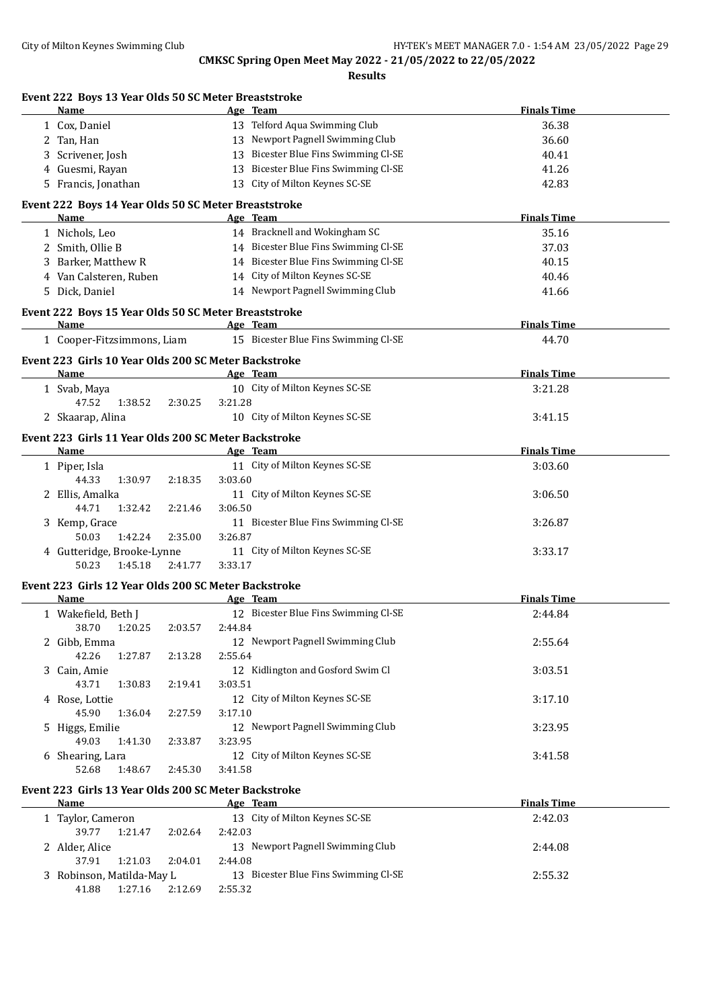| Event 222 Boys 13 Year Olds 50 SC Meter Breaststroke<br>Name | Age Team                             | <b>Finals Time</b> |
|--------------------------------------------------------------|--------------------------------------|--------------------|
| 1 Cox, Daniel                                                | 13 Telford Aqua Swimming Club        | 36.38              |
| 2 Tan, Han                                                   | 13 Newport Pagnell Swimming Club     | 36.60              |
| 3 Scrivener, Josh                                            | 13 Bicester Blue Fins Swimming Cl-SE | 40.41              |
| 4 Guesmi, Rayan                                              | 13 Bicester Blue Fins Swimming Cl-SE | 41.26              |
| 5 Francis, Jonathan                                          | 13 City of Milton Keynes SC-SE       | 42.83              |
|                                                              |                                      |                    |
| Event 222 Boys 14 Year Olds 50 SC Meter Breaststroke<br>Name | Age Team                             | <b>Finals Time</b> |
| 1 Nichols, Leo                                               | 14 Bracknell and Wokingham SC        | 35.16              |
| 2 Smith, Ollie B                                             | 14 Bicester Blue Fins Swimming Cl-SE | 37.03              |
| 3 Barker, Matthew R                                          | 14 Bicester Blue Fins Swimming Cl-SE | 40.15              |
| 4 Van Calsteren, Ruben                                       | 14 City of Milton Keynes SC-SE       | 40.46              |
| 5 Dick, Daniel                                               | 14 Newport Pagnell Swimming Club     | 41.66              |
| Event 222 Boys 15 Year Olds 50 SC Meter Breaststroke         |                                      |                    |
| Name                                                         | Age Team                             | <b>Finals Time</b> |
| 1 Cooper-Fitzsimmons, Liam                                   | 15 Bicester Blue Fins Swimming Cl-SE | 44.70              |
| Event 223 Girls 10 Year Olds 200 SC Meter Backstroke         |                                      |                    |
| Name                                                         | Age Team                             | <b>Finals Time</b> |
| 1 Svab, Maya                                                 | 10 City of Milton Keynes SC-SE       | 3:21.28            |
| 47.52<br>1:38.52<br>2:30.25                                  | 3:21.28                              |                    |
| 2 Skaarap, Alina                                             | 10 City of Milton Keynes SC-SE       | 3:41.15            |
|                                                              |                                      |                    |
| Event 223 Girls 11 Year Olds 200 SC Meter Backstroke<br>Name | Age Team                             | <b>Finals Time</b> |
| 1 Piper, Isla                                                | 11 City of Milton Keynes SC-SE       | 3:03.60            |
| 44.33<br>1:30.97<br>2:18.35                                  | 3:03.60                              |                    |
| 2 Ellis, Amalka                                              | 11 City of Milton Keynes SC-SE       | 3:06.50            |
| 44.71<br>1:32.42<br>2:21.46                                  | 3:06.50                              |                    |
| 3 Kemp, Grace                                                | 11 Bicester Blue Fins Swimming Cl-SE | 3:26.87            |
| 1:42.24<br>50.03<br>2:35.00                                  | 3:26.87                              |                    |
| 4 Gutteridge, Brooke-Lynne                                   | 11 City of Milton Keynes SC-SE       | 3:33.17            |
| 50.23<br>1:45.18<br>2:41.77                                  | 3:33.17                              |                    |
| Event 223 Girls 12 Year Olds 200 SC Meter Backstroke         |                                      |                    |
| Name                                                         | Age Team                             | <b>Finals Time</b> |
| 1 Wakefield, Beth J                                          | 12 Bicester Blue Fins Swimming Cl-SE | 2:44.84            |
| 38.70   1:20.25   2:03.57   2:44.84                          |                                      |                    |
| 2 Gibb, Emma                                                 | 12 Newport Pagnell Swimming Club     | 2:55.64            |
| 42.26<br>1:27.87<br>2:13.28                                  | 2:55.64                              |                    |
| 3 Cain, Amie                                                 | 12 Kidlington and Gosford Swim Cl    | 3:03.51            |
| 43.71<br>1:30.83<br>2:19.41                                  | 3:03.51                              |                    |
| 4 Rose, Lottie                                               | 12 City of Milton Keynes SC-SE       | 3:17.10            |
| 45.90<br>1:36.04<br>2:27.59                                  | 3:17.10                              |                    |
| 5 Higgs, Emilie                                              | 12 Newport Pagnell Swimming Club     | 3:23.95            |
| 49.03<br>1:41.30<br>2:33.87                                  | 3:23.95                              |                    |
| 6 Shearing, Lara                                             | 12 City of Milton Keynes SC-SE       | 3:41.58            |
| 52.68<br>1:48.67<br>2:45.30                                  | 3:41.58                              |                    |
| Event 223 Girls 13 Year Olds 200 SC Meter Backstroke         |                                      |                    |
| Name                                                         | Age Team                             | <b>Finals Time</b> |
| 1 Taylor, Cameron                                            | 13 City of Milton Keynes SC-SE       | 2:42.03            |
| 39.77<br>1:21.47<br>2:02.64                                  | 2:42.03                              |                    |
| 2 Alder, Alice                                               | 13 Newport Pagnell Swimming Club     | 2:44.08            |
| 37.91<br>1:21.03<br>2:04.01                                  | 2:44.08                              |                    |
| 3 Robinson, Matilda-May L                                    | 13 Bicester Blue Fins Swimming Cl-SE | 2:55.32            |
| 2:12.69<br>41.88<br>1:27.16                                  | 2:55.32                              |                    |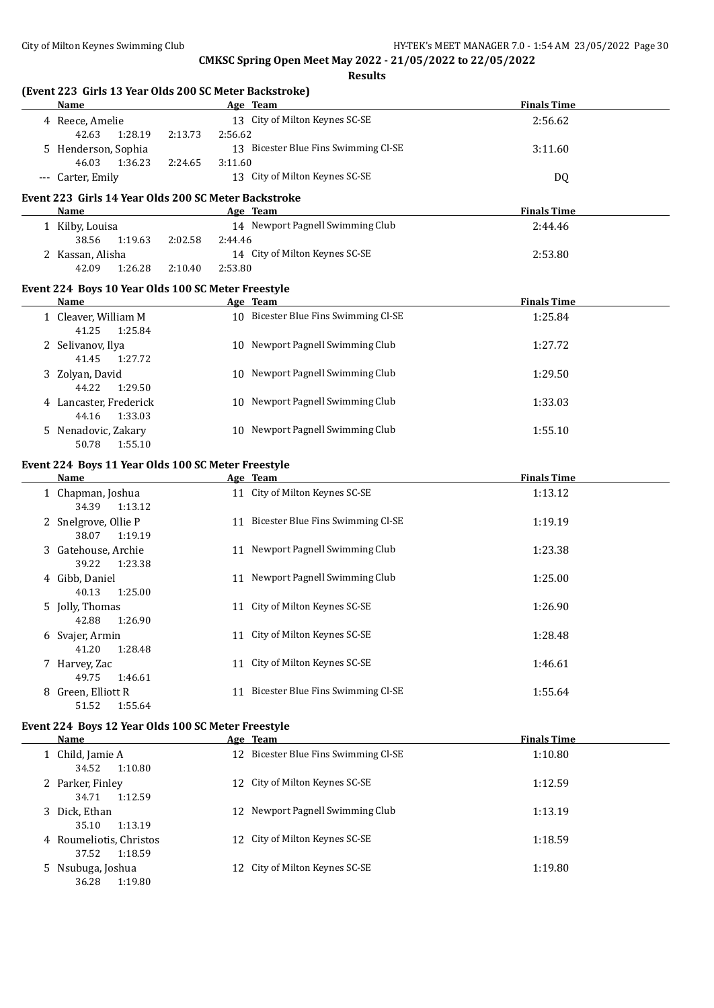36.28 1:19.80

**CMKSC Spring Open Meet May 2022 - 21/05/2022 to 22/05/2022**

**Results**

| (Event 223 Girls 13 Year Olds 200 SC Meter Backstroke)<br><b>Name</b> |                    | Age Team                             | <b>Finals Time</b> |
|-----------------------------------------------------------------------|--------------------|--------------------------------------|--------------------|
| 4 Reece, Amelie                                                       |                    | 13 City of Milton Keynes SC-SE       | 2:56.62            |
| 42.63<br>1:28.19                                                      | 2:56.62<br>2:13.73 |                                      |                    |
| 5 Henderson, Sophia                                                   |                    | 13 Bicester Blue Fins Swimming Cl-SE | 3:11.60            |
| 46.03<br>1:36.23                                                      | 2:24.65<br>3:11.60 |                                      |                    |
| --- Carter, Emily                                                     |                    | 13 City of Milton Keynes SC-SE       | DQ                 |
| Event 223 Girls 14 Year Olds 200 SC Meter Backstroke                  |                    |                                      |                    |
| Name                                                                  |                    | Age Team                             | <b>Finals Time</b> |
| 1 Kilby, Louisa                                                       |                    | 14 Newport Pagnell Swimming Club     | 2:44.46            |
| 38.56<br>1:19.63                                                      | 2:44.46<br>2:02.58 |                                      |                    |
| 2 Kassan, Alisha                                                      |                    | 14 City of Milton Keynes SC-SE       | 2:53.80            |
| 1:26.28<br>42.09                                                      | 2:10.40<br>2:53.80 |                                      |                    |
| Event 224 Boys 10 Year Olds 100 SC Meter Freestyle                    |                    |                                      |                    |
| <b>Name</b>                                                           |                    | Age Team                             | <b>Finals Time</b> |
| 1 Cleaver, William M<br>41.25<br>1:25.84                              |                    | 10 Bicester Blue Fins Swimming Cl-SE | 1:25.84            |
| 2 Selivanov, Ilya                                                     |                    | 10 Newport Pagnell Swimming Club     | 1:27.72            |
| 41.45<br>1:27.72                                                      |                    |                                      |                    |
| 3 Zolyan, David                                                       |                    | 10 Newport Pagnell Swimming Club     | 1:29.50            |
| 44.22<br>1:29.50                                                      |                    |                                      |                    |
| 4 Lancaster, Frederick<br>1:33.03<br>44.16                            |                    | 10 Newport Pagnell Swimming Club     | 1:33.03            |
| 5 Nenadovic, Zakary                                                   |                    | 10 Newport Pagnell Swimming Club     | 1:55.10            |
| 50.78<br>1:55.10                                                      |                    |                                      |                    |
|                                                                       |                    |                                      |                    |
| Event 224 Boys 11 Year Olds 100 SC Meter Freestyle<br><b>Name</b>     |                    | Age Team                             | <b>Finals Time</b> |
| 1 Chapman, Joshua                                                     |                    | 11 City of Milton Keynes SC-SE       | 1:13.12            |
| 34.39<br>1:13.12                                                      |                    |                                      |                    |
| 2 Snelgrove, Ollie P                                                  |                    | 11 Bicester Blue Fins Swimming Cl-SE | 1:19.19            |
| 38.07<br>1:19.19                                                      |                    |                                      |                    |
| 3 Gatehouse, Archie                                                   |                    | 11 Newport Pagnell Swimming Club     | 1:23.38            |
| 39.22<br>1:23.38                                                      |                    |                                      |                    |
| 4 Gibb, Daniel                                                        |                    | 11 Newport Pagnell Swimming Club     | 1:25.00            |
| 40.13<br>1:25.00                                                      |                    |                                      |                    |
| 5 Jolly, Thomas<br>1:26.90                                            |                    | 11 City of Milton Keynes SC-SE       | 1:26.90            |
| 42.88<br>6 Svajer, Armin                                              |                    | 11 City of Milton Keynes SC-SE       | 1:28.48            |
| 41.20<br>1:28.48                                                      |                    |                                      |                    |
| 7 Harvey, Zac                                                         |                    | 11 City of Milton Keynes SC-SE       | 1:46.61            |
| 49.75<br>1:46.61                                                      |                    |                                      |                    |
| 8 Green, Elliott R                                                    |                    | 11 Bicester Blue Fins Swimming Cl-SE | 1:55.64            |
| 51.52<br>1:55.64                                                      |                    |                                      |                    |
| Event 224 Boys 12 Year Olds 100 SC Meter Freestyle                    |                    |                                      |                    |
| <b>Name</b>                                                           |                    | Age Team                             | <b>Finals Time</b> |
| 1 Child, Jamie A                                                      |                    | 12 Bicester Blue Fins Swimming Cl-SE | 1:10.80            |
| 34.52<br>1:10.80                                                      |                    |                                      |                    |
|                                                                       |                    | 12 City of Milton Keynes SC-SE       | 1:12.59            |
| 2 Parker, Finley                                                      |                    |                                      |                    |
| 34.71<br>1:12.59                                                      |                    |                                      |                    |
| 3 Dick, Ethan                                                         |                    | 12 Newport Pagnell Swimming Club     | 1:13.19            |
| 35.10<br>1:13.19<br>4 Roumeliotis, Christos                           |                    | 12 City of Milton Keynes SC-SE       | 1:18.59            |

5 Nsubuga, Joshua 12 City of Milton Keynes SC-SE 1:19.80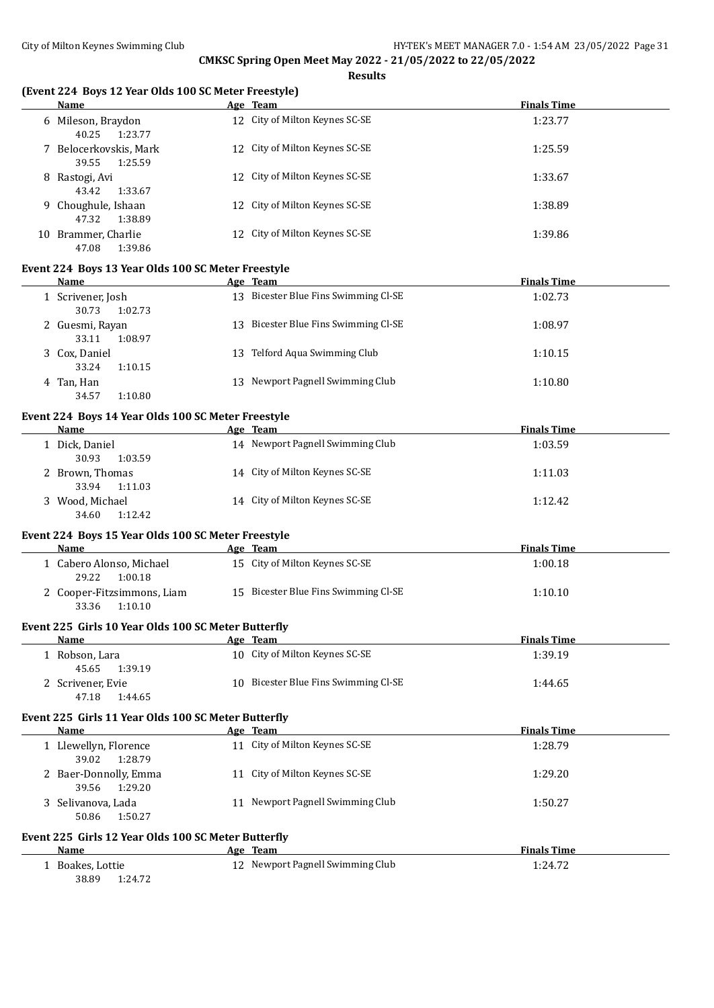#### **Results**

# **(Event 224 Boys 12 Year Olds 100 SC Meter Freestyle)**

| Name                                       | Age Team                       | <b>Finals Time</b> |
|--------------------------------------------|--------------------------------|--------------------|
| 6 Mileson, Braydon<br>1:23.77<br>40.25     | 12 City of Milton Keynes SC-SE | 1:23.77            |
| 7 Belocerkovskis, Mark<br>1:25.59<br>39.55 | 12 City of Milton Keynes SC-SE | 1:25.59            |
| Rastogi, Avi<br>8.<br>1:33.67<br>43.42     | 12 City of Milton Keynes SC-SE | 1:33.67            |
| 9 Choughule, Ishaan<br>1:38.89<br>47.32    | 12 City of Milton Keynes SC-SE | 1:38.89            |
| Brammer, Charlie<br>10<br>1:39.86<br>47.08 | 12 City of Milton Keynes SC-SE | 1:39.86            |

#### **Event 224 Boys 13 Year Olds 100 SC Meter Freestyle**

| Name                                  | Age Team                                 | <b>Finals Time</b> |
|---------------------------------------|------------------------------------------|--------------------|
| 1 Scrivener, Josh<br>1:02.73<br>30.73 | 13 Bicester Blue Fins Swimming Cl-SE     | 1:02.73            |
| 2 Guesmi, Rayan<br>1:08.97<br>33.11   | Bicester Blue Fins Swimming CI-SE<br>13. | 1:08.97            |
| 3 Cox, Daniel<br>33.24<br>1:10.15     | Telford Aqua Swimming Club<br>13 -       | 1:10.15            |
| 4 Tan, Han<br>34.57<br>1:10.80        | 13 Newport Pagnell Swimming Club         | 1:10.80            |

#### **Event 224 Boys 14 Year Olds 100 SC Meter Freestyle**

| <b>Name</b>     |         | Age Team                         | <b>Finals Time</b> |
|-----------------|---------|----------------------------------|--------------------|
| Dick, Daniel    |         | 14 Newport Pagnell Swimming Club | 1:03.59            |
| 30.93           | 1:03.59 |                                  |                    |
| 2 Brown, Thomas |         | 14 City of Milton Keynes SC-SE   | 1:11.03            |
| 33.94           | 1:11.03 |                                  |                    |
| 3 Wood, Michael |         | 14 City of Milton Keynes SC-SE   | 1:12.42            |
| 34.60           | 1:12.42 |                                  |                    |

#### **Event 224 Boys 15 Year Olds 100 SC Meter Freestyle**

| <b>Name</b>                                    | Age Team                             | <b>Finals Time</b> |  |  |
|------------------------------------------------|--------------------------------------|--------------------|--|--|
| l - Cabero Alonso, Michael<br>1:00.18<br>29.22 | 15 City of Milton Keynes SC-SE       | 1:00.18            |  |  |
| 2 Cooper-Fitzsimmons, Liam<br>1:10.10<br>33.36 | 15 Bicester Blue Fins Swimming Cl-SE | 1:10.10            |  |  |

#### **Event 225 Girls 10 Year Olds 100 SC Meter Butterfly**

| <b>Name</b>       | Team<br>Age                          | <b>Finals Time</b> |
|-------------------|--------------------------------------|--------------------|
| 1 Robson, Lara    | 10 City of Milton Keynes SC-SE       | 1:39.19            |
| 1:39.19<br>45.65  |                                      |                    |
| 2 Scrivener, Evie | 10 Bicester Blue Fins Swimming Cl-SE | 1:44.65            |
| 47.18<br>1:44.65  |                                      |                    |

#### **Event 225 Girls 11 Year Olds 100 SC Meter Butterfly**

| Name                                      |                                                     | Age Team                         | <b>Finals Time</b> |
|-------------------------------------------|-----------------------------------------------------|----------------------------------|--------------------|
| 1 Llewellyn, Florence<br>1:28.79<br>39.02 |                                                     | 11 City of Milton Keynes SC-SE   | 1:28.79            |
| 2 Baer-Donnolly, Emma<br>1:29.20<br>39.56 |                                                     | 11 City of Milton Keynes SC-SE   | 1:29.20            |
| 3 Selivanova, Lada<br>50.86               | 1:50.27                                             | 11 Newport Pagnell Swimming Club | 1:50.27            |
|                                           | Event 225 Girls 12 Year Olds 100 SC Meter Butterfly |                                  |                    |
| Name                                      |                                                     | Age Team                         | <b>Finals Time</b> |

| Boakes, Lottie | 12 Newport Pagnell Swimming Club | 1:24.72 |
|----------------|----------------------------------|---------|

38.89 1:24.72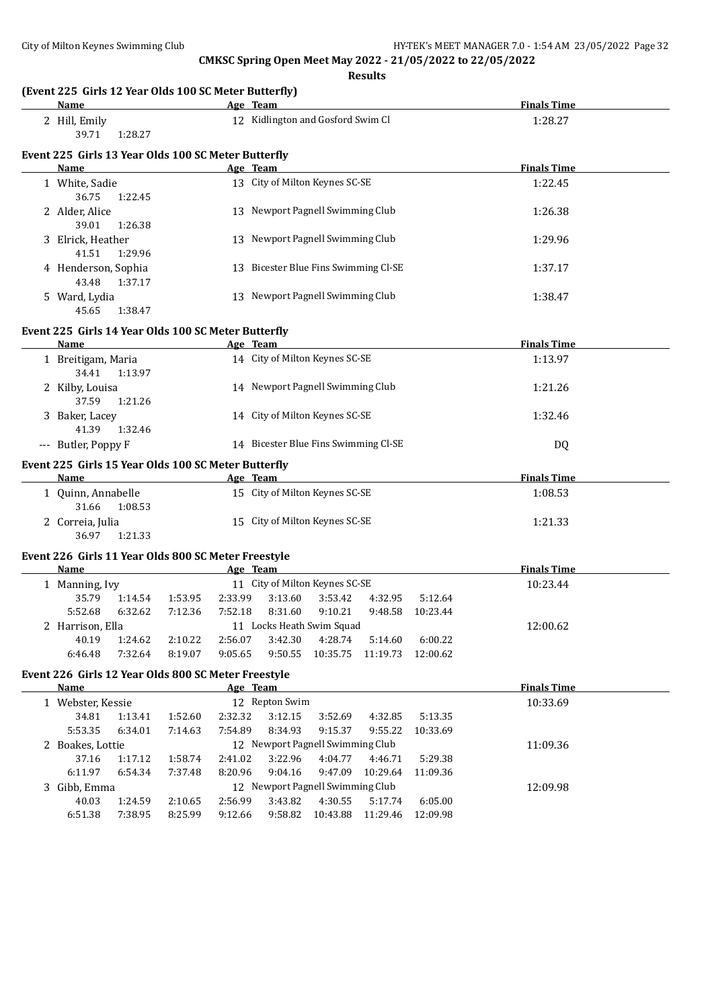**Results (Event 225 Girls 12 Year Olds 100 SC Meter Butterfly) Name Age Team Finals Time** 2 Hill, Emily 12 Kidlington and Gosford Swim Cl 1:28.27 39.71 1:28.27 **Event 225 Girls 13 Year Olds 100 SC Meter Butterfly Age Team Age Team Finals Time** 1 White, Sadie 13 City of Milton Keynes SC-SE 1:22.45 36.75 1:22.45 2 Alder, Alice 13 Newport Pagnell Swimming Club 1:26.38 39.01 1:26.38 3 Elrick, Heather 13 Newport Pagnell Swimming Club 1:29.96 41.51 1:29.96 4 Henderson, Sophia 13 Bicester Blue Fins Swimming Cl-SE 1:37.17 43.48 1:37.17 5 Ward, Lydia 13 Newport Pagnell Swimming Club 1:38.47 45.65 1:38.47 **Event 225 Girls 14 Year Olds 100 SC Meter Butterfly Name Age Team Finals Time** 1 Breitigam, Maria 14 City of Milton Keynes SC-SE 1:13.97 34.41 1:13.97 2 Kilby, Louisa 14 Newport Pagnell Swimming Club 1:21.26 37.59 1:21.26 3 Baker, Lacey 14 City of Milton Keynes SC-SE 1:32.46 41.39 1:32.46 --- Butler, Poppy F 14 Bicester Blue Fins Swimming Cl-SE DQ **Event 225 Girls 15 Year Olds 100 SC Meter Butterfly Name Age Team Finals Time** 1 Quinn, Annabelle 15 City of Milton Keynes SC-SE 1:08.53 31.66 1:08.53 2 Correia, Julia 15 City of Milton Keynes SC-SE 1:21.33 36.97 1:21.33 **Event 226 Girls 11 Year Olds 800 SC Meter Freestyle Name Age Team Finals Time** 1 Manning, Ivy 11 City of Milton Keynes SC-SE 10:23.44 35.79 1:14.54 1:53.95 2:33.99 3:13.60 3:53.42 4:32.95 5:12.64 5:52.68 6:32.62 7:12.36 7:52.18 8:31.60 9:10.21 9:48.58 10:23.44 2 Harrison, Ella 12:00.62 40.19 1:24.62 2:10.22 2:56.07 3:42.30 4:28.74 5:14.60 6:00.22 6:46.48 7:32.64 8:19.07 9:05.65 9:50.55 10:35.75 11:19.73 12:00.62

# **Event 226 Girls 12 Year Olds 800 SC Meter Freestyle**

| Name              |         |         | Age Team |                                  |                                  |          |          | <b>Finals Time</b> |
|-------------------|---------|---------|----------|----------------------------------|----------------------------------|----------|----------|--------------------|
| 1 Webster, Kessie |         |         |          | 12 Repton Swim                   |                                  | 10:33.69 |          |                    |
| 34.81             | 1:13.41 | 1:52.60 | 2:32.32  | 3:12.15                          | 3:52.69                          | 4:32.85  | 5:13.35  |                    |
| 5:53.35           | 6:34.01 | 7:14.63 | 7:54.89  | 8:34.93                          | 9:15.37                          | 9:55.22  | 10:33.69 |                    |
| 2 Boakes, Lottie  |         |         |          |                                  | 12 Newport Pagnell Swimming Club |          |          | 11:09.36           |
| 37.16             | 1:17.12 | 1:58.74 | 2:41.02  | 3:22.96                          | 4:04.77                          | 4:46.71  | 5:29.38  |                    |
| 6:11.97           | 6:54.34 | 7:37.48 | 8:20.96  | 9:04.16                          | 9:47.09                          | 10:29.64 | 11:09.36 |                    |
| 3 Gibb, Emma      |         |         |          | 12 Newport Pagnell Swimming Club | 12:09.98                         |          |          |                    |
| 40.03             | 1:24.59 | 2:10.65 | 2:56.99  | 3:43.82                          | 4:30.55                          | 5:17.74  | 6:05.00  |                    |
| 6:51.38           | 7:38.95 | 8:25.99 | 9:12.66  | 9:58.82                          | 10:43.88                         | 11:29.46 | 12:09.98 |                    |
|                   |         |         |          |                                  |                                  |          |          |                    |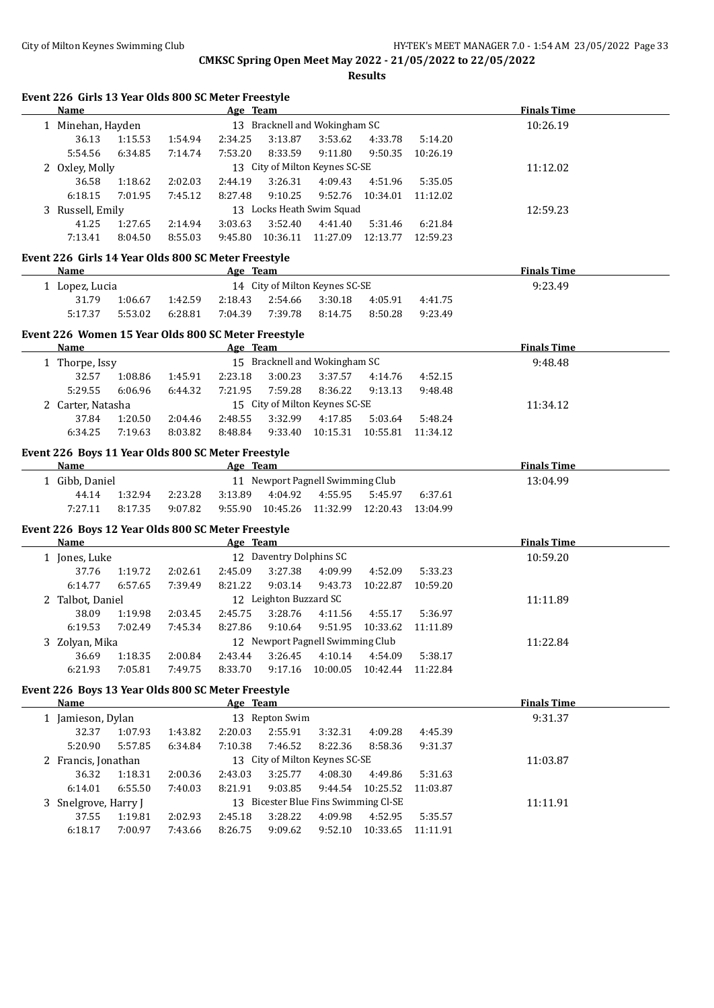**Results**

#### **Event 226 Girls 13 Year Olds 800 SC Meter Freestyle**

| Name             |                                |         | Age Team |                               |          |          |          | <b>Finals Time</b> |
|------------------|--------------------------------|---------|----------|-------------------------------|----------|----------|----------|--------------------|
| Minehan, Hayden  |                                |         |          | 13 Bracknell and Wokingham SC |          |          |          | 10:26.19           |
| 36.13            | 1:15.53                        | 1:54.94 | 2:34.25  | 3:13.87                       | 3:53.62  | 4:33.78  | 5:14.20  |                    |
| 5:54.56          | 6:34.85                        | 7:14.74 | 7:53.20  | 8:33.59                       | 9:11.80  | 9:50.35  | 10:26.19 |                    |
| 2 Oxley, Molly   | 13 City of Milton Keynes SC-SE |         |          |                               |          |          |          | 11:12.02           |
| 36.58            | 1:18.62                        | 2:02.03 | 2:44.19  | 3:26.31                       | 4:09.43  | 4:51.96  | 5:35.05  |                    |
| 6:18.15          | 7:01.95                        | 7:45.12 | 8:27.48  | 9:10.25                       | 9:52.76  | 10:34.01 | 11:12.02 |                    |
| 3 Russell, Emily |                                |         |          | 13 Locks Heath Swim Squad     |          |          |          | 12:59.23           |
| 41.25            | 1:27.65                        | 2:14.94 | 3:03.63  | 3:52.40                       | 4:41.40  | 5:31.46  | 6:21.84  |                    |
| 7:13.41          | 8:04.50                        | 8:55.03 | 9:45.80  | 10:36.11                      | 11:27.09 | 12:13.77 | 12:59.23 |                    |
|                  |                                |         |          |                               |          |          |          |                    |

# **Event 226 Girls 14 Year Olds 800 SC Meter Freestyle**

| Name         |         |         | Age     | Team                           |         |         |         | <b>Finals Time</b> |  |
|--------------|---------|---------|---------|--------------------------------|---------|---------|---------|--------------------|--|
| Lopez, Lucia |         |         |         | 14 City of Milton Keynes SC-SE | 9:23.49 |         |         |                    |  |
| 31.79        | 1:06.67 | 1:42.59 | 2:18.43 | 2:54.66 3:30.18                |         | 4:05.91 | 4:41.75 |                    |  |
| 5:17.37      | 5:53.02 | 6:28.81 | 7:04.39 | 7:39.78                        | 8:14.75 | 8:50.28 | 9:23.49 |                    |  |

### **Event 226 Women 15 Year Olds 800 SC Meter Freestyle**

| <b>Name</b>     |         |         | Age Team |         |                                |          |          | <b>Finals Time</b> |
|-----------------|---------|---------|----------|---------|--------------------------------|----------|----------|--------------------|
| Thorpe, Issy    |         |         |          |         | 15 Bracknell and Wokingham SC  |          |          | 9:48.48            |
| 32.57           | 1:08.86 | 1:45.91 | 2:23.18  | 3:00.23 | 3:37.57                        | 4:14.76  | 4:52.15  |                    |
| 5:29.55         | 6:06.96 | 6:44.32 | 7:21.95  | 7:59.28 | 8:36.22                        | 9:13.13  | 9:48.48  |                    |
| Carter, Natasha |         |         |          |         | 15 City of Milton Keynes SC-SE |          |          | 11:34.12           |
| 37.84           | 1:20.50 | 2:04.46 | 2:48.55  | 3:32.99 | 4:17.85                        | 5:03.64  | 5:48.24  |                    |
| 6:34.25         | 7:19.63 | 8:03.82 | 8:48.84  | 9:33.40 | 10:15.31                       | 10:55.81 | 11:34.12 |                    |
|                 |         |         |          |         |                                |          |          |                    |

### **Event 226 Boys 11 Year Olds 800 SC Meter Freestyle**

| Name         |         |         | Age Team |                                  |                   |                   |         | <b>Finals Time</b> |
|--------------|---------|---------|----------|----------------------------------|-------------------|-------------------|---------|--------------------|
| Gibb, Daniel |         |         |          | 11 Newport Pagnell Swimming Club | 13:04.99          |                   |         |                    |
| 44.14        | 1:32.94 | 2:23.28 | 3:13.89  | 4:04.92                          | 4:55.95           | 5:45.97           | 6:37.61 |                    |
| 7:27.11      | 8:17.35 | 9:07.82 | 9:55.90  |                                  | 10:45.26 11:32.99 | 12:20.43 13:04.99 |         |                    |

# **Event 226 Boys 12 Year Olds 800 SC Meter Freestyle**

 $\overline{a}$ 

| Name             |                        |         | Age Team |                                  |          | <b>Finals Time</b> |          |          |  |
|------------------|------------------------|---------|----------|----------------------------------|----------|--------------------|----------|----------|--|
| Jones, Luke      |                        |         |          | 12 Daventry Dolphins SC          |          |                    | 10:59.20 |          |  |
| 37.76            | 1:19.72                | 2:02.61 | 2:45.09  | 3:27.38                          | 4:09.99  | 4:52.09            | 5:33.23  |          |  |
| 6:14.77          | 6:57.65                | 7:39.49 | 8:21.22  | 9:03.14                          | 9:43.73  | 10:22.87           | 10:59.20 |          |  |
| 2 Talbot, Daniel | 12 Leighton Buzzard SC |         |          |                                  |          |                    |          | 11:11.89 |  |
| 38.09            | 1:19.98                | 2:03.45 | 2:45.75  | 3:28.76                          | 4:11.56  | 4:55.17            | 5:36.97  |          |  |
| 6:19.53          | 7:02.49                | 7:45.34 | 8:27.86  | 9:10.64                          | 9:51.95  | 10:33.62           | 11:11.89 |          |  |
| Zolyan, Mika     |                        |         |          | 12 Newport Pagnell Swimming Club |          | 11:22.84           |          |          |  |
| 36.69            | 1:18.35                | 2:00.84 | 2:43.44  | 3:26.45                          | 4:10.14  | 4:54.09            | 5:38.17  |          |  |
| 6:21.93          | 7:05.81                | 7:49.75 | 8:33.70  | 9:17.16                          | 10:00.05 | 10:42.44           | 11:22.84 |          |  |

#### **Event 226 Boys 13 Year Olds 800 SC Meter Freestyle**

| <b>Name</b>                       |         |         | Age Team |                                |         |          |          | <b>Finals Time</b> |
|-----------------------------------|---------|---------|----------|--------------------------------|---------|----------|----------|--------------------|
| 13 Repton Swim<br>Jamieson, Dylan |         |         |          |                                |         |          |          | 9:31.37            |
| 32.37                             | 1:07.93 | 1:43.82 | 2:20.03  | 2:55.91                        | 3:32.31 | 4:09.28  | 4:45.39  |                    |
| 5:20.90                           | 5:57.85 | 6:34.84 | 7:10.38  | 7:46.52                        | 8:22.36 | 8:58.36  | 9:31.37  |                    |
| 2 Francis, Jonathan               |         |         |          | 13 City of Milton Keynes SC-SE |         |          |          | 11:03.87           |
| 36.32                             | 1:18.31 | 2:00.36 | 2:43.03  | 3:25.77                        | 4:08.30 | 4:49.86  | 5:31.63  |                    |
| 6:14.01                           | 6:55.50 | 7:40.03 | 8:21.91  | 9:03.85                        | 9:44.54 | 10:25.52 | 11:03.87 |                    |
| 3 Snelgrove, Harry J              |         |         | 11:11.91 |                                |         |          |          |                    |
| 37.55                             | 1:19.81 | 2:02.93 | 2:45.18  | 3:28.22                        | 4:09.98 | 4:52.95  | 5:35.57  |                    |
| 6:18.17                           | 7:00.97 | 7:43.66 | 8:26.75  | 9:09.62                        | 9:52.10 | 10:33.65 | 11:11.91 |                    |
|                                   |         |         |          |                                |         |          |          |                    |